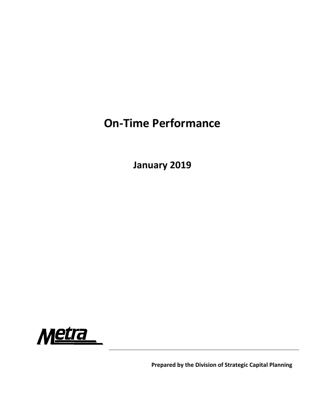# **On‐Time Performance**

**January 2019**



**Prepared by the Division of Strategic Capital Planning**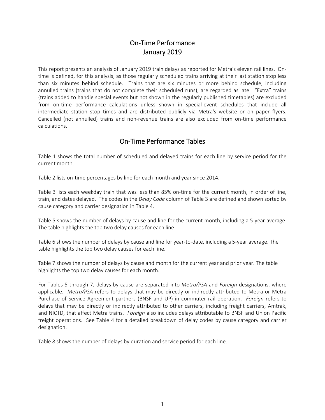# On‐Time Performance January 2019

This report presents an analysis of January 2019 train delays as reported for Metra's eleven rail lines. On‐ time is defined, for this analysis, as those regularly scheduled trains arriving at their last station stop less than six minutes behind schedule. Trains that are six minutes or more behind schedule, including annulled trains (trains that do not complete their scheduled runs), are regarded as late. "Extra" trains (trains added to handle special events but not shown in the regularly published timetables) are excluded from on-time performance calculations unless shown in special-event schedules that include all intermediate station stop times and are distributed publicly via Metra's website or on paper flyers. Cancelled (not annulled) trains and non‐revenue trains are also excluded from on‐time performance calculations.

# On‐Time Performance Tables

Table 1 shows the total number of scheduled and delayed trains for each line by service period for the current month.

Table 2 lists on-time percentages by line for each month and year since 2014.

Table 3 lists each weekday train that was less than 85% on-time for the current month, in order of line, train, and dates delayed. The codes in the *Delay Code* column of Table 3 are defined and shown sorted by cause category and carrier designation in Table 4.

Table 5 shows the number of delays by cause and line for the current month, including a 5‐year average. The table highlights the top two delay causes for each line.

Table 6 shows the number of delays by cause and line for year-to-date, including a 5-year average. The table highlights the top two delay causes for each line.

Table 7 shows the number of delays by cause and month for the current year and prior year. The table highlights the top two delay causes for each month.

For Tables 5 through 7, delays by cause are separated into *Metra/PSA* and *Foreign* designations, where applicable. *Metra/PSA* refers to delays that may be directly or indirectly attributed to Metra or Metra Purchase of Service Agreement partners (BNSF and UP) in commuter rail operation. *Foreign* refers to delays that may be directly or indirectly attributed to other carriers, including freight carriers, Amtrak, and NICTD, that affect Metra trains. *Foreign* also includes delays attributable to BNSF and Union Pacific freight operations. See Table 4 for a detailed breakdown of delay codes by cause category and carrier designation.

Table 8 shows the number of delays by duration and service period for each line.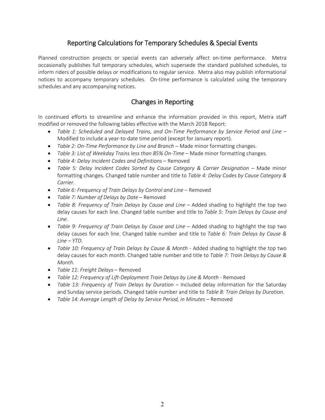# Reporting Calculations for Temporary Schedules & Special Events

Planned construction projects or special events can adversely affect on-time performance. Metra occasionally publishes full temporary schedules, which supersede the standard published schedules, to inform riders of possible delays or modifications to regular service. Metra also may publish informational notices to accompany temporary schedules. On-time performance is calculated using the temporary schedules and any accompanying notices.

# Changes in Reporting

In continued efforts to streamline and enhance the information provided in this report, Metra staff modified or removed the following tables effective with the March 2018 Report:

- *Table 1: Scheduled and Delayed Trains, and On‐Time Performance by Service Period and Line* Modified to include a year-to-date time period (except for January report).
- *Table 2: On‐Time Performance by Line and Branch* Made minor formatting changes.
- *Table 3: List of Weekday Trains less than 85% On‐Time* Made minor formatting changes.
- *Table 4: Delay Incident Codes and Definitions* Removed
- **•** Table 5: Delay Incident Codes Sorted by Cause Category & Carrier Designation Made minor formatting changes. Changed table number and title to *Table 4: Delay Codes by Cause Category & Carrier*.
- *Table 6: Frequency of Train Delays by Control and Line* Removed
- *Table 7: Number of Delays by Date* Removed
- Table 8: Frequency of Train Delays by Cause and Line Added shading to highlight the top two delay causes for each line. Changed table number and title to *Table 5: Train Delays by Cause and Line*.
- *Table 9: Frequency of Train Delays by Cause and Line* Added shading to highlight the top two delay causes for each line. Changed table number and title to *Table 6: Train Delays by Cause & Line – YTD*.
- **•** Table 10: Frequency of Train Delays by Cause & Month Added shading to highlight the top two delay causes for each month. Changed table number and title to *Table 7: Train Delays by Cause & Month*.
- *Table 11*: *Freight Delays* Removed
- *Table 12: Frequency of Lift‐Deployment Train Delays by Line & Month* ‐ Removed
- *Table 13: Frequency of Train Delays by Duration* Included delay information for the Saturday and Sunday service periods. Changed table number and title to *Table 8: Train Delays by Duration*.
- *Table 14: Average Length of Delay by Service Period, in Minutes* Removed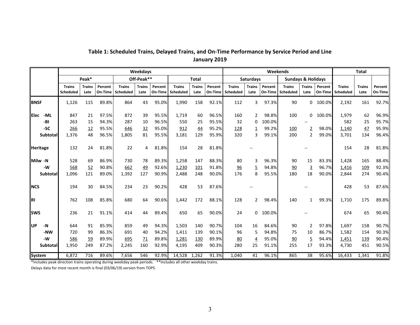|                    |                            |                       |                    |                            | Weekdays              |                    |                            |                       |                    | Weekends                   |                       |                    |                            |                               |                    | <b>Total</b>               |                       |                    |
|--------------------|----------------------------|-----------------------|--------------------|----------------------------|-----------------------|--------------------|----------------------------|-----------------------|--------------------|----------------------------|-----------------------|--------------------|----------------------------|-------------------------------|--------------------|----------------------------|-----------------------|--------------------|
|                    |                            | Peak*                 |                    |                            | Off-Peak**            |                    |                            | <b>Total</b>          |                    |                            | <b>Saturdays</b>      |                    |                            | <b>Sundays &amp; Holidays</b> |                    |                            |                       |                    |
|                    | <b>Trains</b><br>Scheduled | <b>Trains</b><br>Late | Percent<br>On-Time | <b>Trains</b><br>Scheduled | <b>Trains</b><br>Late | Percent<br>On-Time | <b>Trains</b><br>Scheduled | <b>Trains</b><br>Late | Percent<br>On-Time | <b>Trains</b><br>Scheduled | <b>Trains</b><br>Late | Percent<br>On-Time | <b>Trains</b><br>Scheduled | <b>Trains</b><br>Late         | Percent<br>On-Time | <b>Trains</b><br>Scheduled | <b>Trains</b><br>Late | Percent<br>On-Time |
| <b>BNSF</b>        | 1,126                      | 115                   | 89.8%              | 864                        | 43                    | 95.0%              | 1,990                      | 158                   | 92.1%              | 112                        | 3                     | 97.3%              | 90                         | 0                             | 100.0%             | 2,192                      | 161                   | 92.7%              |
| <b>Elec</b><br>-ML | 847                        | 21                    | 97.5%              | 872                        | 39                    | 95.5%              | 1,719                      | 60                    | 96.5%              | 160                        | $\overline{2}$        | 98.8%              | 100                        | 0                             | 100.0%             | 1,979                      | 62                    | 96.9%              |
| -BI                | 263                        | 15                    | 94.3%              | 287                        | 10                    | 96.5%              | 550                        | 25                    | 95.5%              | 32                         | 0                     | 100.0%             |                            |                               |                    | 582                        | 25                    | 95.7%              |
| -SC                | 266                        | 12                    | 95.5%              | 646                        | 32                    | 95.0%              | 912                        | 44                    | 95.2%              | 128                        | $\overline{1}$        | 99.2%              | 100                        | $\overline{2}$                | 98.0%              | 1,140                      | 47                    | 95.9%              |
| <b>Subtotal</b>    | 1,376                      | 48                    | 96.5%              | 1,805                      | 81                    | 95.5%              | 3,181                      | 129                   | 95.9%              | 320                        | 3                     | 99.1%              | 200                        | $\overline{2}$                | 99.0%              | 3,701                      | 134                   | 96.4%              |
| Heritage           | 132                        | 24                    | 81.8%              | 22                         | 4                     | 81.8%              | 154                        | 28                    | 81.8%              |                            |                       |                    |                            |                               |                    | 154                        | 28                    | 81.8%              |
| Milw -N            | 528                        | 69                    | 86.9%              | 730                        | 78                    | 89.3%              | 1,258                      | 147                   | 88.3%              | 80                         | 3                     | 96.3%              | 90                         | 15                            | 83.3%              | 1,428                      | 165                   | 88.4%              |
| -W                 | 568                        | 52                    | 90.8%              | 662                        | 49                    | 92.6%              | 1,230                      | 101                   | 91.8%              | 96                         | $\overline{5}$        | 94.8%              | 90                         | $\overline{3}$                | 96.7%              | 1,416                      | 109                   | 92.3%              |
| <b>Subtotal</b>    | 1,096                      | 121                   | 89.0%              | 1,392                      | 127                   | 90.9%              | 2,488                      | 248                   | 90.0%              | 176                        | 8                     | 95.5%              | 180                        | 18                            | 90.0%              | 2,844                      | 274                   | 90.4%              |
| <b>NCS</b>         | 194                        | 30                    | 84.5%              | 234                        | 23                    | 90.2%              | 428                        | 53                    | 87.6%              |                            |                       |                    |                            |                               |                    | 428                        | 53                    | 87.6%              |
| llrı               | 762                        | 108                   | 85.8%              | 680                        | 64                    | 90.6%              | 1,442                      | 172                   | 88.1%              | 128                        | $\overline{2}$        | 98.4%              | 140                        | $\mathbf{1}$                  | 99.3%              | 1,710                      | 175                   | 89.8%              |
| <b>SWS</b>         | 236                        | 21                    | 91.1%              | 414                        | 44                    | 89.4%              | 650                        | 65                    | 90.0%              | 24                         | $\Omega$              | 100.0%             |                            |                               |                    | 674                        | 65                    | 90.4%              |
| lup<br>-N          | 644                        | 91                    | 85.9%              | 859                        | 49                    | 94.3%              | 1,503                      | 140                   | 90.7%              | 104                        | 16                    | 84.6%              | 90                         | $\overline{2}$                | 97.8%              | 1,697                      | 158                   | 90.7%              |
| -NW                | 720                        | 99                    | 86.3%              | 691                        | 40                    | 94.2%              | 1,411                      | 139                   | 90.1%              | 96                         | 5                     | 94.8%              | 75                         | 10                            | 86.7%              | 1,582                      | 154                   | 90.3%              |
| -W                 | 586                        | 59                    | 89.9%              | 695                        | 71                    | 89.8%              | 1,281                      | 130                   | 89.9%              | 80                         | $\overline{4}$        | 95.0%              | 90                         | $\overline{5}$                | 94.4%              | 1,451                      | 139                   | 90.4%              |
| <b>Subtotal</b>    | 1,950                      | 249                   | 87.2%              | 2,245                      | 160                   | 92.9%              | 4,195                      | 409                   | 90.3%              | 280                        | 25                    | 91.1%              | 255                        | 17                            | 93.3%              | 4,730                      | 451                   | 90.5%              |
| <b>System</b>      | 6.872                      | 716                   | 89.6%              | 7.656                      | 546                   | 92.9%              | 14,528 1,262               |                       | 91.3%              | 1,040                      | 41                    | 96.1%              | 865                        | 38                            | 95.6%              | 16.433                     | 1,341                 | 91.8%              |

### **Table 1: Scheduled Trains, Delayed Trains, and On‐Time Performance by Service Period and Line January 2019**

\*Includes peak direction trains operating during weekday peak periods. \*\*Includes all other weekday trains.

Delays data for most recent month is final (03/06/19) version from TOPS.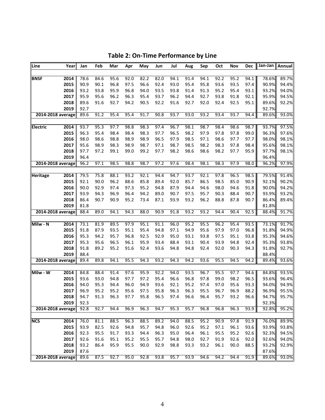| Line<br>Year              | Jan          | Feb          | Mar          | Apr          | May          | Jun          | Jul          | Aug          | Sep          | Oct          | Nov          | Dec          | Jan-Jan   Annual |                |
|---------------------------|--------------|--------------|--------------|--------------|--------------|--------------|--------------|--------------|--------------|--------------|--------------|--------------|------------------|----------------|
| 2014<br><b>BNSF</b>       | 78.6         | 84.6         | 95.6         | 92.0         | 82.2         | 82.0         | 94.1         | 91.4         | 94.1         | 92.2         | 95.2         | 94.1         | 78.6%            | 89.7%          |
| 2015                      | 90.9         | 90.1         | 96.8         | 97.5         | 96.6         | 92.4         | 93.0         | 95.4         | 95.8         | 93.6         | 93.5         | 97.4         | 90.9%            | 94.4%          |
| 2016                      | 93.2         | 93.8         | 95.9         | 96.8         | 94.0         | 93.5         | 93.8         | 91.4         | 91.3         | 95.2         | 95.4         | 93.1         | 93.2%            | 94.0%          |
| 2017                      | 95.9         | 95.6         | 96.2         | 96.3         | 95.4         | 93.7         | 96.2         | 94.4         | 92.7         | 93.8         | 91.8         | 92.1         | 95.9%            | 94.5%          |
| 2018                      | 89.6         | 91.6         | 92.7         | 94.2         | 90.5         | 92.2         | 91.6         | 92.7         | 92.0         | 92.4         | 92.5         | 95.1         | 89.6%            | 92.2%          |
| 2019                      | 92.7         |              |              |              |              |              |              |              |              |              |              |              | 92.7%            |                |
| 2014-2018 average         | 89.6         | 91.2         | 95.4         | 95.4         | 91.7         | 90.8         | 93.7         | 93.0         | 93.2         | 93.4         | 93.7         | 94.4         | 89.6%            | 93.0%          |
|                           |              |              |              |              |              |              |              |              |              |              |              |              |                  |                |
| 2014<br><b>Electric</b>   | 93.7         | 95.3         | 97.7         | 98.8         | 98.3         | 97.4         | 96.7         | 98.1         | 98.7         | 98.4         | 98.6         | 98.7         | 93.7%            | 97.5%          |
| 2015                      | 96.3         | 95.4         | 98.4         | 98.4         | 98.3         | 97.7         | 96.5         | 98.2         | 97.9         | 97.8         | 97.8         | 99.0         | 96.3%            | 97.6%          |
| 2016                      | 98.0         | 98.6         | 98.8         | 98.9         | 98.9         | 96.5         | 97.9         | 98.5         | 97.1         | 98.6         | 97.7         | 97.7         | 98.0%            | 98.1%          |
| 2017                      | 95.6         | 98.9         | 98.3         | 98.9         | 98.7         | 97.1         | 98.7         | 98.5         | 98.2         | 98.3         | 97.8         | 98.4         | 95.6%            | 98.1%          |
| 2018                      | 97.7         | 97.2         | 99.1         | 99.0         | 99.2         | 97.7         | 98.2         | 98.6         | 98.6         | 98.2         | 97.7         | 95.9         | 97.7%            | 98.1%          |
| 2019<br>2014-2018 average | 96.4<br>96.2 | 97.1         | 98.5         | 98.8         | 98.7         | 97.2         | 97.6         | 98.4         | 98.1         | 98.3         | 97.9         | 98.0         | 96.4%<br>96.2%   | 97.9%          |
|                           |              |              |              |              |              |              |              |              |              |              |              |              |                  |                |
| 2014<br><b>Heritage</b>   | 79.5         | 75.8         | 88.1         | 93.2         | 92.1         | 94.4         | 94.7         | 93.7         | 92.1         | 97.8         | 96.5         | 98.5         | 79.5%            | 91.4%          |
| 2015                      | 92.1         | 90.0         | 96.2         | 88.6         | 85.8         | 89.4         | 92.0         | 85.7         | 86.5         | 98.5         | 85.0         | 90.9         | 92.1%            | 90.2%          |
| 2016                      | 90.0         | 92.9         | 97.4         | 97.3         | 95.2         | 94.8         | 87.9         | 94.4         | 94.6         | 98.0         | 94.6         | 91.8         | 90.0%            | 94.2%          |
| 2017                      | 93.9         | 94.3         | 96.9         | 96.4         | 94.2         | 89.0         | 90.7         | 97.5         | 95.7         | 90.3         | 88.4         | 90.7         | 93.9%            | 93.2%          |
| 2018                      | 86.4         | 90.7         | 90.9         | 95.2         | 73.4         | 87.1         | 93.9         | 93.2         | 96.2         | 88.8         | 87.8         | 90.7         | 86.4%            | 89.4%          |
| 2019                      | 81.8         |              |              |              |              |              |              |              |              |              |              |              | 81.8%            |                |
| 2014-2018 average         | 88.4         | 89.0         | 94.1         | 94.3         | 88.0         | 90.9         | 91.8         | 93.2         | 93.2         | 94.4         | 90.4         | 92.5         | 88.4%            | 91.7%          |
|                           |              |              |              |              |              |              |              |              |              |              |              |              |                  |                |
| Milw - N<br>2014          | 73.1         | 81.9         | 89.5         | 97.9         | 95.1         | 91.1         | 96.0         | 95.2         | 95.5         | 96.2         | 95.4         | 93.5         | 73.1%            | 91.7%          |
| 2015<br>2016              | 91.8<br>95.3 | 87.9<br>94.2 | 93.5<br>95.7 | 95.1<br>96.8 | 95.4         | 94.8         | 97.1         | 94.9<br>93.1 | 95.6<br>93.8 | 97.9         | 97.0         | 96.8         | 91.8%            | 94.9%          |
| 2017                      | 95.3         |              | 96.5         | 96.1         | 92.5         | 92.9         | 95.0<br>88.4 | 93.1         | 90.4         | 97.5<br>93.9 | 95.1<br>94.8 | 93.8         | 95.3%            | 94.6%          |
| 2018                      | 91.8         | 95.6<br>89.2 | 95.2         | 91.6         | 95.9<br>92.4 | 93.4<br>93.6 | 94.8         | 94.8         | 92.4         | 92.0         | 90.3         | 92.4<br>94.3 | 95.3%<br>91.8%   | 93.8%<br>92.7% |
| 2019                      | 88.4         |              |              |              |              |              |              |              |              |              |              |              | 88.4%            |                |
| 2014-2018 average         | 89.4         | 89.8         | 94.1         | 95.5         | 94.3         | 93.2         | 94.3         | 94.2         | 93.6         | 95.5         | 94.5         | 94.2         | 89.4%            | 93.6%          |
|                           |              |              |              |              |              |              |              |              |              |              |              |              |                  |                |
| Milw - W<br>2014          | 84.8         | 88.4         | 91.4         | 97.6         | 95.9         | 92.2         | 94.0         | 93.5         | 96.7         | 95.5         | 97.7         | 94.6         | 84.8%            | 93.5%          |
| 2015                      | 93.6         | 93.0         | 94.8         | 97.7         | 97.2         | 95.4         | 96.6         | 96.8         | 97.8         | 99.0         | 98.2         | 96.5         | 93.6%            | 96.4%          |
| 2016                      | 94.0         | 95.3         | 94.4         | 96.0         | 94.9         | 93.6         | 92.1         | 95.2         | 97.4         | 97.0         | 95.6         | 93.3         | 94.0%            | 94.9%          |
| 2017                      | 96.9         | 95.2         | 95.2         | 95.6         | 97.5         | 95.8         | 96.3         | 96.3         | 95.5         | 96.7         | 96.9         | 88.2         | 96.9%            | 95.5%          |
| 2018                      | 94.7         | 91.3         | 96.3         | 97.7         | 95.8         | 96.5         | 97.4         | 96.6         | 96.4         | 95.7         | 93.2         | 96.6         | 94.7%            | 95.7%          |
| 2019                      | 92.3         |              |              |              |              |              |              |              |              |              |              |              | 92.3%            |                |
| 2014-2018 average         | 92.8         | 92.7         | 94.4         | 96.9         | 96.3         | 94.7         | 95.3         | 95.7         | 96.8         | 96.8         | 96.3         | 93.9         | 92.8%            | 95.2%          |
| <b>NCS</b><br>2014        | 76.0         | 81.1         | 88.5         | 96.3         | 88.5         | 89.2         | 94.0         | 88.5         | 95.2         | 90.9         | 97.8         | 91.9         | 76.0%            | 89.9%          |
| 2015                      | 93.9         | 82.5         | 92.6         | 94.8         | 95.7         | 94.8         | 96.0         | 92.6         | 95.2         | 97.1         | 96.1         | 93.6         | 93.9%            | 93.8%          |
| 2016                      | 92.3         | 95.5         | 91.7         | 93.3         | 94.4         | 96.3         | 95.0         | 96.4         | 96.1         | 95.5         | 95.2         | 92.6         | 92.3%            | 94.5%          |
| 2017                      | 92.6         | 91.6         | 95.1         | 95.2         | 95.5         | 95.7         | 94.8         | 98.0         | 92.7         | 91.9         | 92.6         | 92.0         | 92.6%            | 94.0%          |
| 2018                      | 93.2         | 86.4         | 95.9         | 95.5         | 90.0         | 92.9         | 98.8         | 93.3         | 93.2         | 96.1         | 90.0         | 88.5         | 93.2%            | 92.9%          |
| 2019                      | 87.6         |              |              |              |              |              |              |              |              |              |              |              | 87.6%            |                |
| 2014-2018 average         | 89.6         | 87.5         | 92.7         | 95.0         | 92.8         | 93.8         | 95.7         | 93.9         | 94.6         | 94.2         | 94.4         | 91.9         | 89.6%            | 93.0%          |

**Table 2: On‐Time Performance by Line**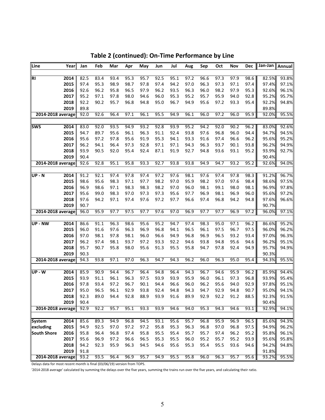| Line<br>Year               | Jan  | Feb  | Mar  | Apr  | May  | Jun  | Jul  | Aug  | Sep  | Oct  | Nov  | <b>Dec</b> | Jan-Jan   Annual |       |
|----------------------------|------|------|------|------|------|------|------|------|------|------|------|------------|------------------|-------|
|                            |      |      |      |      |      |      |      |      |      |      |      |            |                  |       |
| <b>RI</b><br>2014          | 82.5 | 83.4 | 93.4 | 95.3 | 95.7 | 92.5 | 95.1 | 97.2 | 96.6 | 97.3 | 97.9 | 98.6       | 82.5%            | 93.8% |
| 2015                       | 97.4 | 95.3 | 98.9 | 98.7 | 97.8 | 97.4 | 94.2 | 97.0 | 96.3 | 97.3 | 97.1 | 97.4       | 97.4%            | 97.1% |
| 2016                       | 92.6 | 96.2 | 95.8 | 96.5 | 97.9 | 96.2 | 93.5 | 96.3 | 96.0 | 98.2 | 97.9 | 95.3       | 92.6%            | 96.1% |
| 2017                       | 95.2 | 97.1 | 97.8 | 98.0 | 94.6 | 96.0 | 95.3 | 95.2 | 95.7 | 95.9 | 94.0 | 92.8       | 95.2%            | 95.7% |
| 2018                       | 92.2 | 90.2 | 95.7 | 96.8 | 94.8 | 95.0 | 96.7 | 94.9 | 95.6 | 97.2 | 93.3 | 95.4       | 92.2%            | 94.8% |
| 2019                       | 89.8 |      |      |      |      |      |      |      |      |      |      |            | 89.8%            |       |
| 2014-2018 average          | 92.0 | 92.6 | 96.4 | 97.1 | 96.1 | 95.5 | 94.9 | 96.1 | 96.0 | 97.2 | 96.0 | 95.9       | 92.0%            | 95.5% |
|                            |      |      |      |      |      |      |      |      |      |      |      |            |                  |       |
| SWS<br>2014                | 83.0 | 92.0 | 93.5 | 94.9 | 93.2 | 92.8 | 93.9 | 95.2 | 94.2 | 92.0 | 90.2 | 96.2       | 83.0%            | 92.6% |
| 2015                       | 94.7 | 89.7 | 95.6 | 96.1 | 96.3 | 91.1 | 92.4 | 93.8 | 97.6 | 96.8 | 96.0 | 94.4       | 94.7%            | 94.5% |
| 2016                       | 95.6 | 97.2 | 97.8 | 95.6 | 91.9 | 95.3 | 94.1 | 93.3 | 91.6 | 97.4 | 96.6 | 96.2       | 95.6%            | 95.2% |
| 2017                       | 96.2 | 94.1 | 96.4 | 97.3 | 92.8 | 97.1 | 97.1 | 94.3 | 96.3 | 93.7 | 90.1 | 93.8       | 96.2%            | 94.9% |
| 2018                       | 93.9 | 90.5 | 92.0 | 95.4 | 92.4 | 87.1 | 91.9 | 92.7 | 94.8 | 93.6 | 93.1 | 95.2       | 93.9%            | 92.7% |
| 2019                       | 90.4 |      |      |      |      |      |      |      |      |      |      |            | 90.4%            |       |
| 2014-2018 average          | 92.6 | 92.8 | 95.1 | 95.8 | 93.3 | 92.7 | 93.8 | 93.8 | 94.9 | 94.7 | 93.2 | 95.2       | 92.6%            | 94.0% |
|                            |      |      |      |      |      |      |      |      |      |      |      |            |                  |       |
| 2014<br><b>UP - N</b>      | 91.2 | 92.1 | 97.4 | 97.8 | 97.4 | 97.2 | 97.6 | 98.1 | 97.6 | 97.4 | 97.8 | 98.3       | 91.2%            | 96.7% |
| 2015                       | 98.6 | 95.6 | 98.3 | 97.1 | 97.7 | 98.2 | 97.0 | 95.9 | 98.2 | 97.0 | 97.6 | 98.4       | 98.6%            | 97.5% |
| 2016                       | 96.9 | 98.6 | 97.1 | 98.3 | 98.3 | 98.2 | 97.0 | 96.0 | 98.1 | 99.1 | 98.0 | 98.1       | 96.9%            | 97.8% |
| 2017                       | 95.6 | 99.0 | 98.3 | 97.0 | 97.3 | 97.3 | 95.6 | 97.7 | 96.9 | 98.1 | 96.9 | 96.0       | 95.6%            | 97.2% |
| 2018                       | 97.6 | 94.2 | 97.1 | 97.4 | 97.6 | 97.2 | 97.7 | 96.6 | 97.4 | 96.8 | 94.2 | 94.8       | 97.6%            | 96.6% |
| 2019                       | 90.7 |      |      |      |      |      |      |      |      |      |      |            | 90.7%            |       |
| 2014-2018 average          | 96.0 | 95.9 | 97.7 | 97.5 | 97.7 | 97.6 | 97.0 | 96.9 | 97.7 | 97.7 | 96.9 | 97.2       | 96.0%            | 97.1% |
| UP - NW<br>2014            | 86.6 | 91.1 | 96.3 | 98.6 | 95.6 | 95.2 | 94.7 | 97.4 | 98.3 | 95.0 | 97.1 | 96.2       | 86.6%            | 95.2% |
| 2015                       | 96.0 | 91.6 | 97.6 | 96.3 | 96.9 | 96.8 | 94.1 | 96.5 | 96.1 | 97.5 | 96.7 | 97.5       | 96.0%            | 96.2% |
| 2016                       | 97.0 | 98.1 | 97.8 | 98.1 | 96.0 | 96.6 | 94.9 | 96.8 | 96.9 | 96.5 | 93.2 | 93.4       | 97.0%            | 96.3% |
| 2017                       | 96.2 | 97.4 | 98.1 | 93.7 | 97.2 | 93.3 | 92.2 | 94.6 | 93.8 | 94.8 | 95.6 | 94.6       | 96.2%            | 95.1% |
| 2018                       | 95.7 | 90.7 | 95.8 | 98.0 | 95.6 | 91.3 | 95.5 | 95.8 | 94.7 | 97.8 | 92.4 | 94.9       | 95.7%            | 94.9% |
| 2019                       | 90.3 |      |      |      |      |      |      |      |      |      |      |            | 90.3%            |       |
| 2014-2018 average          | 94.3 | 93.8 | 97.1 | 97.0 | 96.3 | 94.7 | 94.3 | 96.2 | 96.0 | 96.3 | 95.0 | 95.4       | 94.3%            | 95.5% |
|                            |      |      |      |      |      |      |      |      |      |      |      |            |                  |       |
| <b>UP - W</b><br>2014      | 85.9 | 90.9 | 94.4 | 96.7 | 96.4 | 94.8 | 96.4 | 94.3 | 96.7 | 94.6 | 95.9 | 96.2       | 85.9%            | 94.4% |
| 2015                       | 93.9 | 91.1 | 96.1 | 96.3 | 97.5 | 93.9 | 93.9 | 95.9 | 96.0 | 96.1 | 97.3 | 96.8       | 93.9%            | 95.4% |
| 2016                       | 97.8 | 93.4 | 97.2 | 96.7 | 90.1 | 94.4 | 96.6 | 96.0 | 96.2 | 95.6 | 94.0 | 92.9       | 97.8%            | 95.1% |
| 2017                       | 95.0 | 96.5 | 96.1 | 92.9 | 93.8 | 92.4 | 94.8 | 94.3 | 94.7 | 92.9 | 94.8 | 90.7       | 95.0%            | 94.1% |
| 2018                       | 92.3 | 89.0 | 94.4 | 92.8 | 88.9 | 93.9 | 91.6 | 89.9 | 92.9 | 92.2 | 91.2 | 88.5       | 92.3%            | 91.5% |
| 2019                       | 90.4 |      |      |      |      |      |      |      |      |      |      |            | 90.4%            |       |
| 2014-2018 average          | 92.9 | 92.2 | 95.7 | 95.1 | 93.3 | 93.9 | 94.6 | 94.0 | 95.3 | 94.3 | 94.6 | 93.1       | 92.9%            | 94.1% |
|                            |      |      |      |      |      |      |      |      |      |      |      |            |                  |       |
| 2014<br>System             | 85.6 | 89.3 | 94.9 | 96.8 | 94.5 | 93.1 | 95.6 | 95.7 | 96.8 | 95.9 | 96.9 | 96.5       | 85.6%            | 94.3% |
| 2015<br>excluding          | 94.9 | 92.5 | 97.0 | 97.2 | 97.2 | 95.8 | 95.3 | 96.3 | 96.8 | 97.0 | 96.8 | 97.5       | 94.9%            | 96.2% |
| <b>South Shore</b><br>2016 | 95.8 | 96.4 | 96.8 | 97.4 | 95.8 | 95.5 | 95.4 | 95.7 | 95.7 | 97.4 | 96.2 | 95.2       | 95.8%            | 96.1% |
| 2017                       | 95.6 | 96.9 | 97.2 | 96.6 | 96.5 | 95.3 | 95.5 | 96.0 | 95.2 | 95.7 | 95.2 | 93.9       | 95.6%            | 95.8% |
| 2018                       | 94.2 | 92.3 | 95.9 | 96.3 | 94.5 | 94.6 | 95.6 | 95.3 | 95.4 | 95.5 | 93.6 | 94.6       | 94.2%            | 94.8% |
| 2019                       | 91.8 |      |      |      |      |      |      |      |      |      |      |            | 91.8%            |       |
| 2014-2018 average          | 93.2 | 93.5 | 96.4 | 96.9 | 95.7 | 94.9 | 95.5 | 95.8 | 96.0 | 96.3 | 95.7 | 95.6       | 93.2%            | 95.5% |

**Table 2 (continued): On‐Time Performance by Line**

Delays data for most recent month is final (03/06/19) version from TOPS.

'2014-2018 average' calculated by summing the delays over the five years, summing the trains run over the five years, and calculating their ratio.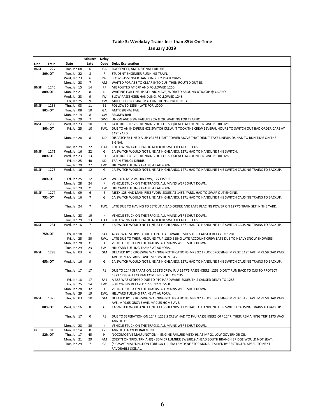### **Table 3: Weekday Trains less than 85% On‐Time January 2019**

|             |                |                            | <b>Minutes</b>  | <b>Delay</b> |                                                                                                                                           |
|-------------|----------------|----------------------------|-----------------|--------------|-------------------------------------------------------------------------------------------------------------------------------------------|
| Line        | Train          | Date                       | Late            | Code         | <b>Delay Explanation</b>                                                                                                                  |
| <b>BNSF</b> | 1227           | Tue, Jan 08                | 6               | GA           | ROOSEVELT, AMTK SIGNAL FAILURE                                                                                                            |
|             | 80% OT         | Tue, Jan 22                | 8               | R            | STUDENT ENGINEER RUNNING TRAIN.                                                                                                           |
|             |                | Wed, Jan 23                | 6               | IW           | SLOW PASSENGER HANDLING, ICY PLATFORMS                                                                                                    |
|             |                | Mon, Jan 28                | $\overline{7}$  | AM           | WAITED FOR A58 TO CLEAR INTO CUS, THEN ROUTED OUT B3                                                                                      |
| <b>BNSF</b> | 1246           | Tue, Jan 15                | 14              | RF           | MISROUTED AT CPK AND FOLLOWED 1250                                                                                                        |
|             | 80% OT         | Mon, Jan 21                | 8               | D            | WAITING FOR LINEUP AT UNION AVE, WORKED AROUND UTIOCXP @ CICERO                                                                           |
|             |                | Wed, Jan 23                | 9               | IW           | SLOW PASSENGER HANDLING, FOLLOWED 1248                                                                                                    |
|             |                | Fri, Jan 25                | 9               | <b>CW</b>    | MULTIPLE CROSSING MALFUNCTIONS - BROKEN RAIL                                                                                              |
| <b>BNSF</b> | 1258           | Thu, Jan 03                | 11              | E1           | FOLLOWED 1256 - LATE FOR LOCO                                                                                                             |
|             | 80% OT         | Tue, Jan 08                | 10              | GA           | AMTK SIGNAL FAIL                                                                                                                          |
|             |                | Mon, Jan 14                | 8               | <b>CW</b>    | <b>BROKEN RAIL</b>                                                                                                                        |
|             |                | Tue, Jan 29                | $\overline{7}$  | GW1          | UNION AVE B SW FAILURES 2A & 2B. WAITING FOR TRAFFIC                                                                                      |
| <b>BNSF</b> | 1269<br>80% OT | Wed, Jan 23                | 10              | E1           | LATE DUE TO 1255 RUNNING OUT OF SEQUENCE ACCOUNT ENGINE PROBLEMS.                                                                         |
|             |                | Fri, Jan 25                | 10              |              | FW1 DUE TO AN INEXPERIENCE SWITCH CREW, IT TOOK THE CREW SEVERAL HOURS TO SWITCH OUT BAD ORDER CARS AY<br>14ST YARD.                      |
|             |                | Mon, Jan 28                | 8               | DD           | DISPATCHER LINED A UP YG166 LIGHT POWER MOVE THAT DIDN'T TAKE LINEUP. DS HAD TO RUN TIME ON THE                                           |
|             |                |                            |                 |              | SIGNAL.                                                                                                                                   |
|             |                | Tue, Jan 29                | 22              | GA1          | FOLLOWING LATE TRAFFIC AFTER 01 SWITCH FAILURE CUS.                                                                                       |
| <b>BNSF</b> | 1271           | Wed, Jan 16                | 22              | G            | 1A SWITCH WOULD NOT LINE AT HIGHLANDS. 1271 HAD TO HANDLINE THIS SWITCH.                                                                  |
|             | 80% OT         | Wed, Jan 23                | 13              | E1           | LATE DUE TO 1255 RUNNING OUT OF SEQUENCE ACCOUNT ENGINE PROBLEMS.                                                                         |
|             |                | Fri, Jan 25                | 40              | KD           | <b>TRAIN STRUCK DEBRIS</b>                                                                                                                |
|             |                | Tue, Jan 29                | 27              | EW1          | HILLYARD FUELING TRAINS AT AURORA.                                                                                                        |
| <b>BNSF</b> | 1273           | Wed, Jan 16                | 12              | G            | 1A SWITCH WOULD NOT LINE AT HIGHLANDS. 1271 HAD TO HANDLINE THIS SWITCH CAUSING TRAINS TO BACKUP.                                         |
|             |                |                            |                 |              |                                                                                                                                           |
|             | 80% OT         | Fri, Jan 25                | 12              | KW1          | WORKED MT2 W. HIN-FVW, 1271 ISSUE                                                                                                         |
|             |                | Mon, Jan 28                | 24              | К            | VEHICLE STUCK ON THE TRACKS. ALL MAINS WERE SHUT DOWN.                                                                                    |
|             |                | Tue, Jan 29                | 21              | EW           | HILLYARD FUELING TRAINS AT AURORA.                                                                                                        |
| <b>BNSF</b> | 1277           | Wed, Jan 09                | 6               | E            | METX 125 HAD MAIN RESERVOIR ISSUES AT 14ST. YARD. HAD TO SWAP OUT ENGINE.                                                                 |
|             | 75% OT         | Wed, Jan 16                | $\overline{7}$  | G            | 1A SWITCH WOULD NOT LINE AT HIGHLANDS. 1271 HAD TO HANDLINE THIS SWITCH CAUSING TRAINS TO BACKUP.                                         |
|             |                | Thu, Jan 24                | $\overline{7}$  | FW1          | LATE DUE TO HAVING TO SETOUT A BAD ORDER AND LATE PLACING POWER ON 1277'S TRAIN SET IN THE YARD.                                          |
|             |                | Mon, Jan 28                | 19              | К            | VEHICLE STUCK ON THE TRACKS. ALL MAINS WERE SHUT DOWN.                                                                                    |
|             |                | Tue, Jan 29                | 13              | GA1          | FOLLOWING LATE TRAFFIC AFTER 01 SWITCH FAILURE CUS.                                                                                       |
| <b>BNSF</b> | 1281           | Wed, Jan 16                | $7\overline{ }$ | G            | 1A SWITCH WOULD NOT LINE AT HIGHLANDS. 1271 HAD TO HANDLINE THIS SWITCH CAUSING TRAINS TO BACKUP.                                         |
|             |                |                            |                 |              |                                                                                                                                           |
|             | 75% OT         | Fri, Jan 18                | $\overline{7}$  | ZA1          | A-383 WAS STOPPED DUE TO PTC HARDWARE ISSUES. THIS CAUSED DELAY TO 1281.                                                                  |
|             |                | Fri, Jan 25                | 30              |              | RW1 LATE DUE TO THEIR INBOUND TRIP 1280 BEING LATE ACCOUNT CREW LATE DUE TO HEAVY SNOW SHOWERS.                                           |
|             |                | Mon, Jan 28                | 31              | К            | VEHICLE STUCK ON THE TRACKS. ALL MAINS WERE SHUT DOWN.                                                                                    |
| <b>BNSF</b> | 1283           | Tue, Jan 29<br>Thu, Jan 03 | 23<br>6         | EW1<br>GM    | HILLYARD FUELING TRAINS AT AURORA.<br>DELAYED BY 5 CROSSING WARNING NOTIFICATIONS-MP8.92 TRUCK CROSSING, MP9.32 EAST AVE, MP9.59 OAK PARK |
|             |                |                            |                 |              | AVE, MP9.65 GROVE AVE, MP9.85 HOME AVE.                                                                                                   |
|             | 65% OT         | Wed, Jan 16                | 9               | G            | 1A SWITCH WOULD NOT LINE AT HIGHLANDS. 1271 HAD TO HANDLINE THIS SWITCH CAUSING TRAINS TO BACKUP.                                         |
|             |                |                            |                 |              |                                                                                                                                           |
|             |                | Thu, Jan 17                | 17              | F1           | DUE TO 1247 SEPARATION. 1253'S CREW P/U 1247'S PASSENGERS. 1253 DIDN'T RUN BACK TO CUS TO PROTECT                                         |
|             |                |                            |                 |              | 1373.1283 & 1373 RAN COMBINED OUT OF CUS.                                                                                                 |
|             |                | Fri, Jan 18                | 17              |              | ZA1 A-383 WAS STOPPED DUE TO PTC HARDWARE ISSUES. THIS CAUSED DELAY TO 1283.                                                              |
|             |                | Fri, Jan 25                | 14              |              | KW1 FOLLOWING DELAYED 1273, 1271 ISSUE                                                                                                    |
|             |                | Mon, Jan 28                | 32              | Κ            | VEHICLE STUCK ON THE TRACKS. ALL MAINS WERE SHUT DOWN.                                                                                    |
|             |                | Tue, Jan 29                | 19              | EW1          | HILLYARD FUELING TRAINS AT AURORA.                                                                                                        |
| <b>BNSF</b> | 1373           | Thu, Jan 03                | 10              | GМ           | DELAYED BY 5 CROSSING WARNING NOTIFICATIONS-MP8.92 TRUCK CROSSING, MP9.32 EAST AVE, MP9.59 OAK PARK                                       |
|             |                |                            |                 |              | AVE, MP9.65 GROVE AVE, MP9.85 HOME AVE.                                                                                                   |
|             | 80% OT         | Wed, Jan 16                | 8               | G            | 1A SWITCH WOULD NOT LINE AT HIGHLANDS. 1271 HAD TO HANDLINE THIS SWITCH CAUSING TRAINS TO BACKUP.                                         |
|             |                |                            |                 |              |                                                                                                                                           |
|             |                | Thu, Jan 17                | $\pmb{0}$       | F1           | DUE TO SEPERATION ON 1247. 1253'S CREW HAD TO P/U PASSENGERS OFF 1247. THEIR REMAINING TRIP 1373 WAS                                      |
|             |                |                            |                 |              | ANNULED.                                                                                                                                  |
| нc          | 915            | Mon, Jan 28<br>Mon, Jan 14 | 30<br>0         | Κ<br>XYF     | VEHICLE STUCK ON THE TRACKS. ALL MAINS WERE SHUT DOWN.<br>ANNULLED- CN DERAILMENT.                                                        |
|             | 82% OT         | Thu, Jan 17                | 45              | н            | (LOCOMOTIVE MALFUNCTION) - ENGINE FAILURE METX 98 AT MP 21 LOW GOVERNOR OIL.                                                              |
|             |                | Mon, Jan 21                | 29              | AM           | (OBSTN ON TRKS, TRN AHD) - 30M CP LUMBER SWS#819 AHEAD SOUTH BRANCH BRIDGE WOULD NOT SEAT.                                                |
|             |                | Tue, Jan 29                | 7               | GF           | (SIG/SWT MALFUNCTION FOREIGN LI) - 6M LEMOYNE STOP SIGNAL TALKED BY RESTRICTED SPEED TO NEXT                                              |
|             |                |                            |                 |              | FAVORABLE SIGNAL.                                                                                                                         |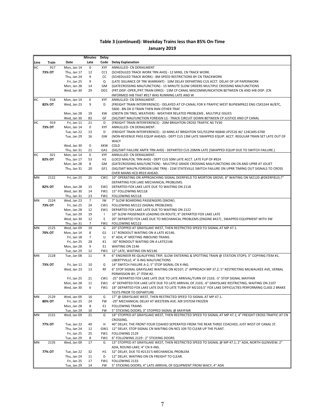|      |        |                            | <b>Minutes</b> | Delay          |                                                                                                                                                            |
|------|--------|----------------------------|----------------|----------------|------------------------------------------------------------------------------------------------------------------------------------------------------------|
| Line | Train  | Date                       | Late           | Code           | <b>Delay Explanation</b>                                                                                                                                   |
| HС   | 917    | Mon, Jan 14                | $\pmb{0}$      | XYF            | ANNULLED- CN DERAILMENT                                                                                                                                    |
|      | 73% OT | Thu, Jan 17                | 12             | CC1            | (SCHEDULED TRACK WORK TRN AHD) - 12 MINS, CN TRACK WORK.                                                                                                   |
|      |        | Thu, Jan 24                | 9              | CC             | (SCHEDULED TRACK WORK) - 8M SPEED RESTRICTIONS BY CN TRACKWORK                                                                                             |
|      |        | Fri, Jan 25                | 9              | Q              | (LATE ISSUANCE OF TRK WARRANT) - 10M DELAY DEPARTING CUS ACCT. DELAY OF UP PAPERWORK                                                                       |
|      |        | Mon, Jan 28                | 14             | GM             | (GATECROSSING MALFUNCTION) - 15 MINUTE SLOW ORDERS MULTIPLE CROSSING MALFUNCTIONS                                                                          |
|      |        | Wed, Jan 30                | 29             | DD1            | (FRT.DISP.-OPER./FRT.TRAIN ERRO) - 13M CP CANAL MISCOMMUNICATION BETWEEN CN AND IHB DISP. (CN                                                              |
|      |        |                            |                |                | INFORMED IHB THAT #917 WAS RUNNING LATE AND W                                                                                                              |
| нc   | 918    | Mon, Jan 14                | 0              | XYF            | ANNULLED- CN DERAILMENT.                                                                                                                                   |
|      | 82% OT | Wed, Jan 23                | 9              | D              | (FREIGHT TRAIN INTERFERENCE) - DELAYED AT CP-CANAL FOR X-TRAFFIC WEST BUPIEMP622 ENG CSX5244 W/87C,                                                        |
|      |        |                            |                |                | 5600 . BN OK D TRAIN THEN RAN OTHER TRAF                                                                                                                   |
|      |        | Mon, Jan 28                | 19             | KW             | (OBSTN ON TRKS, WEATHER) - WEATHER RELATED PROBLEMS, MULTIPLE ISSUES                                                                                       |
| HС   | 919    | Wed, Jan 30<br>Fri, Jan 11 | 83<br>21       | GF<br>D        | (SIG/SWT MALFUNCTION FOREIGN LI) - TRACK CIRCUIT DOWN BETWEEN CP JUSTICE AND CP CANAL<br>(FREIGHT TRAIN INTERFERENCE) - 20M BRIGHTON CROSS TRAFFIC NS TV30 |
|      | 73% OT | Mon, Jan 14                | 0              | XYF            | ANNULLED- CN DERAILMENT.                                                                                                                                   |
|      |        | Tue, Jan 22                | 13             | D              | (FREIGHT TRAIN INTERFERENCE) - 10 MINS AT BRIGHTON 541/552PM NS848 UP2526 W/ 124CARS 6700                                                                  |
|      |        | Tue, Jan 29                | 16             | GW             | (NON-REVENUE PASS EQUIP AHEAD) - DEPT CUS 13M LATE SWAPPED EQUIP. ACCT. REGULAR TRAIN SET LATE OUT OF                                                      |
|      |        |                            |                |                | <b>WACY</b>                                                                                                                                                |
|      |        | Wed, Jan 30                | 0              | XKW            | COLD                                                                                                                                                       |
|      |        | Thu, Jan 31                | 21             | GA1            | (SIG/SWT FAILURE AMTK TRN AHD) - DEPARTED CUS 20MIN LATE (SWAPPED EQUIP DUE TO SWITCH FAILURE.)                                                            |
| HС   | 921    | Mon, Jan 14                | 0              | XYF            | ANNULLED- CN DERAILMENT.                                                                                                                                   |
|      | 82% OT | Thu, Jan 17                | 53             | H1             | (LOCO MALFCN, TRN AHD) - DEPT CUS 50M LATE ACCT. LATE FLIP OF #924                                                                                         |
|      |        | Mon, Jan 28                | 8              | GM             | (GATECROSSING MALFUNCTION) - MULTIPLE GRADE CROSSING MALFUNCTIONS ON CN AND UPRR AT JOLIET                                                                 |
|      |        | Thu, Jan 31                | 20             | GF1            | (SIG/SWT MALFN.FOREIGN LINE TRN) - 21M STATEVILLE SWITCH FAILURE ON UPRR TIMING OUT SIGNALS TO CROSS                                                       |
|      |        |                            |                |                | OVER MAINS HCD #919 AHEAD.                                                                                                                                 |
| MN   | 2122   | Fri, Jan 25                | 25             | CW1            | 10" OPERATING ON APPROACHING SIGNAL DEERFIELD TO MORTON GROVE; 8" WAITING ON M2120 @DEERFIELD;7"                                                           |
|      |        |                            |                |                | DEPARTING FOX LAKE MECHANICAL PROBLEMS.                                                                                                                    |
|      | 82% OT | Mon, Jan 28                | 15             | EW1            | DEPARTED FOX LAKE LATE DUE TO WAITING ON 2118                                                                                                              |
|      |        | Wed, Jan 30                | 14             |                | FW1 15" FOLLOWING M2118                                                                                                                                    |
|      |        | Thu, Jan 31                | 23             | FW1            | FOLLOWING M2118                                                                                                                                            |
| MN   | 2124   | Wed, Jan 23                | $\overline{7}$ | IW             | 7" SLOW BOARDING PASSENGERS (SNOW).                                                                                                                        |
|      | 73% OT | Fri, Jan 25                | 24             |                | CW1 FOLLOWING M2122 (SIGNAL PROBLEMS)                                                                                                                      |
|      |        | Mon, Jan 28                | 12             |                | EW1 DEPARTED FOX LAKE LATE DUE TO WAITING ON 2122                                                                                                          |
|      |        | Tue, Jan 29                | 19             | $\mathbf{I}$   | 10" SLOW PASSENGER LOADING EN ROUTE; 9" DEPARTED FOX LAKE LATE                                                                                             |
|      |        | Wed, Jan 30                | 12             | E              | 20" DEPARTED FOX LAKE DUE TO MECHANICAL PROBLEMS (ENGINE #427), SWAPPED EQUIPMENT WITH 3W                                                                  |
|      |        | Thu, Jan 31                | $\overline{7}$ | FW1            | FOLLOWING M2122                                                                                                                                            |
| MN   | 2125   | Wed, Jan 09                | 19             | G              | 20" STOPPED AT GRAYSLAKE WEST, THEN RESTRICTED SPEED TO SIGNAL AT MP 47.1.                                                                                 |
|      | 70% OT | Mon, Jan 14                | 8              | G1             | 11" RONDOUT WAITING ON A LATE #2146.                                                                                                                       |
|      |        | Fri, Jan 18                | $\overline{7}$ | U              | 6" ADA; 4" MEETING INBOUND TRAINS.                                                                                                                         |
|      |        | Fri, Jan 25                | 28             | K1             | -30" RONDOUT WAITING ON A LATE2146                                                                                                                         |
|      |        | Mon, Jan 28                | 9              | E <sub>1</sub> | WAITING ON 2146<br>12" LATE, WAITING ON M2146                                                                                                              |
| MN   | 2128   | Tue, Jan 29<br>Tue, Jan 08 | 12<br>11       | FW1<br>R       | 6" ENGINEER RE-QUALIFYING TRIP, SLOW ENTERING & SPOTTING TRAIN @ STATION STOPS; 3" COPYING ITEM #1,                                                        |
|      |        |                            |                |                | LIBERTYVILLE; 4" X-ING MALFUNCTIONS                                                                                                                        |
|      | 73% OT | Fri, Jan 11                | 10             | G              | 14" SWITCH FAILURE A-2; 5" STOP SIGNAL CN X-ING.                                                                                                           |
|      |        | Wed, Jan 23                | 13             | <b>RF</b>      | 6" STOP SIGNAL GRAYSLAKE WAITING ON #2107; 2" APPROACH MP 37.2; 5" RESTRICTING MILWAUKEE AVE, VERBAL                                                       |
|      |        |                            |                |                | PERMISSION BY; 2" ITEM #2.                                                                                                                                 |
|      |        | Fri, Jan 25                | 21             |                | CW1 -25" DEPARTED FOX LAKE LATE DUE TO LATE ARRIVAL/TURN OF 2103; -5" STOP SIGNAL MAYFAIR                                                                  |
|      |        | Mon, Jan 28                | 11             | EW1            | -6" DEPARTED FOX LAKE LATE DUE TO LATE ARRIVAL OF 2103; -6" GRAYSLAKE RESTRICTING, WAITING ON 2107                                                         |
|      |        | Wed, Jan 30                | 6              |                | FW1 18" DEPARTED FOX LAKE LATE DUE TO LATE TURN OF M2103;5" FOX LAKE DIFFICULTIES PERFORMING CLASS 2 BRAKE                                                 |
|      |        |                            |                |                | <b>TESTS PRIOR TO DEPARTURE</b>                                                                                                                            |
| MN   | 2129   | Wed, Jan 09                | 16             | G              | 17" @ GRAYSLAKE WEST, THEN RESTRICTED SPEED TO SIGNAL AT MP 47.1.                                                                                          |
|      | 80% OT | Fri, Jan 25                | 24             | FW             | -29" MECHANICAL DELAY AT WESTERN AVE. AIR SYSTEM FROZEN                                                                                                    |
|      |        | Mon, Jan 28                | 8              | E1             | <b>FOLLOWING TRAINS</b>                                                                                                                                    |
|      |        | Tue, Jan 29                | 10             | FW             | 5" STICKING DOORS; 3" STOPPED SIGNAL @ MAYFAIR                                                                                                             |
| MN   | 2131   | Wed, Jan 09                | 21             | G              | 18" STOPPED AT GRAYSLAKE WEST, THEN RESTRICTED SPEED TO SIGNAL AT MP 47.1; 4" FREIGHT CROSS TRAFFIC AT CN                                                  |
|      |        |                            |                |                | CROSSING.                                                                                                                                                  |
|      | 77% OT | Tue, Jan 22                | 40             | н              | 40" DELAY, THE FRONT FOUR COAHED SEPERATED FROM THE REAR THREE COACHED, JUST WEST OF CANAL ST.                                                             |
|      |        | Thu, Jan 24                | 12             | GW1            | 12" DELAY, STOP SIGNAL CN WAITING ON NCS 109 TO CLEAR UP THE PLANT.                                                                                        |
|      |        | Fri, Jan 25                | 25             | FW1            | FOLLOWING 2129                                                                                                                                             |
|      |        | Tue, Jan 29                | 8              | FW1            | 6" FOLLOWING 2129 : 2" STICKING DOORS                                                                                                                      |
| MN   | 2135   | Wed, Jan 09                | 17             | G              | 13" STOPPED AT GRAYSLAKE WEST, THEN RESTRICTED SPEED TO SIGNAL @ MP 47.1; 2" ADA, NORTH GLENVIEW; 2"                                                       |
|      |        |                            |                |                | ADA, ROUND LAKE; 4" CN X-ING.                                                                                                                              |
|      | 77% OT | Tue, Jan 22                | 32             | H1             | 32" DELAY, DUE TO #2131'S MECHANICAL PROBLEM.                                                                                                              |
|      |        | Thu, Jan 24                | 11             | D              | 12" DELAY, WAITING ON CN FREIGHT TO CLEAR.                                                                                                                 |
|      |        | Fri, Jan 25                | 17             | FW1            | FOLLOWING 2133                                                                                                                                             |
|      |        | Tue, Jan 29                | 14             | FW             | 5" STICKING DOORS; 4" LATE ARRIVAL OF EQUIPMENT FROM WACY; 4" ADA                                                                                          |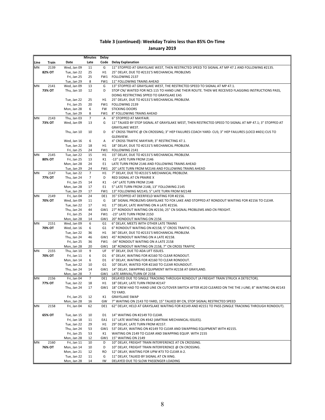|      |        |                            | Minutes         | Delay          |                                                                                                           |
|------|--------|----------------------------|-----------------|----------------|-----------------------------------------------------------------------------------------------------------|
| Line | Train  | Date                       | Late            | Code           | <b>Delay Explanation</b>                                                                                  |
| MN   | 2139   | Wed, Jan 09                | 11              | G              | 11" STOPPED AT GRAYSLAKE WEST, THEN RESTRICTED SPEED TO SIGNAL AT MP 47.1 AND FOLLOWING #2135.            |
|      | 82% OT | Tue, Jan 22                | 25              | H1             | 25" DELAY, DUE TO #2131'S MECHANICAL PROBLEMS                                                             |
|      |        | Fri, Jan 25                | 25              | FW1            | FOLLOWING 2137                                                                                            |
|      |        | Tue, Jan 29                | 8               | FW1            | 11" FOLLOWING TRAINS AHEAD                                                                                |
| MN   | 2141   | Wed, Jan 09                | 13              | G              | 13" STOPPED AT GRAYSLAKE WEST, THE RESTRICTED SPEED TO SIGNAL AT MP 47.1.                                 |
|      | 73% OT | Thu, Jan 10                | 12              | D              | STOP CN/WAITED FOR NCS 115 TO HAND LINE THEIR ROUTE. THEN WE RECEIVED FLAGGING INSTRUCTIONS PASS,         |
|      |        |                            |                 |                | DOING RESTRICTING SPPED TO GRAYSLAKE EAS                                                                  |
|      |        | Tue, Jan 22                | 25              | H1             | 25" DELAY, DUE TO #2131'S MECHANICAL PROBLEM.                                                             |
|      |        | Fri, Jan 25                | 20              | FW1            | FOLLOWING 2139                                                                                            |
|      |        | Mon, Jan 28                | 6               | <b>FW</b>      | <b>STICKING DOORS</b>                                                                                     |
|      |        | Tue, Jan 29                | 8               | FW1            | 8" FOLLOWING TRAINS AHEAD                                                                                 |
| MN   | 2143   | Thu, Jan 03                | $\overline{7}$  | Α              | 6" STOPPED AT MAYFAIR.                                                                                    |
|      | 73% OT | Wed, Jan 09                | 13              | G              | 11" TALKED BY STOP SIGNAL AT GRAYSLAKE WEST, THEN RESTRICTED SPEED TO SIGNAL AT MP 47.1; 3" STOPPED AT    |
|      |        |                            |                 |                | <b>GRAYSLAKE WEST.</b>                                                                                    |
|      |        | Thu, Jan 10                | 10              | D              | 6" CROSS TRAFFIC @ CN CROSSING; 3" HEP FAILURES COACH YARD- CUS; 3" HEP FAILURES (LOCO #401) CUS TO       |
|      |        |                            |                 |                | GLENVIEW.                                                                                                 |
|      |        | Wed, Jan 16                | 6               | Α              | 4" CROSS TRAFFIC MAYFAIR; 3" RESTRICTING 47.1.                                                            |
|      |        | Tue, Jan 22                | 18              | H1             | 18" DELAY, DUE TO #2131'S MECHANICAL PROBLEM.                                                             |
|      |        | Fri, Jan 25                | 24              | FW1            | FOLLOWING 2141                                                                                            |
| MN   | 2145   | Tue, Jan 22                | 15              | H1             | 15" DELAY, DUE TO #2131'S MECHANICAL PROBLEM.                                                             |
|      | 80% OT | Fri, Jan 25                | 13              | K1             | -13" LATE TURN FROM 2146                                                                                  |
|      |        | Mon, Jan 28                | 24              | E1             | LATE TURN FROM 2146 AND FOLLOWING TRAINS AHEAD                                                            |
|      |        | Tue, Jan 29                | 24              | FW1            | 20" LATE TURN FROM M2146 AND FOLLOWING TRAINS AHEAD                                                       |
| MN   | 2147   | Tue, Jan 22                | $\overline{7}$  | H1             | 7" DELAY, DUE TO #2131'S MECHANICAL PROBLEM.                                                              |
|      | 77% OT | Thu, Jan 24                | $7\overline{ }$ | D              | RED SIGNAL AT CN PRAIRIE X                                                                                |
|      |        | Fri, Jan 25                | 14              | K1             | -14" LATE TURN FROM 2148                                                                                  |
|      |        | Mon, Jan 28                | 17              | E1             | 5" LATE TURN FROM 2148, 13" FOLLOWING 2145                                                                |
|      |        | Tue, Jan 29                | 17              | FW1            | 13" FOLLOWING M2145; 5" LATE TURN FROM M2148                                                              |
| MN   | 2149   | Fri, Jan 04                | 24              | DE1            | 35" STOPPED AT DEERFIELD WAITING FOR #2156.                                                               |
|      | 70% OT | Wed, Jan 09                | 11              | G              | 18" SIGNAL PROBLEMS GRAYSLAKE TO FOX LAKE AND STOPPED AT RONDOUT WAITING FOR #2156 TO CLEAR.              |
|      |        | Tue, Jan 22                | 17              | H1             | 17" DELAY, LATE WAITING ON A LATE #2156.                                                                  |
|      |        | Thu, Jan 24                | 44              |                | GW1 27" RONDOUT WAITING ON #2156; 25" CN SIGNAL PROBLEMS AND CN FREIGHT.                                  |
|      |        | Fri, Jan 25                | 24              |                | FW1 -23" LATE TURN FROM 2150                                                                              |
|      |        | Mon, Jan 28                | 14              |                | GW1 20" RONDOUT WAITING ON 2156                                                                           |
| MN   | 2151   | Wed, Jan 09                | 6               | G <sub>1</sub> | 6" DELAY, MEETS WITH OTHER LATE TRAINS                                                                    |
|      | 70% OT | Wed, Jan 16                | 6               | G1             | 6" RONDOUT WAITING ON #2158; 5" CROSS TRAFFIC CN.                                                         |
|      |        | Tue, Jan 22                | 36              | H1             | 36" DELAY, DUE TO #2131'S MECHANICAL PROBLEM.                                                             |
|      |        | Thu, Jan 24                | 46              | GW1            | 45" RONDOUT WAITING ON A LATE #2158.                                                                      |
|      |        | Fri, Jan 25                | 36              | FW1            | -34" RONDOUT WAITING ON A LATE 2158                                                                       |
|      |        | Mon, Jan 28                | 20              | GW1            | 18" RONDOUT WAITING ON 2158, 7" CN CROSS TRAFFIC                                                          |
| MN   | 2155   | Thu, Jan 10                | 9               | UF             | 9" DELAY, DUE TO ADA LIFT ISSUES.                                                                         |
|      | 70% OT | Fri, Jan 11                | 6<br>6          | D1<br>D1       | 6" DELAY, WAITING FOR #2160 TO CLEAR RONDOUT.                                                             |
|      |        | Mon, Jan 14<br>Tue, Jan 22 | 10              | G1             | 6" DELAY, WAITING FOR #2160 TO CLEAR RONDOUT.<br>10" DELAY, WAITED FOR #2160 TO CLEAR ROUNDOUT.           |
|      |        | Thu, Jan 24                | 14              |                | GW1 14" DELAY, SWAPPING EQUIPMENT WITH #2158 AT GRAYLAND.                                                 |
|      |        | Mon, Jan 28                | $\overline{7}$  | GW1            | LATE ARRIVAL/TURN OF 2158                                                                                 |
| ΜN   | 2156   | Fri, Jan 04                | $7\overline{ }$ | DE1            | DELAYED DUE TO SINGLE TRACKING THROUGH RONDOUT (A FREIGHT TRAIN STRUCK A DETECTOR).                       |
|      | 77% OT | Tue, Jan 22                | 18              | H1             | 18" DELAY, LATE TURN FROM #2147                                                                           |
|      |        | Thu, Jan 24                | 17              |                | GW1 18" CREW HAD TO HAND LINE CN CUTOVER SWITCH AFTER #120 CLEARED ON THE THE J-LINE; 8" WAITING ON #2143 |
|      |        |                            |                 |                | TO YARD.                                                                                                  |
|      |        | Fri, Jan 25                | 12              | K1             | <b>GRAYSLAKE SWAP</b>                                                                                     |
|      |        | Mon, Jan 28                | 16              | GW             | 7" WAITING ON 2143 TO YARD, 15" TALKED BY CN, STOP SIGNAL RESTRICTED SPEED                                |
| ΜN   | 2158   | Fri, Jan 04                | 62              | DE1            | 62" DELAY, HELD AT GRAYSLAKE WAITING FOR #2149 AND #2151 TO PASS (SINGLE TRACKING THROUGH RONDOUT).       |
|      |        |                            |                 |                |                                                                                                           |
|      | 65% OT | Tue, Jan 15                | 10              | D1             | 14" WAITING ON #2149 TO CLEAR.                                                                            |
|      |        | Fri, Jan 18                | 11              |                | EA1 11" LATE WAITING ON #342 (AMTRAK MECHANICAL ISSUES).                                                  |
|      |        | Tue, Jan 22                | 29              | H1             | 29" DELAY, LATE TURN FROM #2157.                                                                          |
|      |        | Thu, Jan 24                | 53              |                | GW1 53" DELAY, WAITING ON #2149 TO CLEAR AND SWAPPING EQUIPMENT WITH #2155.                               |
|      |        | Fri, Jan 25                | 53              | K1             | WAITING ON 2149 TO CLEAR AND SWAPPING EQUIP. WITH 2155                                                    |
|      |        | Mon, Jan 28                | 12              | GW1            | 15" WAITING ON 2149                                                                                       |
| ΜN   | 2160   | Fri, Jan 11                | 10              | D              | 10" DELAY, FREIGHT TRAIN INTERFERENCE AT CN CROSSING.                                                     |
|      | 76% OT | Mon, Jan 14                | 10              | D              | 10" DELAY, FREIGHT TRAIN INTERFERENCE @ CN CROSSING.                                                      |
|      |        | Mon, Jan 21                | 12              | RO             | 12" DELAY, WAITING FOR UPW #73 TO CLEAR A-2.                                                              |
|      |        | Tue, Jan 22                | 11              | G              | 11" DELAY, TALKED BY SIGNAL AT CN XING.                                                                   |
|      |        | Mon, Jan 28                | 14              | IW             | DELAYED DUE TO SLOW PASSENGER LOADING                                                                     |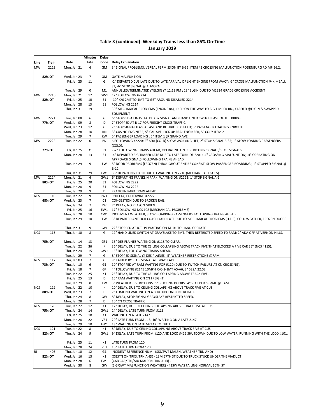| 6<br>2213<br>Mon, Jan 21<br>GM<br>3" SIGNAL PROBLEMS, VERBAL PERMISSION BY B-35; ITEM #2 CROSSING MALFUNCTION RODENBURG RD MP 26.2.<br>82% OT<br>Wed, Jan 23<br>$\overline{7}$<br><b>GATE MALFUNTION</b><br>GM<br>Fri, Jan 25<br>11<br>G<br>-2" DEPARTED CUS LATE DUE TO LATE ARRIVAL OF LIGHT ENGINE FROM WACY; -2" CROSS MALFUNCTION @ KIMBALL<br>ST; -6" STOP SIGNAL @ ALMORA<br>ANNULLED/TERMINATED @ELGIN @ 12:13 PM ; 23" ELGIN DUE TO M2234 GRADE CROSSING ACCIDENT<br>Tue, Jan 29<br>0<br>M1<br><b>MW</b><br>2216<br>Mon, Jan 21<br>12<br>GW1<br>12" FOLLOWING #2214.<br>82% OT<br>Fri, Jan 25<br>10<br>E1<br>-10" X/0 2MT TO 1MT TO GET AROUND DISABLED 2214<br>Mon, Jan 28<br>13<br>E <sub>1</sub><br>FOLLOWING 2214<br>Thu, Jan 31<br>19<br>Ε<br>30" MECHANICAL PROBLEMS (ENGINE 84), DIED ON THE WAY TO BIG TIMBER RD., YARDED @ELGIN & SWAPPED<br><b>EQUIPMENT</b><br><b>MW</b><br>2221<br>Tue, Jan 08<br>6<br>G<br>6" STOPPED AT B-35. TALKED BY SIGNAL AND HAND LINED SWITCH EAST OF THE BRIDGE.<br>77% OT<br>Wed, Jan 09<br>8<br>D<br>7" STOPPED AT B-17 FOR FREIGHT CROSS TRAFFIC.<br>Wed, Jan 23<br>12<br>7" STOP SIGNAL ITASCA EAST AND RESTRICTED SPEED; 5" PASSENGER LOADING ENROUTE.<br>G<br>Mon, Jan 28<br>10<br><b>RN</b><br>3" CUS NO ENGINEER, 5" CAL AVE. PICK UP REAL ENGINEER, 5" COPY ITEM 2<br>Tue, Jan 29<br>$\overline{7}$<br>5" PASSENGER LOADING ; 5" ITEM 1 @ GRAND AVE.<br>KW<br>2222<br>6<br>6 FOLLOWING #2220; 2" ADA (COLD) SLOW WORKING LIFT; 2" STOP SIGNAL B-35; 1" SLOW LOADING PASSENGERS<br>Tue, Jan 22<br>IW<br>(COLD).<br>77% OT<br>Fri, Jan 25<br>-32" FOLLOWING TRAINS AHEAD, OPERATING ON RESTRICTING SIGNALS/ STOP SIGNALS<br>31<br>E1<br>Mon, Jan 28<br>13<br>-4" DEPARTED BIG TIMBER LATE DUE TO LATE TURN OF 2201; -4" CROSSING MALFUNTION; -4" OPERATING ON<br>E1<br>APPROACH SIGNALS, FOLLOWING TRAINS AHEAD<br>Tue, Jan 29<br>9<br>8" DOOR PROBLEMS (FROZEN) THROUGHOUT ENTIRE CONSIST, SLOW PASSENGER BOARDING ; 1" STOPPED SIGNAL @<br>FW<br>$B-12$<br>Thu, Jan 31<br>29<br>EW1<br>36" DEPARTING ELGIN DUE TO WAITING ON 2216 (MECHANICAL ISSUES)<br>2224<br>6" DEPARTING FRANKLIN PARK, WAITING ON #2222; 1" STOP SIGNAL A-2.<br>Mon, Jan 21<br>6<br>GW1<br>80% OT<br>Fri, Jan 25<br>20<br>E1<br>FOLLOWING 2222<br>Mon, Jan 28<br>9<br>E <sub>1</sub><br>FOLLOWING 2222<br>9<br>Tue, Jan 29<br>D<br>FRANKLIN PARK TRAIN AHEAD<br><b>NCS</b><br>110<br>Tue, Jan 22<br>9<br>IW1<br>9"DELAY, FOLLOWING #2222.<br>68% OT<br>Wed, Jan 23<br>$\overline{7}$<br>C1<br>CONGESTION DUE TO BROKEN RAIL.<br>Thu, Jan 24<br>$\overline{7}$<br>IW<br>7" DELAY, NO REASON GIVEN.<br>Fri, Jan 25<br>16<br>EW1 17" FOLLOWING NCS 108 (MECHANICAL PROBLEMS)<br>Mon, Jan 28<br>10<br>CW1<br>INCLEMENT WEATHER, SLOW BOARDING PASSENGERS, FOLLOWING TRAINS AHEAD<br>Tue, Jan 29<br>FW<br>5" DEPARTED ANTIOCH COACH YARD LATE DUE TO MECHANICAL PROBLEMS (H.E.P); COLD WEATHER, FROZEN DOORS<br>10<br>22" STOPPED AT JCT. 19 WAITING ON M101 TO HAND OPERATE<br>Thu, Jan 31<br>9<br>GW<br>Thu, Jan 10<br>8<br>115<br>G<br>12" HAND LINED SWITCH AT GRAYSLAKE TO 2MT, THEN RESTRICTED SPEED TO RAM; 2" ADA OFF AT VERNON HILLS.<br>75% OT<br>Mon, Jan 14<br>13<br>13" DES PLAINES WAITING ON #118 TO CLEAR.<br>GF1<br>Tue, Jan 22<br>36<br>κ<br>36" DELAY, DUE TO THE CEILING COLLAPSING ABOVE TRACK FIVE THAT BLOCKED A FIVE CAR SET (NCS #115).<br>Thu, Jan 24<br>15<br>GW1 15" DELAY, FOLLOWING TRAINS AHEAD.<br>$\overline{7}$<br>G<br>Tue, Jan 29<br>8" STOPPED SIGNAL @ DES PLAINES ; 5" WEATHER RESTRICTIONS @RAM<br>$\overline{7}$<br>117<br>Thu, Jan 03<br>G<br>9" TALKED BY STOP SIGNAL AT GRAYSLAKE.<br>73% OT<br>Thu, Jan 10<br>6<br>10" STOPPED AT RAM WAITING FOR #120 (DUE TO SWITCH FAILURE AT CN CROSSING).<br>G1<br>Fri, Jan 18<br>$\overline{7}$<br>GF<br>4" FOLLOWING #2145 10MPH X/O 3-1MT A5-A6; 3" 529A 22.03.<br>25<br>25" DELAY, DUE TO THE CEILING COLLAPSING ABOVE TRACK FIVE.<br>Tue, Jan 22<br>K1<br>Fri, Jan 25<br>13<br>15" RAM WAITING ON CN FREIGHT<br>D<br>5" WEATHER RESTRICTIONS ; 5" STICKING DOORS ; 4" STOPPED SIGNAL @ RAM<br>Tue, Jan 29<br>8<br>KW<br><b>NCS</b><br>119<br>Tue, Jan 22<br>10<br>К<br>10" DELAY, DUE TO CEILING COLLAPSING ABOVE TRACK FIVE AT CUS.<br>80% OT<br>$\overline{7}$<br>D<br>Wed, Jan 23<br>7" LOMOND WAITING ON A SOUTHBOUND CN FREIGHT.<br>Thu, Jan 24<br>8<br>GW<br>8" DELAY, STOP SIGNAL GRAYSLAKE RESTRICTED SPEED.<br>Mon, Jan 28<br>7<br>10" CN CROSS TRAFFIC<br>D<br>Tue, Jan 22<br>12" DELAY, DUE TO CEILING COLLAPSING ABOVE TRACK FIVE AT CUS.<br><b>NCS</b><br>120<br>12<br>K1<br>75% OT<br>Thu, Jan 24<br>14<br>GW1 14" DELAY, LATE TURN FROM #113.<br>Fri, Jan 25<br>18<br>WAITING ON A LATE 2147<br>K1<br>Mon, Jan 28<br>22<br>VE1<br>20" LATE TURN FROM 113, 10" WAITING ON A LATE 2147<br>Tue, Jan 29<br>13" WAITING ON LATE M2147 TO THE J<br>10<br>FW1<br>121<br>Tue, Jan 22<br>8<br>K1<br>8" DELAY, DUE TO CEILING COLLAPSING ABOVE TRACK FIVE AT CUS.<br>82% OT<br>Thu, Jan 24<br>9<br>9" DELAY, LATE TURN FROM #120 AND LOCO #422 SHUTDOWN DUE TO LOW WATER, RUNNING WITH THE LOCO #101.<br>GW1<br>Fri, Jan 25<br>11<br>LATE TURN FROM 120<br>K1<br>Mon, Jan 28<br>24<br>VE1<br>16" LATE TURN FROM 120<br>Thu, Jan 10<br>12<br>INCIDENT REFERENCE NUM - (SIG/SWT MALFN. WEATHER TRN AHD)<br>408<br>G <sub>1</sub><br>82% OT<br>Wed, Jan 16<br>K1<br>(OBSTN ON TRKS, TRN AHD) - 13M 57TH ST DUE TO TRUCK STUCK UNDER THE VIADUCT<br>13<br>Mon, Jan 28<br>6<br>FW1<br>(CAB CAR/TRL/MU MALFCN, TRN AHD) -<br>Wed, Jan 30<br>8<br>GW<br>(SIG/SWT MALFUNCTION WEATHER) - #1SW WAS FAILING NORMAL 16TH ST |            |       |      | <b>Minutes</b> | Delay |                          |
|---------------------------------------------------------------------------------------------------------------------------------------------------------------------------------------------------------------------------------------------------------------------------------------------------------------------------------------------------------------------------------------------------------------------------------------------------------------------------------------------------------------------------------------------------------------------------------------------------------------------------------------------------------------------------------------------------------------------------------------------------------------------------------------------------------------------------------------------------------------------------------------------------------------------------------------------------------------------------------------------------------------------------------------------------------------------------------------------------------------------------------------------------------------------------------------------------------------------------------------------------------------------------------------------------------------------------------------------------------------------------------------------------------------------------------------------------------------------------------------------------------------------------------------------------------------------------------------------------------------------------------------------------------------------------------------------------------------------------------------------------------------------------------------------------------------------------------------------------------------------------------------------------------------------------------------------------------------------------------------------------------------------------------------------------------------------------------------------------------------------------------------------------------------------------------------------------------------------------------------------------------------------------------------------------------------------------------------------------------------------------------------------------------------------------------------------------------------------------------------------------------------------------------------------------------------------------------------------------------------------------------------------------------------------------------------------------------------------------------------------------------------------------------------------------------------------------------------------------------------------------------------------------------------------------------------------------------------------------------------------------------------------------------------------------------------------------------------------------------------------------------------------------------------------------------------------------------------------------------------------------------------------------------------------------------------------------------------------------------------------------------------------------------------------------------------------------------------------------------------------------------------------------------------------------------------------------------------------------------------------------------------------------------------------------------------------------------------------------------------------------------------------------------------------------------------------------------------------------------------------------------------------------------------------------------------------------------------------------------------------------------------------------------------------------------------------------------------------------------------------------------------------------------------------------------------------------------------------------------------------------------------------------------------------------------------------------------------------------------------------------------------------------------------------------------------------------------------------------------------------------------------------------------------------------------------------------------------------------------------------------------------------------------------------------------------------------------------------------------------------------------------------------------------------------------------------------------------------------------------------------------------------------------------------------------------------------------------------------------------------------------------------------------------------------------------------------------------------------------------------------------------------------------------------------------------------------------------------------------------------------------------------------------------------------------------------------------------------------------------------------------------------------------------------------------------------------------------------------------------------------------------------------------------------------------------------------------------------------------------------------------------|------------|-------|------|----------------|-------|--------------------------|
|                                                                                                                                                                                                                                                                                                                                                                                                                                                                                                                                                                                                                                                                                                                                                                                                                                                                                                                                                                                                                                                                                                                                                                                                                                                                                                                                                                                                                                                                                                                                                                                                                                                                                                                                                                                                                                                                                                                                                                                                                                                                                                                                                                                                                                                                                                                                                                                                                                                                                                                                                                                                                                                                                                                                                                                                                                                                                                                                                                                                                                                                                                                                                                                                                                                                                                                                                                                                                                                                                                                                                                                                                                                                                                                                                                                                                                                                                                                                                                                                                                                                                                                                                                                                                                                                                                                                                                                                                                                                                                                                                                                                                                                                                                                                                                                                                                                                                                                                                                                                                                                                                                                                                                                                                                                                                                                                                                                                                                                                                                                                                                                                                                       | Line       | Train | Date | Late           | Code  | <b>Delay Explanation</b> |
|                                                                                                                                                                                                                                                                                                                                                                                                                                                                                                                                                                                                                                                                                                                                                                                                                                                                                                                                                                                                                                                                                                                                                                                                                                                                                                                                                                                                                                                                                                                                                                                                                                                                                                                                                                                                                                                                                                                                                                                                                                                                                                                                                                                                                                                                                                                                                                                                                                                                                                                                                                                                                                                                                                                                                                                                                                                                                                                                                                                                                                                                                                                                                                                                                                                                                                                                                                                                                                                                                                                                                                                                                                                                                                                                                                                                                                                                                                                                                                                                                                                                                                                                                                                                                                                                                                                                                                                                                                                                                                                                                                                                                                                                                                                                                                                                                                                                                                                                                                                                                                                                                                                                                                                                                                                                                                                                                                                                                                                                                                                                                                                                                                       | <b>MW</b>  |       |      |                |       |                          |
|                                                                                                                                                                                                                                                                                                                                                                                                                                                                                                                                                                                                                                                                                                                                                                                                                                                                                                                                                                                                                                                                                                                                                                                                                                                                                                                                                                                                                                                                                                                                                                                                                                                                                                                                                                                                                                                                                                                                                                                                                                                                                                                                                                                                                                                                                                                                                                                                                                                                                                                                                                                                                                                                                                                                                                                                                                                                                                                                                                                                                                                                                                                                                                                                                                                                                                                                                                                                                                                                                                                                                                                                                                                                                                                                                                                                                                                                                                                                                                                                                                                                                                                                                                                                                                                                                                                                                                                                                                                                                                                                                                                                                                                                                                                                                                                                                                                                                                                                                                                                                                                                                                                                                                                                                                                                                                                                                                                                                                                                                                                                                                                                                                       |            |       |      |                |       |                          |
|                                                                                                                                                                                                                                                                                                                                                                                                                                                                                                                                                                                                                                                                                                                                                                                                                                                                                                                                                                                                                                                                                                                                                                                                                                                                                                                                                                                                                                                                                                                                                                                                                                                                                                                                                                                                                                                                                                                                                                                                                                                                                                                                                                                                                                                                                                                                                                                                                                                                                                                                                                                                                                                                                                                                                                                                                                                                                                                                                                                                                                                                                                                                                                                                                                                                                                                                                                                                                                                                                                                                                                                                                                                                                                                                                                                                                                                                                                                                                                                                                                                                                                                                                                                                                                                                                                                                                                                                                                                                                                                                                                                                                                                                                                                                                                                                                                                                                                                                                                                                                                                                                                                                                                                                                                                                                                                                                                                                                                                                                                                                                                                                                                       |            |       |      |                |       |                          |
|                                                                                                                                                                                                                                                                                                                                                                                                                                                                                                                                                                                                                                                                                                                                                                                                                                                                                                                                                                                                                                                                                                                                                                                                                                                                                                                                                                                                                                                                                                                                                                                                                                                                                                                                                                                                                                                                                                                                                                                                                                                                                                                                                                                                                                                                                                                                                                                                                                                                                                                                                                                                                                                                                                                                                                                                                                                                                                                                                                                                                                                                                                                                                                                                                                                                                                                                                                                                                                                                                                                                                                                                                                                                                                                                                                                                                                                                                                                                                                                                                                                                                                                                                                                                                                                                                                                                                                                                                                                                                                                                                                                                                                                                                                                                                                                                                                                                                                                                                                                                                                                                                                                                                                                                                                                                                                                                                                                                                                                                                                                                                                                                                                       |            |       |      |                |       |                          |
|                                                                                                                                                                                                                                                                                                                                                                                                                                                                                                                                                                                                                                                                                                                                                                                                                                                                                                                                                                                                                                                                                                                                                                                                                                                                                                                                                                                                                                                                                                                                                                                                                                                                                                                                                                                                                                                                                                                                                                                                                                                                                                                                                                                                                                                                                                                                                                                                                                                                                                                                                                                                                                                                                                                                                                                                                                                                                                                                                                                                                                                                                                                                                                                                                                                                                                                                                                                                                                                                                                                                                                                                                                                                                                                                                                                                                                                                                                                                                                                                                                                                                                                                                                                                                                                                                                                                                                                                                                                                                                                                                                                                                                                                                                                                                                                                                                                                                                                                                                                                                                                                                                                                                                                                                                                                                                                                                                                                                                                                                                                                                                                                                                       |            |       |      |                |       |                          |
|                                                                                                                                                                                                                                                                                                                                                                                                                                                                                                                                                                                                                                                                                                                                                                                                                                                                                                                                                                                                                                                                                                                                                                                                                                                                                                                                                                                                                                                                                                                                                                                                                                                                                                                                                                                                                                                                                                                                                                                                                                                                                                                                                                                                                                                                                                                                                                                                                                                                                                                                                                                                                                                                                                                                                                                                                                                                                                                                                                                                                                                                                                                                                                                                                                                                                                                                                                                                                                                                                                                                                                                                                                                                                                                                                                                                                                                                                                                                                                                                                                                                                                                                                                                                                                                                                                                                                                                                                                                                                                                                                                                                                                                                                                                                                                                                                                                                                                                                                                                                                                                                                                                                                                                                                                                                                                                                                                                                                                                                                                                                                                                                                                       |            |       |      |                |       |                          |
|                                                                                                                                                                                                                                                                                                                                                                                                                                                                                                                                                                                                                                                                                                                                                                                                                                                                                                                                                                                                                                                                                                                                                                                                                                                                                                                                                                                                                                                                                                                                                                                                                                                                                                                                                                                                                                                                                                                                                                                                                                                                                                                                                                                                                                                                                                                                                                                                                                                                                                                                                                                                                                                                                                                                                                                                                                                                                                                                                                                                                                                                                                                                                                                                                                                                                                                                                                                                                                                                                                                                                                                                                                                                                                                                                                                                                                                                                                                                                                                                                                                                                                                                                                                                                                                                                                                                                                                                                                                                                                                                                                                                                                                                                                                                                                                                                                                                                                                                                                                                                                                                                                                                                                                                                                                                                                                                                                                                                                                                                                                                                                                                                                       |            |       |      |                |       |                          |
|                                                                                                                                                                                                                                                                                                                                                                                                                                                                                                                                                                                                                                                                                                                                                                                                                                                                                                                                                                                                                                                                                                                                                                                                                                                                                                                                                                                                                                                                                                                                                                                                                                                                                                                                                                                                                                                                                                                                                                                                                                                                                                                                                                                                                                                                                                                                                                                                                                                                                                                                                                                                                                                                                                                                                                                                                                                                                                                                                                                                                                                                                                                                                                                                                                                                                                                                                                                                                                                                                                                                                                                                                                                                                                                                                                                                                                                                                                                                                                                                                                                                                                                                                                                                                                                                                                                                                                                                                                                                                                                                                                                                                                                                                                                                                                                                                                                                                                                                                                                                                                                                                                                                                                                                                                                                                                                                                                                                                                                                                                                                                                                                                                       |            |       |      |                |       |                          |
|                                                                                                                                                                                                                                                                                                                                                                                                                                                                                                                                                                                                                                                                                                                                                                                                                                                                                                                                                                                                                                                                                                                                                                                                                                                                                                                                                                                                                                                                                                                                                                                                                                                                                                                                                                                                                                                                                                                                                                                                                                                                                                                                                                                                                                                                                                                                                                                                                                                                                                                                                                                                                                                                                                                                                                                                                                                                                                                                                                                                                                                                                                                                                                                                                                                                                                                                                                                                                                                                                                                                                                                                                                                                                                                                                                                                                                                                                                                                                                                                                                                                                                                                                                                                                                                                                                                                                                                                                                                                                                                                                                                                                                                                                                                                                                                                                                                                                                                                                                                                                                                                                                                                                                                                                                                                                                                                                                                                                                                                                                                                                                                                                                       |            |       |      |                |       |                          |
|                                                                                                                                                                                                                                                                                                                                                                                                                                                                                                                                                                                                                                                                                                                                                                                                                                                                                                                                                                                                                                                                                                                                                                                                                                                                                                                                                                                                                                                                                                                                                                                                                                                                                                                                                                                                                                                                                                                                                                                                                                                                                                                                                                                                                                                                                                                                                                                                                                                                                                                                                                                                                                                                                                                                                                                                                                                                                                                                                                                                                                                                                                                                                                                                                                                                                                                                                                                                                                                                                                                                                                                                                                                                                                                                                                                                                                                                                                                                                                                                                                                                                                                                                                                                                                                                                                                                                                                                                                                                                                                                                                                                                                                                                                                                                                                                                                                                                                                                                                                                                                                                                                                                                                                                                                                                                                                                                                                                                                                                                                                                                                                                                                       |            |       |      |                |       |                          |
|                                                                                                                                                                                                                                                                                                                                                                                                                                                                                                                                                                                                                                                                                                                                                                                                                                                                                                                                                                                                                                                                                                                                                                                                                                                                                                                                                                                                                                                                                                                                                                                                                                                                                                                                                                                                                                                                                                                                                                                                                                                                                                                                                                                                                                                                                                                                                                                                                                                                                                                                                                                                                                                                                                                                                                                                                                                                                                                                                                                                                                                                                                                                                                                                                                                                                                                                                                                                                                                                                                                                                                                                                                                                                                                                                                                                                                                                                                                                                                                                                                                                                                                                                                                                                                                                                                                                                                                                                                                                                                                                                                                                                                                                                                                                                                                                                                                                                                                                                                                                                                                                                                                                                                                                                                                                                                                                                                                                                                                                                                                                                                                                                                       |            |       |      |                |       |                          |
|                                                                                                                                                                                                                                                                                                                                                                                                                                                                                                                                                                                                                                                                                                                                                                                                                                                                                                                                                                                                                                                                                                                                                                                                                                                                                                                                                                                                                                                                                                                                                                                                                                                                                                                                                                                                                                                                                                                                                                                                                                                                                                                                                                                                                                                                                                                                                                                                                                                                                                                                                                                                                                                                                                                                                                                                                                                                                                                                                                                                                                                                                                                                                                                                                                                                                                                                                                                                                                                                                                                                                                                                                                                                                                                                                                                                                                                                                                                                                                                                                                                                                                                                                                                                                                                                                                                                                                                                                                                                                                                                                                                                                                                                                                                                                                                                                                                                                                                                                                                                                                                                                                                                                                                                                                                                                                                                                                                                                                                                                                                                                                                                                                       |            |       |      |                |       |                          |
|                                                                                                                                                                                                                                                                                                                                                                                                                                                                                                                                                                                                                                                                                                                                                                                                                                                                                                                                                                                                                                                                                                                                                                                                                                                                                                                                                                                                                                                                                                                                                                                                                                                                                                                                                                                                                                                                                                                                                                                                                                                                                                                                                                                                                                                                                                                                                                                                                                                                                                                                                                                                                                                                                                                                                                                                                                                                                                                                                                                                                                                                                                                                                                                                                                                                                                                                                                                                                                                                                                                                                                                                                                                                                                                                                                                                                                                                                                                                                                                                                                                                                                                                                                                                                                                                                                                                                                                                                                                                                                                                                                                                                                                                                                                                                                                                                                                                                                                                                                                                                                                                                                                                                                                                                                                                                                                                                                                                                                                                                                                                                                                                                                       |            |       |      |                |       |                          |
|                                                                                                                                                                                                                                                                                                                                                                                                                                                                                                                                                                                                                                                                                                                                                                                                                                                                                                                                                                                                                                                                                                                                                                                                                                                                                                                                                                                                                                                                                                                                                                                                                                                                                                                                                                                                                                                                                                                                                                                                                                                                                                                                                                                                                                                                                                                                                                                                                                                                                                                                                                                                                                                                                                                                                                                                                                                                                                                                                                                                                                                                                                                                                                                                                                                                                                                                                                                                                                                                                                                                                                                                                                                                                                                                                                                                                                                                                                                                                                                                                                                                                                                                                                                                                                                                                                                                                                                                                                                                                                                                                                                                                                                                                                                                                                                                                                                                                                                                                                                                                                                                                                                                                                                                                                                                                                                                                                                                                                                                                                                                                                                                                                       |            |       |      |                |       |                          |
|                                                                                                                                                                                                                                                                                                                                                                                                                                                                                                                                                                                                                                                                                                                                                                                                                                                                                                                                                                                                                                                                                                                                                                                                                                                                                                                                                                                                                                                                                                                                                                                                                                                                                                                                                                                                                                                                                                                                                                                                                                                                                                                                                                                                                                                                                                                                                                                                                                                                                                                                                                                                                                                                                                                                                                                                                                                                                                                                                                                                                                                                                                                                                                                                                                                                                                                                                                                                                                                                                                                                                                                                                                                                                                                                                                                                                                                                                                                                                                                                                                                                                                                                                                                                                                                                                                                                                                                                                                                                                                                                                                                                                                                                                                                                                                                                                                                                                                                                                                                                                                                                                                                                                                                                                                                                                                                                                                                                                                                                                                                                                                                                                                       |            |       |      |                |       |                          |
|                                                                                                                                                                                                                                                                                                                                                                                                                                                                                                                                                                                                                                                                                                                                                                                                                                                                                                                                                                                                                                                                                                                                                                                                                                                                                                                                                                                                                                                                                                                                                                                                                                                                                                                                                                                                                                                                                                                                                                                                                                                                                                                                                                                                                                                                                                                                                                                                                                                                                                                                                                                                                                                                                                                                                                                                                                                                                                                                                                                                                                                                                                                                                                                                                                                                                                                                                                                                                                                                                                                                                                                                                                                                                                                                                                                                                                                                                                                                                                                                                                                                                                                                                                                                                                                                                                                                                                                                                                                                                                                                                                                                                                                                                                                                                                                                                                                                                                                                                                                                                                                                                                                                                                                                                                                                                                                                                                                                                                                                                                                                                                                                                                       | <b>MW</b>  |       |      |                |       |                          |
|                                                                                                                                                                                                                                                                                                                                                                                                                                                                                                                                                                                                                                                                                                                                                                                                                                                                                                                                                                                                                                                                                                                                                                                                                                                                                                                                                                                                                                                                                                                                                                                                                                                                                                                                                                                                                                                                                                                                                                                                                                                                                                                                                                                                                                                                                                                                                                                                                                                                                                                                                                                                                                                                                                                                                                                                                                                                                                                                                                                                                                                                                                                                                                                                                                                                                                                                                                                                                                                                                                                                                                                                                                                                                                                                                                                                                                                                                                                                                                                                                                                                                                                                                                                                                                                                                                                                                                                                                                                                                                                                                                                                                                                                                                                                                                                                                                                                                                                                                                                                                                                                                                                                                                                                                                                                                                                                                                                                                                                                                                                                                                                                                                       |            |       |      |                |       |                          |
|                                                                                                                                                                                                                                                                                                                                                                                                                                                                                                                                                                                                                                                                                                                                                                                                                                                                                                                                                                                                                                                                                                                                                                                                                                                                                                                                                                                                                                                                                                                                                                                                                                                                                                                                                                                                                                                                                                                                                                                                                                                                                                                                                                                                                                                                                                                                                                                                                                                                                                                                                                                                                                                                                                                                                                                                                                                                                                                                                                                                                                                                                                                                                                                                                                                                                                                                                                                                                                                                                                                                                                                                                                                                                                                                                                                                                                                                                                                                                                                                                                                                                                                                                                                                                                                                                                                                                                                                                                                                                                                                                                                                                                                                                                                                                                                                                                                                                                                                                                                                                                                                                                                                                                                                                                                                                                                                                                                                                                                                                                                                                                                                                                       |            |       |      |                |       |                          |
|                                                                                                                                                                                                                                                                                                                                                                                                                                                                                                                                                                                                                                                                                                                                                                                                                                                                                                                                                                                                                                                                                                                                                                                                                                                                                                                                                                                                                                                                                                                                                                                                                                                                                                                                                                                                                                                                                                                                                                                                                                                                                                                                                                                                                                                                                                                                                                                                                                                                                                                                                                                                                                                                                                                                                                                                                                                                                                                                                                                                                                                                                                                                                                                                                                                                                                                                                                                                                                                                                                                                                                                                                                                                                                                                                                                                                                                                                                                                                                                                                                                                                                                                                                                                                                                                                                                                                                                                                                                                                                                                                                                                                                                                                                                                                                                                                                                                                                                                                                                                                                                                                                                                                                                                                                                                                                                                                                                                                                                                                                                                                                                                                                       |            |       |      |                |       |                          |
|                                                                                                                                                                                                                                                                                                                                                                                                                                                                                                                                                                                                                                                                                                                                                                                                                                                                                                                                                                                                                                                                                                                                                                                                                                                                                                                                                                                                                                                                                                                                                                                                                                                                                                                                                                                                                                                                                                                                                                                                                                                                                                                                                                                                                                                                                                                                                                                                                                                                                                                                                                                                                                                                                                                                                                                                                                                                                                                                                                                                                                                                                                                                                                                                                                                                                                                                                                                                                                                                                                                                                                                                                                                                                                                                                                                                                                                                                                                                                                                                                                                                                                                                                                                                                                                                                                                                                                                                                                                                                                                                                                                                                                                                                                                                                                                                                                                                                                                                                                                                                                                                                                                                                                                                                                                                                                                                                                                                                                                                                                                                                                                                                                       |            |       |      |                |       |                          |
|                                                                                                                                                                                                                                                                                                                                                                                                                                                                                                                                                                                                                                                                                                                                                                                                                                                                                                                                                                                                                                                                                                                                                                                                                                                                                                                                                                                                                                                                                                                                                                                                                                                                                                                                                                                                                                                                                                                                                                                                                                                                                                                                                                                                                                                                                                                                                                                                                                                                                                                                                                                                                                                                                                                                                                                                                                                                                                                                                                                                                                                                                                                                                                                                                                                                                                                                                                                                                                                                                                                                                                                                                                                                                                                                                                                                                                                                                                                                                                                                                                                                                                                                                                                                                                                                                                                                                                                                                                                                                                                                                                                                                                                                                                                                                                                                                                                                                                                                                                                                                                                                                                                                                                                                                                                                                                                                                                                                                                                                                                                                                                                                                                       |            |       |      |                |       |                          |
|                                                                                                                                                                                                                                                                                                                                                                                                                                                                                                                                                                                                                                                                                                                                                                                                                                                                                                                                                                                                                                                                                                                                                                                                                                                                                                                                                                                                                                                                                                                                                                                                                                                                                                                                                                                                                                                                                                                                                                                                                                                                                                                                                                                                                                                                                                                                                                                                                                                                                                                                                                                                                                                                                                                                                                                                                                                                                                                                                                                                                                                                                                                                                                                                                                                                                                                                                                                                                                                                                                                                                                                                                                                                                                                                                                                                                                                                                                                                                                                                                                                                                                                                                                                                                                                                                                                                                                                                                                                                                                                                                                                                                                                                                                                                                                                                                                                                                                                                                                                                                                                                                                                                                                                                                                                                                                                                                                                                                                                                                                                                                                                                                                       |            |       |      |                |       |                          |
|                                                                                                                                                                                                                                                                                                                                                                                                                                                                                                                                                                                                                                                                                                                                                                                                                                                                                                                                                                                                                                                                                                                                                                                                                                                                                                                                                                                                                                                                                                                                                                                                                                                                                                                                                                                                                                                                                                                                                                                                                                                                                                                                                                                                                                                                                                                                                                                                                                                                                                                                                                                                                                                                                                                                                                                                                                                                                                                                                                                                                                                                                                                                                                                                                                                                                                                                                                                                                                                                                                                                                                                                                                                                                                                                                                                                                                                                                                                                                                                                                                                                                                                                                                                                                                                                                                                                                                                                                                                                                                                                                                                                                                                                                                                                                                                                                                                                                                                                                                                                                                                                                                                                                                                                                                                                                                                                                                                                                                                                                                                                                                                                                                       |            |       |      |                |       |                          |
|                                                                                                                                                                                                                                                                                                                                                                                                                                                                                                                                                                                                                                                                                                                                                                                                                                                                                                                                                                                                                                                                                                                                                                                                                                                                                                                                                                                                                                                                                                                                                                                                                                                                                                                                                                                                                                                                                                                                                                                                                                                                                                                                                                                                                                                                                                                                                                                                                                                                                                                                                                                                                                                                                                                                                                                                                                                                                                                                                                                                                                                                                                                                                                                                                                                                                                                                                                                                                                                                                                                                                                                                                                                                                                                                                                                                                                                                                                                                                                                                                                                                                                                                                                                                                                                                                                                                                                                                                                                                                                                                                                                                                                                                                                                                                                                                                                                                                                                                                                                                                                                                                                                                                                                                                                                                                                                                                                                                                                                                                                                                                                                                                                       | <b>MW</b>  |       |      |                |       |                          |
|                                                                                                                                                                                                                                                                                                                                                                                                                                                                                                                                                                                                                                                                                                                                                                                                                                                                                                                                                                                                                                                                                                                                                                                                                                                                                                                                                                                                                                                                                                                                                                                                                                                                                                                                                                                                                                                                                                                                                                                                                                                                                                                                                                                                                                                                                                                                                                                                                                                                                                                                                                                                                                                                                                                                                                                                                                                                                                                                                                                                                                                                                                                                                                                                                                                                                                                                                                                                                                                                                                                                                                                                                                                                                                                                                                                                                                                                                                                                                                                                                                                                                                                                                                                                                                                                                                                                                                                                                                                                                                                                                                                                                                                                                                                                                                                                                                                                                                                                                                                                                                                                                                                                                                                                                                                                                                                                                                                                                                                                                                                                                                                                                                       |            |       |      |                |       |                          |
|                                                                                                                                                                                                                                                                                                                                                                                                                                                                                                                                                                                                                                                                                                                                                                                                                                                                                                                                                                                                                                                                                                                                                                                                                                                                                                                                                                                                                                                                                                                                                                                                                                                                                                                                                                                                                                                                                                                                                                                                                                                                                                                                                                                                                                                                                                                                                                                                                                                                                                                                                                                                                                                                                                                                                                                                                                                                                                                                                                                                                                                                                                                                                                                                                                                                                                                                                                                                                                                                                                                                                                                                                                                                                                                                                                                                                                                                                                                                                                                                                                                                                                                                                                                                                                                                                                                                                                                                                                                                                                                                                                                                                                                                                                                                                                                                                                                                                                                                                                                                                                                                                                                                                                                                                                                                                                                                                                                                                                                                                                                                                                                                                                       |            |       |      |                |       |                          |
|                                                                                                                                                                                                                                                                                                                                                                                                                                                                                                                                                                                                                                                                                                                                                                                                                                                                                                                                                                                                                                                                                                                                                                                                                                                                                                                                                                                                                                                                                                                                                                                                                                                                                                                                                                                                                                                                                                                                                                                                                                                                                                                                                                                                                                                                                                                                                                                                                                                                                                                                                                                                                                                                                                                                                                                                                                                                                                                                                                                                                                                                                                                                                                                                                                                                                                                                                                                                                                                                                                                                                                                                                                                                                                                                                                                                                                                                                                                                                                                                                                                                                                                                                                                                                                                                                                                                                                                                                                                                                                                                                                                                                                                                                                                                                                                                                                                                                                                                                                                                                                                                                                                                                                                                                                                                                                                                                                                                                                                                                                                                                                                                                                       |            |       |      |                |       |                          |
|                                                                                                                                                                                                                                                                                                                                                                                                                                                                                                                                                                                                                                                                                                                                                                                                                                                                                                                                                                                                                                                                                                                                                                                                                                                                                                                                                                                                                                                                                                                                                                                                                                                                                                                                                                                                                                                                                                                                                                                                                                                                                                                                                                                                                                                                                                                                                                                                                                                                                                                                                                                                                                                                                                                                                                                                                                                                                                                                                                                                                                                                                                                                                                                                                                                                                                                                                                                                                                                                                                                                                                                                                                                                                                                                                                                                                                                                                                                                                                                                                                                                                                                                                                                                                                                                                                                                                                                                                                                                                                                                                                                                                                                                                                                                                                                                                                                                                                                                                                                                                                                                                                                                                                                                                                                                                                                                                                                                                                                                                                                                                                                                                                       |            |       |      |                |       |                          |
|                                                                                                                                                                                                                                                                                                                                                                                                                                                                                                                                                                                                                                                                                                                                                                                                                                                                                                                                                                                                                                                                                                                                                                                                                                                                                                                                                                                                                                                                                                                                                                                                                                                                                                                                                                                                                                                                                                                                                                                                                                                                                                                                                                                                                                                                                                                                                                                                                                                                                                                                                                                                                                                                                                                                                                                                                                                                                                                                                                                                                                                                                                                                                                                                                                                                                                                                                                                                                                                                                                                                                                                                                                                                                                                                                                                                                                                                                                                                                                                                                                                                                                                                                                                                                                                                                                                                                                                                                                                                                                                                                                                                                                                                                                                                                                                                                                                                                                                                                                                                                                                                                                                                                                                                                                                                                                                                                                                                                                                                                                                                                                                                                                       |            |       |      |                |       |                          |
|                                                                                                                                                                                                                                                                                                                                                                                                                                                                                                                                                                                                                                                                                                                                                                                                                                                                                                                                                                                                                                                                                                                                                                                                                                                                                                                                                                                                                                                                                                                                                                                                                                                                                                                                                                                                                                                                                                                                                                                                                                                                                                                                                                                                                                                                                                                                                                                                                                                                                                                                                                                                                                                                                                                                                                                                                                                                                                                                                                                                                                                                                                                                                                                                                                                                                                                                                                                                                                                                                                                                                                                                                                                                                                                                                                                                                                                                                                                                                                                                                                                                                                                                                                                                                                                                                                                                                                                                                                                                                                                                                                                                                                                                                                                                                                                                                                                                                                                                                                                                                                                                                                                                                                                                                                                                                                                                                                                                                                                                                                                                                                                                                                       |            |       |      |                |       |                          |
|                                                                                                                                                                                                                                                                                                                                                                                                                                                                                                                                                                                                                                                                                                                                                                                                                                                                                                                                                                                                                                                                                                                                                                                                                                                                                                                                                                                                                                                                                                                                                                                                                                                                                                                                                                                                                                                                                                                                                                                                                                                                                                                                                                                                                                                                                                                                                                                                                                                                                                                                                                                                                                                                                                                                                                                                                                                                                                                                                                                                                                                                                                                                                                                                                                                                                                                                                                                                                                                                                                                                                                                                                                                                                                                                                                                                                                                                                                                                                                                                                                                                                                                                                                                                                                                                                                                                                                                                                                                                                                                                                                                                                                                                                                                                                                                                                                                                                                                                                                                                                                                                                                                                                                                                                                                                                                                                                                                                                                                                                                                                                                                                                                       |            |       |      |                |       |                          |
|                                                                                                                                                                                                                                                                                                                                                                                                                                                                                                                                                                                                                                                                                                                                                                                                                                                                                                                                                                                                                                                                                                                                                                                                                                                                                                                                                                                                                                                                                                                                                                                                                                                                                                                                                                                                                                                                                                                                                                                                                                                                                                                                                                                                                                                                                                                                                                                                                                                                                                                                                                                                                                                                                                                                                                                                                                                                                                                                                                                                                                                                                                                                                                                                                                                                                                                                                                                                                                                                                                                                                                                                                                                                                                                                                                                                                                                                                                                                                                                                                                                                                                                                                                                                                                                                                                                                                                                                                                                                                                                                                                                                                                                                                                                                                                                                                                                                                                                                                                                                                                                                                                                                                                                                                                                                                                                                                                                                                                                                                                                                                                                                                                       |            |       |      |                |       |                          |
|                                                                                                                                                                                                                                                                                                                                                                                                                                                                                                                                                                                                                                                                                                                                                                                                                                                                                                                                                                                                                                                                                                                                                                                                                                                                                                                                                                                                                                                                                                                                                                                                                                                                                                                                                                                                                                                                                                                                                                                                                                                                                                                                                                                                                                                                                                                                                                                                                                                                                                                                                                                                                                                                                                                                                                                                                                                                                                                                                                                                                                                                                                                                                                                                                                                                                                                                                                                                                                                                                                                                                                                                                                                                                                                                                                                                                                                                                                                                                                                                                                                                                                                                                                                                                                                                                                                                                                                                                                                                                                                                                                                                                                                                                                                                                                                                                                                                                                                                                                                                                                                                                                                                                                                                                                                                                                                                                                                                                                                                                                                                                                                                                                       |            |       |      |                |       |                          |
|                                                                                                                                                                                                                                                                                                                                                                                                                                                                                                                                                                                                                                                                                                                                                                                                                                                                                                                                                                                                                                                                                                                                                                                                                                                                                                                                                                                                                                                                                                                                                                                                                                                                                                                                                                                                                                                                                                                                                                                                                                                                                                                                                                                                                                                                                                                                                                                                                                                                                                                                                                                                                                                                                                                                                                                                                                                                                                                                                                                                                                                                                                                                                                                                                                                                                                                                                                                                                                                                                                                                                                                                                                                                                                                                                                                                                                                                                                                                                                                                                                                                                                                                                                                                                                                                                                                                                                                                                                                                                                                                                                                                                                                                                                                                                                                                                                                                                                                                                                                                                                                                                                                                                                                                                                                                                                                                                                                                                                                                                                                                                                                                                                       |            |       |      |                |       |                          |
|                                                                                                                                                                                                                                                                                                                                                                                                                                                                                                                                                                                                                                                                                                                                                                                                                                                                                                                                                                                                                                                                                                                                                                                                                                                                                                                                                                                                                                                                                                                                                                                                                                                                                                                                                                                                                                                                                                                                                                                                                                                                                                                                                                                                                                                                                                                                                                                                                                                                                                                                                                                                                                                                                                                                                                                                                                                                                                                                                                                                                                                                                                                                                                                                                                                                                                                                                                                                                                                                                                                                                                                                                                                                                                                                                                                                                                                                                                                                                                                                                                                                                                                                                                                                                                                                                                                                                                                                                                                                                                                                                                                                                                                                                                                                                                                                                                                                                                                                                                                                                                                                                                                                                                                                                                                                                                                                                                                                                                                                                                                                                                                                                                       | <b>NCS</b> |       |      |                |       |                          |
|                                                                                                                                                                                                                                                                                                                                                                                                                                                                                                                                                                                                                                                                                                                                                                                                                                                                                                                                                                                                                                                                                                                                                                                                                                                                                                                                                                                                                                                                                                                                                                                                                                                                                                                                                                                                                                                                                                                                                                                                                                                                                                                                                                                                                                                                                                                                                                                                                                                                                                                                                                                                                                                                                                                                                                                                                                                                                                                                                                                                                                                                                                                                                                                                                                                                                                                                                                                                                                                                                                                                                                                                                                                                                                                                                                                                                                                                                                                                                                                                                                                                                                                                                                                                                                                                                                                                                                                                                                                                                                                                                                                                                                                                                                                                                                                                                                                                                                                                                                                                                                                                                                                                                                                                                                                                                                                                                                                                                                                                                                                                                                                                                                       |            |       |      |                |       |                          |
|                                                                                                                                                                                                                                                                                                                                                                                                                                                                                                                                                                                                                                                                                                                                                                                                                                                                                                                                                                                                                                                                                                                                                                                                                                                                                                                                                                                                                                                                                                                                                                                                                                                                                                                                                                                                                                                                                                                                                                                                                                                                                                                                                                                                                                                                                                                                                                                                                                                                                                                                                                                                                                                                                                                                                                                                                                                                                                                                                                                                                                                                                                                                                                                                                                                                                                                                                                                                                                                                                                                                                                                                                                                                                                                                                                                                                                                                                                                                                                                                                                                                                                                                                                                                                                                                                                                                                                                                                                                                                                                                                                                                                                                                                                                                                                                                                                                                                                                                                                                                                                                                                                                                                                                                                                                                                                                                                                                                                                                                                                                                                                                                                                       |            |       |      |                |       |                          |
|                                                                                                                                                                                                                                                                                                                                                                                                                                                                                                                                                                                                                                                                                                                                                                                                                                                                                                                                                                                                                                                                                                                                                                                                                                                                                                                                                                                                                                                                                                                                                                                                                                                                                                                                                                                                                                                                                                                                                                                                                                                                                                                                                                                                                                                                                                                                                                                                                                                                                                                                                                                                                                                                                                                                                                                                                                                                                                                                                                                                                                                                                                                                                                                                                                                                                                                                                                                                                                                                                                                                                                                                                                                                                                                                                                                                                                                                                                                                                                                                                                                                                                                                                                                                                                                                                                                                                                                                                                                                                                                                                                                                                                                                                                                                                                                                                                                                                                                                                                                                                                                                                                                                                                                                                                                                                                                                                                                                                                                                                                                                                                                                                                       |            |       |      |                |       |                          |
|                                                                                                                                                                                                                                                                                                                                                                                                                                                                                                                                                                                                                                                                                                                                                                                                                                                                                                                                                                                                                                                                                                                                                                                                                                                                                                                                                                                                                                                                                                                                                                                                                                                                                                                                                                                                                                                                                                                                                                                                                                                                                                                                                                                                                                                                                                                                                                                                                                                                                                                                                                                                                                                                                                                                                                                                                                                                                                                                                                                                                                                                                                                                                                                                                                                                                                                                                                                                                                                                                                                                                                                                                                                                                                                                                                                                                                                                                                                                                                                                                                                                                                                                                                                                                                                                                                                                                                                                                                                                                                                                                                                                                                                                                                                                                                                                                                                                                                                                                                                                                                                                                                                                                                                                                                                                                                                                                                                                                                                                                                                                                                                                                                       |            |       |      |                |       |                          |
|                                                                                                                                                                                                                                                                                                                                                                                                                                                                                                                                                                                                                                                                                                                                                                                                                                                                                                                                                                                                                                                                                                                                                                                                                                                                                                                                                                                                                                                                                                                                                                                                                                                                                                                                                                                                                                                                                                                                                                                                                                                                                                                                                                                                                                                                                                                                                                                                                                                                                                                                                                                                                                                                                                                                                                                                                                                                                                                                                                                                                                                                                                                                                                                                                                                                                                                                                                                                                                                                                                                                                                                                                                                                                                                                                                                                                                                                                                                                                                                                                                                                                                                                                                                                                                                                                                                                                                                                                                                                                                                                                                                                                                                                                                                                                                                                                                                                                                                                                                                                                                                                                                                                                                                                                                                                                                                                                                                                                                                                                                                                                                                                                                       |            |       |      |                |       |                          |
|                                                                                                                                                                                                                                                                                                                                                                                                                                                                                                                                                                                                                                                                                                                                                                                                                                                                                                                                                                                                                                                                                                                                                                                                                                                                                                                                                                                                                                                                                                                                                                                                                                                                                                                                                                                                                                                                                                                                                                                                                                                                                                                                                                                                                                                                                                                                                                                                                                                                                                                                                                                                                                                                                                                                                                                                                                                                                                                                                                                                                                                                                                                                                                                                                                                                                                                                                                                                                                                                                                                                                                                                                                                                                                                                                                                                                                                                                                                                                                                                                                                                                                                                                                                                                                                                                                                                                                                                                                                                                                                                                                                                                                                                                                                                                                                                                                                                                                                                                                                                                                                                                                                                                                                                                                                                                                                                                                                                                                                                                                                                                                                                                                       | <b>NCS</b> |       |      |                |       |                          |
|                                                                                                                                                                                                                                                                                                                                                                                                                                                                                                                                                                                                                                                                                                                                                                                                                                                                                                                                                                                                                                                                                                                                                                                                                                                                                                                                                                                                                                                                                                                                                                                                                                                                                                                                                                                                                                                                                                                                                                                                                                                                                                                                                                                                                                                                                                                                                                                                                                                                                                                                                                                                                                                                                                                                                                                                                                                                                                                                                                                                                                                                                                                                                                                                                                                                                                                                                                                                                                                                                                                                                                                                                                                                                                                                                                                                                                                                                                                                                                                                                                                                                                                                                                                                                                                                                                                                                                                                                                                                                                                                                                                                                                                                                                                                                                                                                                                                                                                                                                                                                                                                                                                                                                                                                                                                                                                                                                                                                                                                                                                                                                                                                                       |            |       |      |                |       |                          |
|                                                                                                                                                                                                                                                                                                                                                                                                                                                                                                                                                                                                                                                                                                                                                                                                                                                                                                                                                                                                                                                                                                                                                                                                                                                                                                                                                                                                                                                                                                                                                                                                                                                                                                                                                                                                                                                                                                                                                                                                                                                                                                                                                                                                                                                                                                                                                                                                                                                                                                                                                                                                                                                                                                                                                                                                                                                                                                                                                                                                                                                                                                                                                                                                                                                                                                                                                                                                                                                                                                                                                                                                                                                                                                                                                                                                                                                                                                                                                                                                                                                                                                                                                                                                                                                                                                                                                                                                                                                                                                                                                                                                                                                                                                                                                                                                                                                                                                                                                                                                                                                                                                                                                                                                                                                                                                                                                                                                                                                                                                                                                                                                                                       |            |       |      |                |       |                          |
|                                                                                                                                                                                                                                                                                                                                                                                                                                                                                                                                                                                                                                                                                                                                                                                                                                                                                                                                                                                                                                                                                                                                                                                                                                                                                                                                                                                                                                                                                                                                                                                                                                                                                                                                                                                                                                                                                                                                                                                                                                                                                                                                                                                                                                                                                                                                                                                                                                                                                                                                                                                                                                                                                                                                                                                                                                                                                                                                                                                                                                                                                                                                                                                                                                                                                                                                                                                                                                                                                                                                                                                                                                                                                                                                                                                                                                                                                                                                                                                                                                                                                                                                                                                                                                                                                                                                                                                                                                                                                                                                                                                                                                                                                                                                                                                                                                                                                                                                                                                                                                                                                                                                                                                                                                                                                                                                                                                                                                                                                                                                                                                                                                       |            |       |      |                |       |                          |
|                                                                                                                                                                                                                                                                                                                                                                                                                                                                                                                                                                                                                                                                                                                                                                                                                                                                                                                                                                                                                                                                                                                                                                                                                                                                                                                                                                                                                                                                                                                                                                                                                                                                                                                                                                                                                                                                                                                                                                                                                                                                                                                                                                                                                                                                                                                                                                                                                                                                                                                                                                                                                                                                                                                                                                                                                                                                                                                                                                                                                                                                                                                                                                                                                                                                                                                                                                                                                                                                                                                                                                                                                                                                                                                                                                                                                                                                                                                                                                                                                                                                                                                                                                                                                                                                                                                                                                                                                                                                                                                                                                                                                                                                                                                                                                                                                                                                                                                                                                                                                                                                                                                                                                                                                                                                                                                                                                                                                                                                                                                                                                                                                                       |            |       |      |                |       |                          |
|                                                                                                                                                                                                                                                                                                                                                                                                                                                                                                                                                                                                                                                                                                                                                                                                                                                                                                                                                                                                                                                                                                                                                                                                                                                                                                                                                                                                                                                                                                                                                                                                                                                                                                                                                                                                                                                                                                                                                                                                                                                                                                                                                                                                                                                                                                                                                                                                                                                                                                                                                                                                                                                                                                                                                                                                                                                                                                                                                                                                                                                                                                                                                                                                                                                                                                                                                                                                                                                                                                                                                                                                                                                                                                                                                                                                                                                                                                                                                                                                                                                                                                                                                                                                                                                                                                                                                                                                                                                                                                                                                                                                                                                                                                                                                                                                                                                                                                                                                                                                                                                                                                                                                                                                                                                                                                                                                                                                                                                                                                                                                                                                                                       |            |       |      |                |       |                          |
|                                                                                                                                                                                                                                                                                                                                                                                                                                                                                                                                                                                                                                                                                                                                                                                                                                                                                                                                                                                                                                                                                                                                                                                                                                                                                                                                                                                                                                                                                                                                                                                                                                                                                                                                                                                                                                                                                                                                                                                                                                                                                                                                                                                                                                                                                                                                                                                                                                                                                                                                                                                                                                                                                                                                                                                                                                                                                                                                                                                                                                                                                                                                                                                                                                                                                                                                                                                                                                                                                                                                                                                                                                                                                                                                                                                                                                                                                                                                                                                                                                                                                                                                                                                                                                                                                                                                                                                                                                                                                                                                                                                                                                                                                                                                                                                                                                                                                                                                                                                                                                                                                                                                                                                                                                                                                                                                                                                                                                                                                                                                                                                                                                       |            |       |      |                |       |                          |
|                                                                                                                                                                                                                                                                                                                                                                                                                                                                                                                                                                                                                                                                                                                                                                                                                                                                                                                                                                                                                                                                                                                                                                                                                                                                                                                                                                                                                                                                                                                                                                                                                                                                                                                                                                                                                                                                                                                                                                                                                                                                                                                                                                                                                                                                                                                                                                                                                                                                                                                                                                                                                                                                                                                                                                                                                                                                                                                                                                                                                                                                                                                                                                                                                                                                                                                                                                                                                                                                                                                                                                                                                                                                                                                                                                                                                                                                                                                                                                                                                                                                                                                                                                                                                                                                                                                                                                                                                                                                                                                                                                                                                                                                                                                                                                                                                                                                                                                                                                                                                                                                                                                                                                                                                                                                                                                                                                                                                                                                                                                                                                                                                                       |            |       |      |                |       |                          |
|                                                                                                                                                                                                                                                                                                                                                                                                                                                                                                                                                                                                                                                                                                                                                                                                                                                                                                                                                                                                                                                                                                                                                                                                                                                                                                                                                                                                                                                                                                                                                                                                                                                                                                                                                                                                                                                                                                                                                                                                                                                                                                                                                                                                                                                                                                                                                                                                                                                                                                                                                                                                                                                                                                                                                                                                                                                                                                                                                                                                                                                                                                                                                                                                                                                                                                                                                                                                                                                                                                                                                                                                                                                                                                                                                                                                                                                                                                                                                                                                                                                                                                                                                                                                                                                                                                                                                                                                                                                                                                                                                                                                                                                                                                                                                                                                                                                                                                                                                                                                                                                                                                                                                                                                                                                                                                                                                                                                                                                                                                                                                                                                                                       |            |       |      |                |       |                          |
|                                                                                                                                                                                                                                                                                                                                                                                                                                                                                                                                                                                                                                                                                                                                                                                                                                                                                                                                                                                                                                                                                                                                                                                                                                                                                                                                                                                                                                                                                                                                                                                                                                                                                                                                                                                                                                                                                                                                                                                                                                                                                                                                                                                                                                                                                                                                                                                                                                                                                                                                                                                                                                                                                                                                                                                                                                                                                                                                                                                                                                                                                                                                                                                                                                                                                                                                                                                                                                                                                                                                                                                                                                                                                                                                                                                                                                                                                                                                                                                                                                                                                                                                                                                                                                                                                                                                                                                                                                                                                                                                                                                                                                                                                                                                                                                                                                                                                                                                                                                                                                                                                                                                                                                                                                                                                                                                                                                                                                                                                                                                                                                                                                       |            |       |      |                |       |                          |
|                                                                                                                                                                                                                                                                                                                                                                                                                                                                                                                                                                                                                                                                                                                                                                                                                                                                                                                                                                                                                                                                                                                                                                                                                                                                                                                                                                                                                                                                                                                                                                                                                                                                                                                                                                                                                                                                                                                                                                                                                                                                                                                                                                                                                                                                                                                                                                                                                                                                                                                                                                                                                                                                                                                                                                                                                                                                                                                                                                                                                                                                                                                                                                                                                                                                                                                                                                                                                                                                                                                                                                                                                                                                                                                                                                                                                                                                                                                                                                                                                                                                                                                                                                                                                                                                                                                                                                                                                                                                                                                                                                                                                                                                                                                                                                                                                                                                                                                                                                                                                                                                                                                                                                                                                                                                                                                                                                                                                                                                                                                                                                                                                                       |            |       |      |                |       |                          |
|                                                                                                                                                                                                                                                                                                                                                                                                                                                                                                                                                                                                                                                                                                                                                                                                                                                                                                                                                                                                                                                                                                                                                                                                                                                                                                                                                                                                                                                                                                                                                                                                                                                                                                                                                                                                                                                                                                                                                                                                                                                                                                                                                                                                                                                                                                                                                                                                                                                                                                                                                                                                                                                                                                                                                                                                                                                                                                                                                                                                                                                                                                                                                                                                                                                                                                                                                                                                                                                                                                                                                                                                                                                                                                                                                                                                                                                                                                                                                                                                                                                                                                                                                                                                                                                                                                                                                                                                                                                                                                                                                                                                                                                                                                                                                                                                                                                                                                                                                                                                                                                                                                                                                                                                                                                                                                                                                                                                                                                                                                                                                                                                                                       |            |       |      |                |       |                          |
|                                                                                                                                                                                                                                                                                                                                                                                                                                                                                                                                                                                                                                                                                                                                                                                                                                                                                                                                                                                                                                                                                                                                                                                                                                                                                                                                                                                                                                                                                                                                                                                                                                                                                                                                                                                                                                                                                                                                                                                                                                                                                                                                                                                                                                                                                                                                                                                                                                                                                                                                                                                                                                                                                                                                                                                                                                                                                                                                                                                                                                                                                                                                                                                                                                                                                                                                                                                                                                                                                                                                                                                                                                                                                                                                                                                                                                                                                                                                                                                                                                                                                                                                                                                                                                                                                                                                                                                                                                                                                                                                                                                                                                                                                                                                                                                                                                                                                                                                                                                                                                                                                                                                                                                                                                                                                                                                                                                                                                                                                                                                                                                                                                       |            |       |      |                |       |                          |
|                                                                                                                                                                                                                                                                                                                                                                                                                                                                                                                                                                                                                                                                                                                                                                                                                                                                                                                                                                                                                                                                                                                                                                                                                                                                                                                                                                                                                                                                                                                                                                                                                                                                                                                                                                                                                                                                                                                                                                                                                                                                                                                                                                                                                                                                                                                                                                                                                                                                                                                                                                                                                                                                                                                                                                                                                                                                                                                                                                                                                                                                                                                                                                                                                                                                                                                                                                                                                                                                                                                                                                                                                                                                                                                                                                                                                                                                                                                                                                                                                                                                                                                                                                                                                                                                                                                                                                                                                                                                                                                                                                                                                                                                                                                                                                                                                                                                                                                                                                                                                                                                                                                                                                                                                                                                                                                                                                                                                                                                                                                                                                                                                                       |            |       |      |                |       |                          |
|                                                                                                                                                                                                                                                                                                                                                                                                                                                                                                                                                                                                                                                                                                                                                                                                                                                                                                                                                                                                                                                                                                                                                                                                                                                                                                                                                                                                                                                                                                                                                                                                                                                                                                                                                                                                                                                                                                                                                                                                                                                                                                                                                                                                                                                                                                                                                                                                                                                                                                                                                                                                                                                                                                                                                                                                                                                                                                                                                                                                                                                                                                                                                                                                                                                                                                                                                                                                                                                                                                                                                                                                                                                                                                                                                                                                                                                                                                                                                                                                                                                                                                                                                                                                                                                                                                                                                                                                                                                                                                                                                                                                                                                                                                                                                                                                                                                                                                                                                                                                                                                                                                                                                                                                                                                                                                                                                                                                                                                                                                                                                                                                                                       | <b>NCS</b> |       |      |                |       |                          |
|                                                                                                                                                                                                                                                                                                                                                                                                                                                                                                                                                                                                                                                                                                                                                                                                                                                                                                                                                                                                                                                                                                                                                                                                                                                                                                                                                                                                                                                                                                                                                                                                                                                                                                                                                                                                                                                                                                                                                                                                                                                                                                                                                                                                                                                                                                                                                                                                                                                                                                                                                                                                                                                                                                                                                                                                                                                                                                                                                                                                                                                                                                                                                                                                                                                                                                                                                                                                                                                                                                                                                                                                                                                                                                                                                                                                                                                                                                                                                                                                                                                                                                                                                                                                                                                                                                                                                                                                                                                                                                                                                                                                                                                                                                                                                                                                                                                                                                                                                                                                                                                                                                                                                                                                                                                                                                                                                                                                                                                                                                                                                                                                                                       |            |       |      |                |       |                          |
|                                                                                                                                                                                                                                                                                                                                                                                                                                                                                                                                                                                                                                                                                                                                                                                                                                                                                                                                                                                                                                                                                                                                                                                                                                                                                                                                                                                                                                                                                                                                                                                                                                                                                                                                                                                                                                                                                                                                                                                                                                                                                                                                                                                                                                                                                                                                                                                                                                                                                                                                                                                                                                                                                                                                                                                                                                                                                                                                                                                                                                                                                                                                                                                                                                                                                                                                                                                                                                                                                                                                                                                                                                                                                                                                                                                                                                                                                                                                                                                                                                                                                                                                                                                                                                                                                                                                                                                                                                                                                                                                                                                                                                                                                                                                                                                                                                                                                                                                                                                                                                                                                                                                                                                                                                                                                                                                                                                                                                                                                                                                                                                                                                       |            |       |      |                |       |                          |
|                                                                                                                                                                                                                                                                                                                                                                                                                                                                                                                                                                                                                                                                                                                                                                                                                                                                                                                                                                                                                                                                                                                                                                                                                                                                                                                                                                                                                                                                                                                                                                                                                                                                                                                                                                                                                                                                                                                                                                                                                                                                                                                                                                                                                                                                                                                                                                                                                                                                                                                                                                                                                                                                                                                                                                                                                                                                                                                                                                                                                                                                                                                                                                                                                                                                                                                                                                                                                                                                                                                                                                                                                                                                                                                                                                                                                                                                                                                                                                                                                                                                                                                                                                                                                                                                                                                                                                                                                                                                                                                                                                                                                                                                                                                                                                                                                                                                                                                                                                                                                                                                                                                                                                                                                                                                                                                                                                                                                                                                                                                                                                                                                                       |            |       |      |                |       |                          |
|                                                                                                                                                                                                                                                                                                                                                                                                                                                                                                                                                                                                                                                                                                                                                                                                                                                                                                                                                                                                                                                                                                                                                                                                                                                                                                                                                                                                                                                                                                                                                                                                                                                                                                                                                                                                                                                                                                                                                                                                                                                                                                                                                                                                                                                                                                                                                                                                                                                                                                                                                                                                                                                                                                                                                                                                                                                                                                                                                                                                                                                                                                                                                                                                                                                                                                                                                                                                                                                                                                                                                                                                                                                                                                                                                                                                                                                                                                                                                                                                                                                                                                                                                                                                                                                                                                                                                                                                                                                                                                                                                                                                                                                                                                                                                                                                                                                                                                                                                                                                                                                                                                                                                                                                                                                                                                                                                                                                                                                                                                                                                                                                                                       |            |       |      |                |       |                          |
|                                                                                                                                                                                                                                                                                                                                                                                                                                                                                                                                                                                                                                                                                                                                                                                                                                                                                                                                                                                                                                                                                                                                                                                                                                                                                                                                                                                                                                                                                                                                                                                                                                                                                                                                                                                                                                                                                                                                                                                                                                                                                                                                                                                                                                                                                                                                                                                                                                                                                                                                                                                                                                                                                                                                                                                                                                                                                                                                                                                                                                                                                                                                                                                                                                                                                                                                                                                                                                                                                                                                                                                                                                                                                                                                                                                                                                                                                                                                                                                                                                                                                                                                                                                                                                                                                                                                                                                                                                                                                                                                                                                                                                                                                                                                                                                                                                                                                                                                                                                                                                                                                                                                                                                                                                                                                                                                                                                                                                                                                                                                                                                                                                       | <b>RI</b>  |       |      |                |       |                          |
|                                                                                                                                                                                                                                                                                                                                                                                                                                                                                                                                                                                                                                                                                                                                                                                                                                                                                                                                                                                                                                                                                                                                                                                                                                                                                                                                                                                                                                                                                                                                                                                                                                                                                                                                                                                                                                                                                                                                                                                                                                                                                                                                                                                                                                                                                                                                                                                                                                                                                                                                                                                                                                                                                                                                                                                                                                                                                                                                                                                                                                                                                                                                                                                                                                                                                                                                                                                                                                                                                                                                                                                                                                                                                                                                                                                                                                                                                                                                                                                                                                                                                                                                                                                                                                                                                                                                                                                                                                                                                                                                                                                                                                                                                                                                                                                                                                                                                                                                                                                                                                                                                                                                                                                                                                                                                                                                                                                                                                                                                                                                                                                                                                       |            |       |      |                |       |                          |
|                                                                                                                                                                                                                                                                                                                                                                                                                                                                                                                                                                                                                                                                                                                                                                                                                                                                                                                                                                                                                                                                                                                                                                                                                                                                                                                                                                                                                                                                                                                                                                                                                                                                                                                                                                                                                                                                                                                                                                                                                                                                                                                                                                                                                                                                                                                                                                                                                                                                                                                                                                                                                                                                                                                                                                                                                                                                                                                                                                                                                                                                                                                                                                                                                                                                                                                                                                                                                                                                                                                                                                                                                                                                                                                                                                                                                                                                                                                                                                                                                                                                                                                                                                                                                                                                                                                                                                                                                                                                                                                                                                                                                                                                                                                                                                                                                                                                                                                                                                                                                                                                                                                                                                                                                                                                                                                                                                                                                                                                                                                                                                                                                                       |            |       |      |                |       |                          |
|                                                                                                                                                                                                                                                                                                                                                                                                                                                                                                                                                                                                                                                                                                                                                                                                                                                                                                                                                                                                                                                                                                                                                                                                                                                                                                                                                                                                                                                                                                                                                                                                                                                                                                                                                                                                                                                                                                                                                                                                                                                                                                                                                                                                                                                                                                                                                                                                                                                                                                                                                                                                                                                                                                                                                                                                                                                                                                                                                                                                                                                                                                                                                                                                                                                                                                                                                                                                                                                                                                                                                                                                                                                                                                                                                                                                                                                                                                                                                                                                                                                                                                                                                                                                                                                                                                                                                                                                                                                                                                                                                                                                                                                                                                                                                                                                                                                                                                                                                                                                                                                                                                                                                                                                                                                                                                                                                                                                                                                                                                                                                                                                                                       |            |       |      |                |       |                          |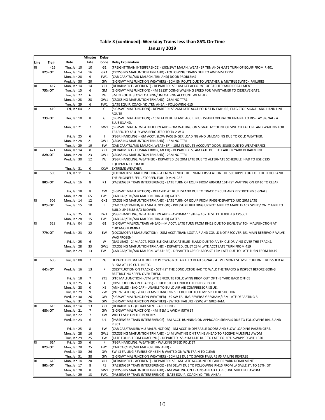| January 2019 |  |  |
|--------------|--|--|
|--------------|--|--|

|           |        |                            | Minutes        | <b>Delay</b>   |                                                                                                                                                                                        |
|-----------|--------|----------------------------|----------------|----------------|----------------------------------------------------------------------------------------------------------------------------------------------------------------------------------------|
| Line      | Train  | Date                       | Late           | Code           | <b>Delay Explanation</b>                                                                                                                                                               |
| <b>RI</b> | 416    | Thu, Jan 10                | 10             | G <sub>1</sub> | (FREIGHT TRAIN INTERFERENCE) - (SIG/SWT MALFN. WEATHER TRN AHD) /LATE TURN OF EQUIP FROM RI401                                                                                         |
|           | 82% OT | Mon, Jan 14                | 16             | GX1            | (CROSSING MAIFUNTION TRN AHD) - FOLLOWING TRAINS DUE TO AWDMM 191ST                                                                                                                    |
|           |        | Mon, Jan 28                | 9              | FW1            | (CAB CAR/TRL/MU MALFCN, TRN AHD) DOOR PROBLEMS                                                                                                                                         |
|           |        | Wed, Jan 30                | 20             | GW             | (SIG/SWT MALFUNCTION WEATHER) - 30M EN ROUTE DUE TO WEATHER & MUTIPLE SWITCH FAILURES                                                                                                  |
| RI        | 417    | Mon, Jan 14                | 14             | YR1            | (DERAILMENT - ACCIDENT) - DEPARTED LSS 14M LAT ACCOUNT OF EARLIER YARD DERAILMENT                                                                                                      |
|           | 75% OT | Tue, Jan 15                | 6              | GM             | (SIG/SWT MALFUNCTION) - 4M 191ST DOING WALKING SPEED FOR MAINTAINER TO OBSERVE GATE.                                                                                                   |
|           |        | Tue, Jan 22                | 6              | IW             | 3M IN ROUTE SLOW LOADING/UNLOADING ACCOUNT WEATHER                                                                                                                                     |
|           |        | Mon, Jan 28                | 28             | GW1            | (CROSSING MAIFUNTION TRN AHD) - 28M NO TTR1                                                                                                                                            |
|           |        | Tue, Jan 29                | 6              | FW1            | (LATE EQUIP. COACH YD., TRN AHEA) - FOLLOWING 615                                                                                                                                      |
| <b>RI</b> | 419    | Fri, Jan 04                | 21             | G              | (SIG/SWT MALFUNCTION) - DEPARTED LSS 26M LATE ACCT POLK ST IN FAILURE, FLAG STOP SIGNAL AND HAND LINE                                                                                  |
|           |        |                            |                |                | <b>ROUTE</b>                                                                                                                                                                           |
|           | 73% OT | Thu, Jan 10                | 8              | G              | (SIG/SWT MALFUNCTION) - 15M AT BLUE ISLAND ACCT. BLUE ISLAND OPERATOR UNABLE TO DISPLAY SIGNALS AT                                                                                     |
|           |        | Mon, Jan 21                | 7              |                | <b>BLUE ISLAND.</b><br>GW1 (SIG/SWT MALFN. WEATHER TRN AHD) - 3M WAITING ON SIGNAL ACCOUNT OF SWITCH FAILURE AND WAITING FOR                                                           |
|           |        |                            |                |                | TRAFFIC TO AS 419 WAS REROUTED TO TK 2 W O                                                                                                                                             |
|           |        | Fri, Jan 25                | 6              | $\mathbf{I}$   | (PSGR HANDLING) - 6M ACCT. SLOW PASSENGER LOADING AND UNLOADING DUE TO COLD WEATHER.                                                                                                   |
|           |        | Mon, Jan 28                | 21             |                | GW1 (CROSSING MAIFUNTION TRN AHD) - 15M NO TTR1                                                                                                                                        |
|           |        | Tue, Jan 29                | 19             | FW             | (CAB CAR/TRL/MU MALFCN, WEATHER) - 10M IN ROUTE ACCOUNT DOOR ISSUES DUE TO WEATHER/ICE                                                                                                 |
| RI        | 421    | Mon, Jan 14                | 8              | YR1            | (DERAILMENT - HUMAN ERROR, MECH) - DEPARTED LSS 4M LATE DUE TO EARLIER YARD DERAILMENT                                                                                                 |
|           | 82% OT | Mon, Jan 28                | 23             | GW1            | (CROSSING MAIFUNTION TRN AHD) - 23M NO TTR1                                                                                                                                            |
|           |        | Wed, Jan 30                | 12             | IW             | (PSGR HANDLING, WEATHER) - DEPARTED LSS 20M LATE DUE TO ALTERNATE SCHEDULE, HAD TO USE 613S                                                                                            |
|           |        |                            |                |                | <b>EQUIPMENT FROM BI</b>                                                                                                                                                               |
|           |        | Thu, Jan 31                | 0              | XKW            | <b>EXTREME WEATHER</b>                                                                                                                                                                 |
| <b>RI</b> | 503    | Fri, Jan 11                | 6              | E              | (LOCOMOTIVE MALFUNCTION) - AT NEW LENOX THE ENGINEERS SEAT ON THE 503 RIPPED OUT OF THE FLOOR AND                                                                                      |
|           |        |                            |                |                | THE ENGINEER FELL. STOPPED FOR 10 MIN. CRE                                                                                                                                             |
|           | 80% OT | Wed, Jan 16                | 8              | K1             | (PASSENGER TRAIN INTERFERENCE) - LATE TURN OF EQUIP FROM 606/3M 16TH ST WAITING ON RI410 TO CLEAR                                                                                      |
|           |        |                            |                |                |                                                                                                                                                                                        |
|           |        | Fri, Jan 18                | 8              | <b>CW</b>      | (SIG/SWT MALFUNCTION) - DELAYED AT BLUE ISLAND DUE TO TRACK CIRCUIT AND RESTRICTING SIGNALS                                                                                            |
|           |        | Mon, Jan 28                | 65             | FW1            | (CAB CAR/TRL/MU MALFCN, TRN AHD) GATES                                                                                                                                                 |
| <b>RI</b> | 506    | Mon, Jan 14                | 12             | GX1            | (CROSSING MAIFUNTION TRN AHD) - LATE TURN OF EQUIP FROM RI403/DEPARTED JUD 20M LATE                                                                                                    |
|           | 82% OT | Tue, Jan 15                | 10             | Ε              | (CAR CAB/TRAILER/MU MALFUNCTION) - PRESSURE BUILDING UP NOT ABLE TO MAKE TRACK SPEED/ ONLY ABLE TO                                                                                     |
|           |        |                            |                |                | BUILD UP 75LBS B/O BLOWER                                                                                                                                                              |
|           |        | Fri, Jan 25                | 8              | IW1            | (PSGR HANDLING, WEATHER TRN AHD) - AWDMM 119TH & 107TH ST 11TH 80TH & CP66CT                                                                                                           |
|           |        | Mon, Jan 28                | 15             | FW1            | (CAB CAR/TRL/MU MALFCN, TRN AHD) GATES                                                                                                                                                 |
| RI        | 528    | Fri, Jan 04                | 13             | G1             | (SIG/SWT MALFCN, TRAIN AHEAD) - M ACCT. LATE TURN FROM RI419 DUE TO SIQNL/SWITCH MALFUNCTION AT                                                                                        |
|           |        |                            |                |                | CHICAGO TERMINAL.                                                                                                                                                                      |
|           | 77% OT | Wed, Jan 23                | 22             | EW             | (LOCOMOTIVE MALFUNCTION) - 28M ACCT. TRAIN LOST AIR AND COULD NOT RECOVER. (#1 MAIN RESERVOIR VALVE                                                                                    |
|           |        |                            |                | W              | WAS FROZEN.)                                                                                                                                                                           |
|           |        | Fri, Jan 25<br>Mon, Jan 28 | 6<br>33        | GW1            | (GAS LEAK) - 24M ACCT. POSSIBLE GAS LEAK AT BLUE ISLAND DUE TO A VEHICLE DRIVING OVER THE TRACKS.<br>(CROSSING MAIFUNTION TRN AHD) - DEPARTED JOLIET 23M LATE ACCT LATE TURN FROM 419  |
|           |        | Tue, Jan 29                | 13             | FW1            | (CAB CAR/TRL/MU MALFCN, WEATHER) - DEPARTED CPRICHARDS ST 12M LATE DUE TO LATE TURN FROM RI419                                                                                         |
|           |        |                            |                |                |                                                                                                                                                                                        |
| <b>RI</b> | 606    | Tue, Jan 08                | 7              | ΖG             | DEPARTED BI 3M LATE DUE TO PTC WAS NOT ABLE TO READ SIGNALS AT VERMONT ST. MST COULDN'T BE ISSUED AT                                                                                   |
|           |        |                            |                |                | BI. 5M AT 119 CUT-IN PTC.                                                                                                                                                              |
|           | 64% OT | Wed, Jan 16                | 13             | К              | (OBSTRUCTION ON TRACKS) - 57TH ST THE CONDUCTOR HAD TO WALK THE TRACKS & INSPECT BEFORE GOING                                                                                          |
|           |        |                            |                |                | RESTRICTING SPEED OVER THEM.                                                                                                                                                           |
|           |        | Fri, Jan 18                | $\overline{7}$ | ZT1            | (PTC MALFUNCTION - /7M LATE ENROUTE FOLLOWING RI604 OUT OF THE YARD BACK OFFICE                                                                                                        |
|           |        | Fri, Jan 25                | 6              | К              | (OBSTRUCTION ON TRACKS) - TRUCK STUCK UNDER THE BRIDGE POLK                                                                                                                            |
|           |        | Mon, Jan 28                | 0              | XE             | (ANNULLED - B/O CAR) -UNABLE TO BUILD AIR AIR COMPRESSOR ISSUE.                                                                                                                        |
|           |        | Tue, Jan 29                | 9              | ZW             | (PTC WEATHER) - / PROBLEMS CHANGING SPEEDO DUE TO TEMP SPEED RESTICTION                                                                                                                |
|           |        | Wed, Jan 30                | 26             | GW             | (SIG/SWT MALFUNCTION WEATHER) - #9 SW FAILING REVERSE GRESHAM/13M LATE DEPARTING BI                                                                                                    |
|           |        | Thu, Jan 31                | 26             | GW             | (SIG/SWT MALFUNCTION WEATHER) - SWITCH FAILURE (9SW) AT GRESHAM.                                                                                                                       |
| RI        | 613    | Mon, Jan 14                | 13             | YR1            | (DERAILMENT - (DERAILMENT - ACCIDENT)                                                                                                                                                  |
|           | 68% OT | Mon, Jan 21                | 7              | GW             | (SIG/SWT MALFUNCTION) - 4M ITEM 1 AWDM 95TH ST                                                                                                                                         |
|           |        | Tue, Jan 22                | 7              | KW             | WHEEL SLIP ON THE BEVERLY.                                                                                                                                                             |
|           |        | Wed, Jan 23                | 6              | U1             | (PASSENGER TRAIN INTERFERENCE) - 3M ACCT. RUNNING ON APPROACH SIGNALS DUE TO FOLLOWING RI413 AND                                                                                       |
|           |        |                            |                |                | RI303.                                                                                                                                                                                 |
|           |        | Fri, Jan 25                | 8              | FW             | (CAR CAB/TRAILER/MU MALFUNCTION) - 3M ACCT. INOPERABLE DOORS AND SLOW LOADING PASSENGERS.                                                                                              |
|           |        | Mon, Jan 28                | 16             | GW1            | (CROSSING MAIFUNTION TRN AHD) - 14M WAITING ON TRAINS AHEAD TO RECEIVE MULTIPLE AWDM                                                                                                   |
|           |        | Tue, Jan 29                | 25             | FW             | (LATE EQUIP. FROM COACH YD.) - DEPARTED LSS 21M LATE DUE TO LATE EQUIPT. SWAPPED WITH 620                                                                                              |
| <b>RI</b> | 614    | Fri, Jan 25                | 6              | К              | (PSGR HANDLING, WEATHER) - WALKING SPEED POLK ST                                                                                                                                       |
|           | 82% OT | Mon, Jan 28                | 25             | FW1            | (CAB CAR/TRL/MU MALFCN, TRN AHD) -                                                                                                                                                     |
|           |        | Wed, Jan 30                | 26             | GW             | SW #3 FAILING REVERSE CP 46TH & WAITED ON W/B TRAIN TO CLEAR                                                                                                                           |
|           |        | Thu, Jan 31                | 38             | GW             | (SIG/SWT MALFUNCTION WEATHER) - 50M LSS DUE TO SWICH FAILURE #5 FAILING REVERSE                                                                                                        |
| R1        | 615    | Mon, Jan 14<br>Thu, Jan 17 | 20             | YR1            | (DERAILMENT - ACCIDENT) - DEPARTED LSS 16M LATE ACCOUNT OF EARLIER YARD DERAILMENT                                                                                                     |
|           | 80% OT | Mon, Jan 28                | 8<br>8         | F1<br>GW1      | (PASSENGER TRAIN INTERFERENCE) - 8M DELAY DUE TO FOLLOWING RI415 FROM LA SALLE ST. TO 16TH. ST.<br>(CROSSING MAIFUNTION TRN AHD) - 6M WAITING ON TRAINS AHEAD TO RECEIVE MULTIPLE AWDM |
|           |        | Tue, Jan 29                | 13             | FW1            | (PASSENGER TRAIN INTERFERENCE) - (LATE EQUIP. COACH YD., TRN AHEA)                                                                                                                     |
|           |        |                            |                |                |                                                                                                                                                                                        |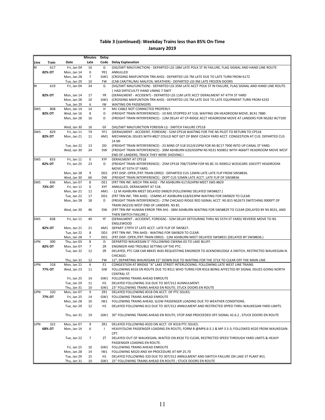|            |        |                            | <b>Minutes</b> | Delay           |                                                                                                                                                                                          |
|------------|--------|----------------------------|----------------|-----------------|------------------------------------------------------------------------------------------------------------------------------------------------------------------------------------------|
| Line       | Train  | Date                       | Late           | Code            | <b>Delay Explanation</b>                                                                                                                                                                 |
| RI         | 617    | Fri, Jan 04                | 16             | G               | (SIG/SWT MALFUNCTION) - DEPARTED LSS 18M LATE POLK ST IN FAILURE, FLAG SIGNAL AND HAND LINE ROUTE                                                                                        |
|            | 82% OT | Mon, Jan 14                | 0              | YR1             | ANNULLED                                                                                                                                                                                 |
|            |        | Mon, Jan 28                | $\overline{7}$ | GW1             | (CROSSING MAIFUNTION TRN AHD) - DEPARTED LSS 7M LATE DUE TO LATE TURN FROM 6172                                                                                                          |
|            |        | Tue, Jan 29                | 10             | FW              | (CAB CAR/TRL/MU MALFCN, WEATHER) - DEPARTED LSS 9M LATE FROZEN DOORS                                                                                                                     |
| R1         | 619    | Fri, Jan 04                | 34             | G               | (SIG/SWT MALFUNCTION) - DEPARTED LSS 35M LATE ACCT POLK ST IN FAILURE, FLAG SIGNAL AND HAND LINE ROUTE.                                                                                  |
|            |        |                            |                |                 | HAD DIFFICUILTY HAND LINING 7 SWIT                                                                                                                                                       |
|            | 82% OT | Mon, Jan 14                | 17             | YR              | (DERAILMENT - ACCIDENT) - DEPARTED LSS 11M LATE ACCT DERAILMENT AT 47TH ST YARD                                                                                                          |
|            |        | Mon, Jan 28                | 10             | GW1             | (CROSSING MAIFUNTION TRN AHD) - DEPARTED LSS 7M LATE DUE TO LATE EQUIPMENT TURN FROM 6192                                                                                                |
| SWS        | 808    | Tue, Jan 29<br>Mon, Jan 14 | 6<br>14        | IW<br>H         | <b>WAITING ON PASSENGERS</b><br>MU CABLE NOT CONNECTED PROPERLY.                                                                                                                         |
|            | 82% OT | Wed, Jan 16                | 8              | D               | (FREIGHT TRAIN INTERFERENCE) - 10 MIS STOPPED AT 518, WAITING ON HEADROOM MOVE, BC41 7880                                                                                                |
|            |        | Mon, Jan 28                | 16             | D               | (FREIGHT TRAIN INTERFERENCE) - 12M DELAY AT CP-RIDGE ACCT HEADROOM MOVE AT LANDERS FOR NS282 W/7100                                                                                      |
|            |        |                            |                |                 |                                                                                                                                                                                          |
|            |        | Wed, Jan 30                | 16             | GF              | (SIG/SWT MALFUNCTION FOREIGN LI) - SWITCH FAILURE CP518                                                                                                                                  |
| SWS        | 829    | Fri, Jan 11                | 74             | YF1             | (DERAILMENT - ACCIDENT, FOREIGN) - 52M CP518 WAITING FOR THE NS PILOT TO RETURN TO CP518                                                                                                 |
|            | 82% OT | Mon, Jan 21                | 11             | AM1             | MECHANICAL ISSUES WITH #827 COULD NOT GET OF BNSF COACH YARD ACCT. CONGESTION AT CUS. DEPARTED CUS                                                                                       |
|            |        |                            |                |                 | 14 MI                                                                                                                                                                                    |
|            |        | Tue, Jan 22                | 13             | DD              | (FREIGHT TRAIN INTERFERENCE) - 23 MINS CP 518 552/615PM FOR NS BC17 7900 INTO UP CANAL ST YARD.                                                                                          |
|            |        | Wed, Jan 30                | 24             | <b>DW</b>       | (FREIGHT TRAIN INTERFERENCE) - 30M ASHBURN 620/650PM NS NS31 NS9852 WITH 4666FT HEADROOM MOVE WEST                                                                                       |
|            |        |                            |                |                 | END OF LANDERS, TRACK THEY WERE SHOVING I                                                                                                                                                |
| <b>SWS</b> | 833    | Fri, Jan 11                | $\pmb{0}$      | XYF             | <b>DERAILMENT AT CP518</b>                                                                                                                                                               |
|            | 82% OT | Fri, Jan 25                | 23             | D               | (FREIGHT TRAIN INTERFERENCE) - 25M CP518 708/733PM FOR NS BC-31 NS9012 W/63CARS 10437FT HEADROOM                                                                                         |
|            |        |                            |                |                 | MOVE AT 55TH ST YARD.                                                                                                                                                                    |
|            |        | Mon, Jan 28                | 9              | DD1             | (FRT.DISP.-OPER./FRT.TRAIN ERRO) - DEPARTED CUS 12MIN LATE LATE FLIP FROM SWS#836.                                                                                                       |
|            |        | Wed, Jan 30                | 66             | <b>DW</b>       | (FREIGHT TRAIN INTERFERENCE) - DEPT CUS 52MIN LATE ACCT. LATE FLIP OF SWS#836                                                                                                            |
| SWS        | 836    | Mon, Jan 07                | 8              | DE1             | (FRT TRN INF, MECH TRN AHD) - 7M ASHBURN 617/624PM MEET SWS #829                                                                                                                         |
|            | 73% OT | Fri, Jan 11                | 0              | <b>XYF</b>      | ANNULLED, DERAILMENT AT 518.                                                                                                                                                             |
|            |        | Mon, Jan 21<br>Tue, Jan 22 | 11             |                 | AM1 - 12 M ASHBURN MEET DELAYED SW829 (FOLLOWING DELAYED SWS#827.)                                                                                                                       |
|            |        | Mon, Jan 28                | 17<br>18       | DD1<br>D        | (FRT TRN INF, TRN AHD) - 15MINS AT ASHBURN 618/633PM WAITING FOR SW0829 TO CLEAR.<br>(FREIGHT TRAIN INTERFERENCE) - 27M CHICAGO RIDGE RED SIGNAL ACCT. NS B15 NS2673 SWITCHING 9000FT OF |
|            |        |                            |                |                 | TRAIN (NS233) WEST END OF LANDERS. NS B1                                                                                                                                                 |
|            |        | Wed, Jan 30                | 46             | <b>DW</b>       | (FRT TRN INF HUMAN ERROR TRN AH) - 38M ASHBURN WAITING FOR SWS#829 TO CLEAR (DELAYED BY NS BS31, AND                                                                                     |
|            |        |                            |                |                 | THEN SWITCH FAILURE.)                                                                                                                                                                    |
| <b>SWS</b> | 838    | Fri, Jan 11                | 49             | YF              | (DERAILMENT - ACCIDENT, FOREIGN) - 32M DELAY DETOURING THRU NS 55TH ST YARD/ REVERSE MOVE TO NS                                                                                          |
|            |        |                            |                |                 | <b>ENGLEWOOD</b>                                                                                                                                                                         |
|            | 82% OT | Mon, Jan 21                | 21             | AM1             | DEPART 179TH ST LATE ACCT. LATE FLIP OF SWS827.                                                                                                                                          |
|            |        | Tue, Jan 22                | 8              | DD1             | (FRT TRN INF, TRN AHD) - WAITING FOR SW0829 TO CLEAR.                                                                                                                                    |
|            |        | Mon, Jan 28                | $\overline{7}$ | DD <sub>1</sub> | (FRT.DISP.-OPER./FRT.TRAIN ERRO) - 12M ASHBURN MEET DELAYED SWS#831 (DELAYED BY SWS#836.)                                                                                                |
| UPN        | 300    | Thu, Jan 03                | 8              | D               | DEPARTED WAUKEGAN 5" FOLLOWING CWKNA-03 TO LAKE BLUFF.                                                                                                                                   |
|            | 82% OT | Mon, Jan 07                | $\overline{7}$ | ZR              | ENGINEER HAD TROUBLE SETTING UP THE PTC.                                                                                                                                                 |
|            |        | Tue, Jan 22                | 12             | ZR              | DELAYED, PTC CAB CAR #8435 WAS REQUESTING ENGINEER TO ACKNOWLEDGE A SWITCH, RESTRICTED WAUKEGAN-N.                                                                                       |
|            |        |                            |                |                 | CHICAGO.                                                                                                                                                                                 |
|            |        | Thu, Jan 31                | 12             | FW              | 12"; DEPARTING WAUKEGAN 15" DOWN DUE TO WAITING FOR THE 371X TO CLEAR OFF THE MAIN LINE                                                                                                  |
| UPN        | 318    | Mon, Jan 21                | 6              | E <sub>1</sub>  | CONGESTION AT BRIDGE "A" LAKE STREET INTERLOCKING. FOLLOWING LATE WEST LINE TRAINS.                                                                                                      |
|            | 77% OT | Wed, Jan 23                | 11             | GW              | FOLLOWING #316 EN ROUTE DUE TO #311 WHO TURNS FOR #316 BEING AFFECTED BY SIGNAL ISSUES GOING NORTH<br>CENTRAL ST.                                                                        |
|            |        | Fri, Jan 25                | 14             |                 | GW1 FOLLOWING TRAINS AHEAD ENROUTE                                                                                                                                                       |
|            |        | Tue, Jan 29                | 11             | H1              | DELAYED FOLLOWING 316 DUE TO 307/312 AUNNULMENT.                                                                                                                                         |
|            |        | Thu, Jan 31                | 10             | GW1             | 23" FOLLOWING TRAINS AHEAD EN ROUTE; STUCK DOORS EN ROUTE                                                                                                                                |
| UPN        | 320    | Mon, Jan 07                | 9              | ZR1             | DELAYED FOLLOWING #318 ON ACCT. OF PTC ISSUES.                                                                                                                                           |
|            | 77% OT | Fri, Jan 25                | 14             | GW1             | FOLLOWING TRAINS AHEAD ENROUTE                                                                                                                                                           |
|            |        | Mon, Jan 28                | 10             | IW1             | FOLLOWING TRAINS AHEAD, SLOW PASSENGER LOADING DUE TO WEATHER CONDITIONS.                                                                                                                |
|            |        | Tue, Jan 29                | 12             | H1              | DELAYED FOLLOWING 813 DUE TO 307/312 ANNULMENT AND RESTRICTED SPPED THRU WAUKEGAN YARD LIMITS.                                                                                           |
|            |        |                            |                |                 |                                                                                                                                                                                          |
|            |        | Thu, Jan 31                | 19             | GW1             | 30" FOLLOWING TRAINS AHEAD EN ROUTE; STOP AND PROCEEDED OFF SIGNAL 42.6.2, STUCK DOORS EN ROUTE                                                                                          |
|            |        |                            |                |                 |                                                                                                                                                                                          |
| UPN        | 322    | Mon, Jan 07                | 9              | ZR1             | DELAYED FOLLOWING #320 ON ACCT. OF #318 PTC ISSUES.                                                                                                                                      |
|            | 68% OT | Mon, Jan 14                | 6              | $\mathbf{I}$    | HEAVY/SLOW PASSENGER LOADING EN ROUTE; FORM B @MP6.6-5.1 & MP 3.5-3; FOLLOWED #320 FROM WAUKEGAN-                                                                                        |
|            |        |                            |                |                 | CPT.                                                                                                                                                                                     |
|            |        | Tue, Jan 22                | 7              | ZT              | DELAYED OUT OF WAUKEGAN, WAITED ON #320 TO CLEAR, RESTRICTED SPEED THROUGH YARD LIMITS & HEAVY                                                                                           |
|            |        |                            |                |                 | PASSENGER LOADING EN ROUTE.                                                                                                                                                              |
|            |        | Fri, Jan 25                | 10             |                 | GW1 FOLLOWING TRAINS AHEAD ENROUTE                                                                                                                                                       |
|            |        | Mon, Jan 28                | 14             | IW1             | FOLLOWING M320 AND XH PROCEDURE AT MP 25.70                                                                                                                                              |
|            |        | Tue, Jan 29                | 15             | H1              | DELAYED FOLLOWING 320 DUE TO 307/312 ANNULMENT AND SWITCH FAILURE ON LAKE ST PLANT #51.                                                                                                  |
|            |        | Thu, Jan 31                | 10             |                 | GW1 25" FOLLOWING TRAINS AHEAD EN ROUTE ; STUCK DOORS EN ROUTE                                                                                                                           |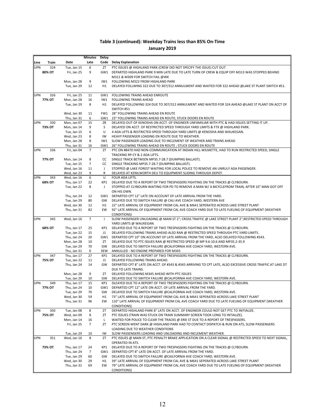|            |               |                            | Minutes        | Delay        |                                                                                                                                                                      |
|------------|---------------|----------------------------|----------------|--------------|----------------------------------------------------------------------------------------------------------------------------------------------------------------------|
| Line       | Train         | Date                       | Late           | Code         | <b>Delay Explanation</b>                                                                                                                                             |
| <b>UPN</b> | 324           | Tue, Jan 15                | 6              | ZT           | PTC ISSUES @ HIGHLAND PARK (CREW DID NOT SPECIFY THE ISSUE) CUT OUT                                                                                                  |
|            | 80% OT        | Fri, Jan 25                | 9              |              | GW1 DEPARTED HIGHLAND PARK 9 MIN LATE DUE TO LATE TURN OF CREW & EQUIP OFF M313 WAS STOPPED BEHIND                                                                   |
|            |               |                            |                |              | M311 & M309 FOR SWITCH FAIL @WK                                                                                                                                      |
|            |               | Mon, Jan 28                | 9              | IW1<br>H1    | FOLLOWING M322 FROM HIGHLAND PARK                                                                                                                                    |
|            |               | Tue, Jan 29                | 12             |              | DELAYED FOLLWING 322 DUE TO 307/312 ANNULMENT AND WAITED FOR 322 AHEAD @LAKE ST PLANT SWITCH #51.                                                                    |
| <b>UPN</b> | 326           | Fri, Jan 25                | 11             | GW1          | FOLLOWING TRAINS AHEAD ENROUTE                                                                                                                                       |
|            | 77% OT        | Mon, Jan 28                | 16             | IW1          | <b>FOLLOWING TRAINS AHEAD</b>                                                                                                                                        |
|            |               | Tue, Jan 29                | 8              | H1           | DELAYED FOLLOWING 324 DUE TO 307/312 ANNULMENT AND WAITED FOR 324 AHEAD @LAKE ST PLANT ON ACCT OF                                                                    |
|            |               |                            |                |              | SWITCH #51                                                                                                                                                           |
|            |               | Wed, Jan 30                | 11             | FW1          | 28" FOLLOWING TRAINS AHEAD EN ROUTE                                                                                                                                  |
|            |               | Thu, Jan 31                | 6              | GW1          | 23" FOLLOWING TRAINS AHEAD EN ROUTE; STUCK DOORS EN ROUTE                                                                                                            |
| <b>UPN</b> | 330           | Mon, Jan 07                | 15             | ZR           | DELAYED OUT OF KENOSHA ON ACCT. OF ENGINEER UNFAMILIAR WITH PTC & HAD ISSUES SETTING IT UP.                                                                          |
|            | 73% OT        | Mon, Jan 14                | 9<br>6         | S<br>U       | DELAYED ON ACCT. OF RESTRICTED SPEED THROUGH YARD LIMITS & FTX @ HIGHLAND PARK.                                                                                      |
|            |               | Tue, Jan 15<br>Wed, Jan 23 | 8              | IW           | 4 ADA LIFTS & RESTRICTED SPEED THROUGH YARD LIMITS @ KENOSHA AND WAUKEGAN.<br>HEAVY PASSENGER LOADING EN ROUTE DUE TO WEATHER.                                       |
|            |               | Mon, Jan 28                | 8              | IW1          | SLOW PASSENGER LOADING DUE TO INCLEMENT OF WEATHER AND TRAINS AHEAD                                                                                                  |
|            |               | Thu, Jan 31                | 16             | GW1          | 26" FOLLOWING TRAINS AHEAD EN ROUTE ; STUCK DOORS EN ROUTE                                                                                                           |
| <b>UPN</b> | 336           | Fri, Jan 04                | $\overline{7}$ | ZT           | PTC ON #8470 HAD NON-COMMUNICATION AT INDIAN HILL-WILMETTE, HAD TO RUN RESTRICTED SPEED, SINGLE                                                                      |
|            |               |                            |                |              | TRACKING RP-CY & 2 ADA LIFTS.                                                                                                                                        |
|            | 77% OT        | Mon, Jan 14                | 8              | CC           | SINGLE TRACK BETWEEN MP35.7-28.7 (DUMPING BALLAST).                                                                                                                  |
|            |               | Tue, Jan 15                | $\overline{7}$ | CC           | SINGLE TRACKING MP35.7-28.7 (DUMPING BALLAST).                                                                                                                       |
|            |               | Wed, Jan 16                | 11             | J            | STOPPED @ LAKE FOREST WAITING FOR LOCAL POLICE TO REMOVE AN UNRULY ADA PASSENGER.                                                                                    |
|            |               | Wed, Jan 23                | 9              | $\mathsf{R}$ | DELAYED AT KENILWORTH DEU TO EQUIPMENT SLIDING THROUGH DEPOT.                                                                                                        |
| <b>UPN</b> | 343<br>68% OT | Wed, Jan 16<br>Thu, Jan 17 | 6<br>22        | U<br>KP1     | FOUR ADA LIFTS.<br>DELAYED DUE TO A REPORT OF TWO TRESPASSERS FIGHTING ON THE TRACKS @ CLYBOURN.                                                                     |
|            |               | Tue, Jan 22                | 8              | J            | STOPPED AT CLYBOURN WAITING FOR PD TO REMOVE A MAN W/ A BICYCLEFROM TRAIN, AFTER 10" MAN GOT OFF                                                                     |
|            |               |                            |                |              | ON HIS OWN.                                                                                                                                                          |
|            |               | Thu, Jan 24                | 12             | GW1          | DEPARTED CPT 12" LATE ON ACCOUNT OF LATE ARRIVAL FROM THE YARD.                                                                                                      |
|            |               | Tue, Jan 29                | 80             | GW           | DELAYED DUE TO SWITCH FAILURE @ CALI AVE COACH YARD, WESTERN AVE                                                                                                     |
|            |               | Wed, Jan 30                | 12             | H1           | 22" LATE ARRIVAL OF EQUIPMENT FROM CAL AVE & M641 SEPERATED ACROSS LAKE STREET PLANT                                                                                 |
|            |               | Thu, Jan 31                | 82             | EW           | 92" LATE ARRIVAL OF EQUIPMENT FROM CAL AVE COACH YARD DUE TO LATE FUELING OF EQUIPMENT (WEATHER                                                                      |
|            |               |                            |                |              | CONDITIONS)                                                                                                                                                          |
| <b>UPN</b> | 345           | Wed, Jan 16                | $\overline{7}$ | $\mathbf{I}$ | SLOW PASSENGER UNLOADING @ MAIN ST 2"; CROSS TRAFFIC @ LAKE STREET PLANT 2";RESTRICTED SPEED THROUGH                                                                 |
|            | 68% OT        | Thu, Jan 17                | 25             | KP1          | YARD LIMITS @ WAUKEGAN.<br>DELAYED DUE TO A REPORT OF TWO TRESPASSERS FIGHTING ON THE TRACKS @ CLYBOURN.                                                             |
|            |               | Tue, Jan 22                | 15             | J1           | DELAYED FOLLOWING TRAINS AHEAD ALSO RAN @ RESTRICTED SPEED THROUGH PTC YARD LIMITS.                                                                                  |
|            |               | Thu, Jan 24                | 20             |              | GW1 DEPARTED CPT 10" ON ACCOUNT OF LATE ARRIVAL FROM THE YARD, ALSO DELAYED FOLLOWING #343.                                                                          |
|            |               | Mon, Jan 28                | 10             | ZT           | DELAYED DUE TO PTC ISSUES RAN @ RESTRICTED SPEED @ MP 9.6-10.6 AND MP35.2-35.9                                                                                       |
|            |               | Tue, Jan 29                | 70             | GW           | DELAYED DUE TO SWITCH FAILURE @CALIFORNIA AVE COACH YARD, WESTERN AVE.                                                                                               |
|            |               | Thu, Jan 31                | 0              | XEW          | ANNULLED - NO ENGINE PREPARED FOR M345                                                                                                                               |
| <b>UPN</b> | 347           | Thu, Jan 17                | 27             | KP1          | DELAYED DUE TO A REPORT OF TWO TRESPASSERS FIGHTING ON THE TRACKS @ CLYBOURN.                                                                                        |
|            | 75% OT        | Tue, Jan 22                | 11             | J1           | DELAYED FOLLOWING TRAINS AHEAD.                                                                                                                                      |
|            |               | Thu, Jan 24                | 14             | GW           | DEPARTED CPT 8" LATE ON ACCT. OF #343 & #345 ARRIVING TO CPT LATE, ALSO EXCESSIVE CROSS TRAFFIC AT LAKE DT                                                           |
|            |               | Mon, Jan 28                | 9              | ZT           | DUE TO LATE TRAINS.<br>DELAYED FOLLOWING M345 AHEAD WITH PTC ISSUES                                                                                                  |
|            |               | Tue, Jan 29                | 10             | GW           | DELAYED DUE TO SWITCH FAILURE @CALIFORNIA AVE COACH YARD, WESTERN AVE.                                                                                               |
| <b>UPN</b> | 349           | Thu, Jan 17                | 15             | KP1          | DLEAYED DUE TO A REPORT OF TWO TRESPASSERS FIGHTING ON THE TRACKS @ CLYBOURN.                                                                                        |
|            | 77% OT        | Thu, Jan 24                | 10             | GW1          | DEPARTED CPT 12" LATE ON ACCT. OF LATE ARRIVAL FROM THE YARD.                                                                                                        |
|            |               | Tue, Jan 29                | 70             | GW           | DELAYED DUE TO SWITCH FAILURE @CALIFORNIA AVE COACH YARD, WESTERN AVE.                                                                                               |
|            |               | Wed, Jan 30                | 59             | H1           | 73" LATE ARRIVAL OF EQUIPMENT FROM CAL AVE & M641 SEPERATED ACROSS LAKE STREET PLANT                                                                                 |
|            |               | Thu, Jan 31                | 96             | EW           | 110" LATE ARRIVAL OF EQUIPMENT FROM CAL AVE COACH YARD DUE TO LATE FUELING OF EQUIPMENT (WEATHER                                                                     |
|            |               |                            |                |              | CONDITIONS)                                                                                                                                                          |
| <b>UPN</b> | 350<br>75% OT | Tue, Jan 08<br>Wed, Jan 09 | 8<br>8         | ZT<br>ZT     | DEPARTED HIGHLAND PARK 8" LATE ON ACCT. OF ENGINEER COULD NOT GET PTC TO INITIALIZE.<br>PTC ISSUES (TRAIN WAS STUCK ON TRAIN SUMMARY SCREEN TOOK LONG TO INTIALIZE). |
|            |               | Mon, Jan 14                | 16             | L            | WAITED FOR POLICE TO CLEAR THE TRACKS @ ERIE ST DUE TO A REPORT OF TRESPASSERS.                                                                                      |
|            |               | Fri, Jan 25                | $\overline{7}$ | ZT           | PTC SCREEN WENT DARK @ HIGHLAND PARK HAD TO CONTACT DISPATCH & RUN ON ATS, SLOW PASSENGERS                                                                           |
|            |               |                            |                |              | LOADING DUE TO WEATHER CONDITIONS                                                                                                                                    |
|            |               | Tue, Jan 29                | 10             | IW           | SLOW PASSENGERS LOADING AND UNLOADING AND INCLEMENT WEATHER.                                                                                                         |
| <b>UPN</b> | 351           | Wed, Jan 16                | 8              | ZT           | PTC ISSUES @ MAIN ST, PTC PENALTY BRAKE APPLICATION ON A CLEAR SIGNAL @ RESTRICTED SPEED TO NEXT SIGNAL,                                                             |
|            |               |                            |                |              | <b>OPERATED IN ATS.</b>                                                                                                                                              |
|            | 73% OT        | Thu, Jan 17                | 24             | KP1          | DELAYED DUE TO A REPORT OF TWO TRESPASSERS FIGHTING ON THE TRACKS @ CLYBOURN.                                                                                        |
|            |               | Thu, Jan 24                | $\overline{7}$ | GW1          | DEPARTED CPT 8" LATE ON ACCT. OF LATE ARRIVAL FROM THE YARD.                                                                                                         |
|            |               | Tue, Jan 29                | 60             | GW           | DELAYED DUE TO SWITCH FAILURE @CAILFORNIA AVE COACH YARD, WESTERN AVE.<br>39" LATE ARRIVAL OF EQUIPMENT FROM CAL AVE & M641 SEPERATED ACROSS LAKE STREET PLANT       |
|            |               | Wed, Jan 30<br>Thu, Jan 31 | 29<br>69       | H1<br>EW     | 79" LATE ARRIVAL OF EQUIPMENT FROM CAL AVE COACH YARD DUE TO LATE FUELING OF EQUIPMENT (WEATHER                                                                      |
|            |               |                            |                |              | CONDITIONS)                                                                                                                                                          |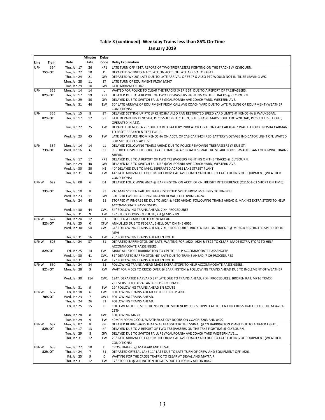|             |               |                            | <b>Minutes</b>      | <b>Delay</b>   |                                                                                                                          |
|-------------|---------------|----------------------------|---------------------|----------------|--------------------------------------------------------------------------------------------------------------------------|
| Line        | Train         | Date                       | Late                | Code           | <b>Delay Explanation</b>                                                                                                 |
| <b>UPN</b>  | 354           | Thu, Jan 17                | 26                  | KP1            | LATE TURN OFF #347, REPORT OF TWO TRESPASSERS FIGHTING ON THE TRACKS @ CLYBOURN.                                         |
|             | 75% OT        | Tue, Jan 22                | 10                  | J1             | DEPARTED WINNETKA 10" LATE ON ACCT. OF LATE ARRIVAL OF #347.                                                             |
|             |               | Thu, Jan 24                | 21                  | GW             | DEPARTED WK 20" LATE DUE TO LATE ARRIVAL OF #347 & ALSO PTC WOULD NOT INITILIZE LEAVING WK.                              |
|             |               | Mon, Jan 28                | 11                  | ZT             | LATE TURN OF EQUIPMENT FROM M347                                                                                         |
|             |               | Tue, Jan 29                | 10                  | GW             | LATE ARRIVAL OF 347.                                                                                                     |
| <b>UPN</b>  | 355           | Mon, Jan 14                | 14                  | L              | WAITED FOR POLICE TO CLEAR THE TRACKS @ ERIE ST. DUE TO A REPORT OF TRESPASSERS.                                         |
|             | 82% OT        | Thu, Jan 17                | 19                  | KP1            | DELAYED DUE TO A REPORT OF TWO TRESPASSERS FIGHTING ON THE TRACKS @ CLYBOURN.                                            |
|             |               | Tue, Jan 29                | 30                  | GW             | DELAYED DUE TO SWITCH FAILURE @CALIFORNIA AVE COACH YARD, WESTERN AVE.                                                   |
|             |               | Thu, Jan 31                | 46                  | EW             | 50" LATE ARRIVAL OF EQUIPMENT FROM CALL AVE COACH YARD DUE TO LATE FUELING OF EQUIPMENT (WEATHER                         |
|             |               |                            |                     |                | <b>CONDITIONS)</b>                                                                                                       |
| <b>UPN</b>  | 356           | Tue, Jan 15                | 8                   | ZT             | DELAYED SETTING UP PTC @ KENOSHA ALSO RAN RESTRICTED SPEED YARD LIMITS @ KENOSHA & WAUKEGAN.                             |
|             | 82% OT        | Thu, Jan 17                | 12                  | ZT             | LATE DEPARTING KENOSHA, PTC ISSUES (PTC CUT IN, BUT BEFORE MAPS COULD DOWNLOAD, PTC CUT ITSELF OUT,                      |
|             |               |                            |                     |                | OPERATED IN ATS).                                                                                                        |
|             |               | Tue, Jan 22                | 25                  | FW             | DEPARTED KENOSHA 25" DUE TO RED BATTERY INDICATOR LIGHT ON CAB CAR #8467 WAITED FOR KENOSHA CARMAN                       |
|             |               |                            |                     |                | TO RESET BREAKER & TEST EQUIP.                                                                                           |
|             |               | Wed, Jan 23                | 45                  | FW             | LATE DEPARTURE FROM KENOSHA ON ACCT. OF CAB CAR 8424 RED BATTERY VOLTAGE INDICATOR LIGHT ON, WAITED                      |
|             |               |                            |                     |                | FOR MIC TO DO SLAP TEST.                                                                                                 |
| UPN         | 357           | Mon, Jan 14                | 14                  | L1             | DELAYED FOLLOWING TRAINS AHEAD DUE TO POLICE REMOVING TRESPASSERS @ ERIE ST.                                             |
|             | 73% OT        | Wed, Jan 16                | 6                   | ZT             | RESTRICTED SPEED THROUGH YARD LIMITS & APPROACH SIGNAL FROM LAKE FOREST-WAUKEGAN FOLLOWING TRAINS                        |
|             |               |                            |                     |                | AHEAD.                                                                                                                   |
|             |               | Thu, Jan 17                | 17                  | KP1            | DELAYED DUE TO A REPORT OF TWO TRESPASSERS FIGHTING ON THE TRACKS @ CLYBOURN.                                            |
|             |               | Tue, Jan 29                | 40                  | GW             | DELAYED DUE TO SWITCH FAILURE @CALIFORNIA AVE COACH YARD, WESTERN AVE.                                                   |
|             |               | Wed, Jan 30                | 30                  | H1             | 40" DELAYED DUE TO M641 SEPERATED ACROSS LAKE STREET PLANT                                                               |
|             |               | Thu, Jan 31                | 34                  | EW             | 44" LATE ARRIVAL OF EQUIPMENT FROM CAL AVE COACH YARD DUE TO LATE FUELING OF EQUIPMENT (WEATHER                          |
|             |               |                            |                     |                | CONDITIONS)                                                                                                              |
| <b>UPNW</b> | 622           | Tue, Jan 08                | 6                   | D <sub>1</sub> | DELAYED FOLLOWING #624 @ BARRINGTON ON ACCT. OF CN FREIGHT INTERFERENCE (Q11651-02 SHORT ON TIME).                       |
|             | 73% OT        | Thu, Jan 10                | 8                   | ZT             | PTC MAP SCREEN FAILURE, RAN RESTRICTED SPEED FROM MCHENRY TO PINGREE.                                                    |
|             |               | Wed, Jan 23                | 11                  | GW             | 5 XH'S BETWEEN BARRINGTON AND DEVAL, FOLLOWING #624.                                                                     |
|             |               | Thu, Jan 24                | 48                  | E1             | STOPPED @ PINGREE RD DUE TO #624 & #620 AHEAD, FOLLOWING TRAINS AHEAD & MAKING EXTRA STOPS TO HELP                       |
|             |               |                            |                     |                | ACCOMMODATE PASSENGERS.                                                                                                  |
|             |               | Wed, Jan 30                | 44                  |                | CW1 54" FOLLOWING TRAINS AHEAD, 7 XH PROCEDURES                                                                          |
|             |               | Thu, Jan 31                | 9                   | <b>FW</b>      | 19" STUCK DOORS EN ROUTE, XH @ MP32.89                                                                                   |
| <b>UPNW</b> | 624           | Thu, Jan 24                | 12                  | E1             | STOPPED AT CARY DUE TO #620 AHEAD.                                                                                       |
|             | 82% OT        | Fri, Jan 25                | 0                   | <b>XFW</b>     | ANNULLED DUE TO FEDERAL SHELL OUT ON THE 6052                                                                            |
|             |               | Wed, Jan 30                | 54                  | CW1            | 64" FOLLOWING TRAINS AHEAD, 7 XH PROCEDURES. BROKEN RAIL ON TRACK 3 @ MP26.4 RESTRICTED SPEED TO 10                      |
|             |               |                            |                     |                | <b>MPH</b>                                                                                                               |
|             |               | Thu, Jan 31                | 16                  | FW             | 26" FOLLOWING TRAINS AHEAD EN ROUTE                                                                                      |
| <b>UPNW</b> | 626           | Thu, Jan 24                | 37                  | E1             | DEPARTED BARRINGTON 26" LATE, WAITING FOR #620, #624 & #622 TO CLEAR, MADE EXTRA STOPS TO HELP                           |
|             |               |                            |                     |                | ACCOMMODATE PASSENGERS.                                                                                                  |
|             | 82% OT        | Fri, Jan 25                | 14                  |                | FW1 MADE ALL STOPS BARRINGTON TO CPT TO HELP ACCOMMODATE PASSENGERS                                                      |
|             |               | Wed, Jan 30                | 41                  | CW1            | 51" DEPARTED BARRINGTON 40" LATE DUE TO TRAINS AHEAD, 7 XH PROCEDURES                                                    |
|             |               | Thu, Jan 31                | 7                   | FW             | 17" FOLLOWING TRAINS AHEAD EN ROUTE                                                                                      |
| <b>UPNW</b> | 630           | Thu, Jan 24                | 34                  | E1             | FOLLOWING TRAINS AHEAD MADE EXTRA STOPS TO HELP ACCOMMODATE PASSENGERS.                                                  |
|             | 82% OT        | Mon, Jan 28                | 9                   | <b>KW</b>      | WAIT FOR M605 TO CROSS OVER @ BARRINGTON & FOLLOWING TRAINS AHEAD DUE TO INCLEMENT OF WEATHER                            |
|             |               |                            |                     |                |                                                                                                                          |
|             |               | Wed, Jan 30                | 114                 |                | CW1 124"; DEPARTED HARVARD 37" LATE DUE TO TRAINS AHEAD, 7 XH PROCEDURES. BROKEN RAIL MP16 TRACK                         |
|             |               |                            |                     |                | 2, REVERSED TO DEVAL AND CROSS TO TRACK 3                                                                                |
|             |               | Thu, Jan 31                | 9                   | FW             | 19" FOLLOWING TRAINS AHEAD EN ROUTE                                                                                      |
| <b>UPNW</b> | 632           | Fri, Jan 18                | 6                   | FW1            | FOLLOWING TRAINS AHEAD CY THRU ERIE PLANT.                                                                               |
|             | 70% OT        | Wed, Jan 23                | $\overline{7}$      |                | GW1 FOLLOWING TRAINS AHEAD.                                                                                              |
|             |               | Thu, Jan 24                | 26                  | E1             | FOLLOWING TRAINS AHEAD.                                                                                                  |
|             |               | Fri, Jan 25                | 15                  | D              | COLD WEATHER RESTRICTIONS ON THE MCHENCRY SUB, STOPPED AT THE CN FOR CROSS TRAFFIC FOR THE M34791-                       |
|             |               |                            |                     |                | 25TH                                                                                                                     |
|             |               | Mon, Jan 28                | 8                   | KW1            | FOLLOWING M630                                                                                                           |
|             |               | Tue, Jan 29                | 9                   | FW             | 40MPH FORM C COLD WEATHER.STICKY DOORS ON COACH 7203 AND 8402.                                                           |
| <b>UPNW</b> | 637           | Mon, Jan 07                | 8                   | GF             | DELAYED BEHIND #635 THAT WAS FLAGGED BY THE SGINAL @ CN BARRINGTON PLANT DUE TO A TRACK LIGHT.                           |
|             | 82% OT        | Thu, Jan 17                | 13                  | КP             | DELAYED DUE TO A REPORT OF TWO TRESPASSERS ON THE TRKS FIGHTING @ CLYBOURN.                                              |
|             |               | Tue, Jan 29                | 8                   | GW             | DELAYED DUE TO SWITCH FAILURE @CALIFORNIA AVE COACH YARD WESTERN AVE                                                     |
|             |               | Thu, Jan 31                | 12                  | EW             | 25" LATE ARRIVAL OF EQUIPMENT FROM CAL AVE COACH YARD DUE TO LATE FUELING OF EQUIPMENT (WEATHER                          |
|             |               |                            |                     |                | <b>CONDITIONS)</b>                                                                                                       |
| UPNW        | 638<br>82% OT | Tue, Jan 22                | 10                  | D              | CROSSTRAFFIC @ MAYFAIR AND DEVAL.                                                                                        |
|             |               | Thu, Jan 24                | $\overline{7}$<br>9 | E1             | DEPARTED CRYSTAL LAKE 11" LATE DUE TO LATE TURN OF CREW AND EQUIPMENT OFF #626.                                          |
|             |               | Fri, Jan 25<br>Thu, Jan 31 | 12                  | D<br>EW        | WAITING FOR THE CROSS TRAFFIC TO CLEAR AT DEVAL AND MAYFAIR<br>17" STOPPED @ ARLINGTON HEIGHTS DUE TO LOSING AIR ON 8442 |
|             |               |                            |                     |                |                                                                                                                          |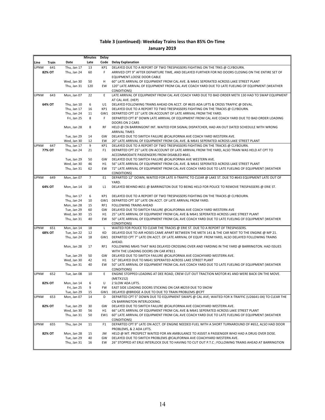|             |        |                            | Minutes         | Delay          |                                                                                                                                                                        |
|-------------|--------|----------------------------|-----------------|----------------|------------------------------------------------------------------------------------------------------------------------------------------------------------------------|
| Line        | Train  | Date                       | Late            |                | Code Delay Explanation                                                                                                                                                 |
| <b>UPNW</b> | 641    | Thu, Jan 17                | 13              | KP1            | DELAYED DUE TO A REPORT OF TWO TRESPASSERS FIGHTING ON THE TRKS @ CLYBOURN.                                                                                            |
|             | 82% OT | Thu, Jan 24                | 60              | F              | ARRIVED CPT 9" AFTER DEPARTURE TIME, AND DELAYED FURTHER FOR NO DOORS CLOSING ON THE ENTIRE SET OF                                                                     |
|             |        |                            |                 |                | EQUIPMENT.LOOSE DOOR CABLE                                                                                                                                             |
|             |        | Wed, Jan 30                | 50              | н              | 60" LATE ARRIVAL OF EQUIPMENT FROM CAL AVE. & M641 SEPERATED ACROSS LAKE STREET PLANT                                                                                  |
|             |        | Thu, Jan 31                | 120             | EW             | 120" LATE ARRIVAL OF EQUIPMENT FROM CAL AVE COACH YARD DUE TO LATE FUELING OF EQUIPMENT (WEATHER                                                                       |
|             |        |                            |                 |                | CONDITIONS)                                                                                                                                                            |
| <b>UPNW</b> | 643    | Mon, Jan 07                | 22              | E              | LATE ARRIVAL OF EQUIPMENT FROM CAL AVE COACH YARD DUE TO BAD ORDER METX 130 HAD TO SWAP EQUIPMENT<br>AT CAL AVE. (HEP)                                                 |
|             | 64% OT | Thu, Jan 10                | 6               | U1             | DELAYED FOLLOWING TRAINS AHEAD ON ACCT. OF #635 ADA LIFTS & CROSS TRAFFIC @ DEVAL.                                                                                     |
|             |        | Thu, Jan 17                | 16              | KP1            | DELAYED DUE TO A REPORT TO TWO TRESPASSERS FIGHTING ON THE TRACKS @ CLYBOURN.                                                                                          |
|             |        | Thu, Jan 24                | 11              |                | GW1 DEPARTED CPT 15" LATE ON ACCOUNT OF LATE ARRIVAL FROM THE YARD.                                                                                                    |
|             |        | Fri, Jan 25                | 8               | F              | DEPARTED CPT 8" DOWN LATE ARRIVAL OF EQUIPMENT FROM CAL AVE COACH YARD DUE TO BAD ORDER LOADING                                                                        |
|             |        |                            |                 |                | DOORS ON 2 CARS                                                                                                                                                        |
|             |        | Mon, Jan 28                | 8               | <b>RF</b>      | HELD @ CN BARRINGONT INT. WAITED FOR SIGNAL DISPATCHER, HAD AN OUT DATED SCHEDULE WITH WRONG                                                                           |
|             |        |                            |                 |                | <b>ARRIVAL TIMES</b>                                                                                                                                                   |
|             |        | Tue, Jan 29                | 14              | GW             | DELAYED DUE TO SWITCH FAILURE @CALIFORNIA AVE COACH YARD WESTERN AVE.                                                                                                  |
| <b>UPNW</b> | 647    | Wed, Jan 30<br>Thu, Jan 17 | 12<br>9         | EW<br>KP1      | 20" LATE ARRIVAL OF EQUIPMENT FROM CAL AVE. & M641 SEPERATED ACROSS LAKE STREET PLANT<br>DELAYED DUE TO A REPORT OF TWO TRESPASSERS FIGHTING ON THE TRACKS @ CLYBOURN. |
|             | 77% OT | Thu, Jan 24                | 21              | F <sub>1</sub> | DEPARTED CPT 25" LATE ON ACCOUNT OF LATE ARRIVAL FROM THE YARD, ALSO TRAIN WAS HELD AT CPT TO                                                                          |
|             |        |                            |                 |                | ACCOMMODATE PASSENGERS FROM DISABLED #641.                                                                                                                             |
|             |        | Tue, Jan 29                | 50              | GW             | DELAYED DUE TO SWITCH FAILURE @CALIFORNIA AVE WESTERN AVE.                                                                                                             |
|             |        | Wed, Jan 30                | 46              | H1             | 56" LATE ARRIVAL OF EQUIPMENT FROM CAL AVE. & M641 SEPERATED ACROSS LAKE STREET PLANT                                                                                  |
|             |        | Thu, Jan 31                | 62              | EW             | 72" LATE ARRIVAL OF EQUIPMENT FROM CAL AVE COACH YARD DUE TO LATE FUELING OF EQUIPMENT (WEATHER                                                                        |
|             |        |                            |                 |                | <b>CONDITIONS)</b>                                                                                                                                                     |
| <b>UPNW</b> | 649    | Mon, Jan 07                | $7\overline{ }$ | E <sub>1</sub> | DEPARTED 12" DOWN, WAITED FOR LATE X-TRAFFIC TO CLEAR @ LAKE ST. DUE TO #643 EQUIPMENT LATE OUT OF                                                                     |
|             |        |                            |                 |                | YARD.                                                                                                                                                                  |
|             | 64% OT | Mon, Jan 14                | 18              | L1             | DELAYED BEHIND #651 @ BARRINGTON DUE TO BEING HELD FOR POLICE TO REMOVE TRESPASSERS @ ERIE ST.                                                                         |
|             |        |                            |                 |                |                                                                                                                                                                        |
|             |        | Thu, Jan 17<br>Thu, Jan 24 | 6<br>10         | KP1            | DELAYED DUE TO A REPORT OF TWO TRESPASSERS FIGHTING ON THE TRACKS @ CLYBOURN.<br>GW1 DEPARTED CPT 10" LATE ON ACCT. OF LATE ARRIVAL FROM YARD.                         |
|             |        | Mon, Jan 28                | 15              | RF1            | <b>FOLLOWING TRAINS AHEAD</b>                                                                                                                                          |
|             |        | Tue, Jan 29                | 60              | GW             | DELAYED DUE TO SWITCH FAILURE @CALIFORNIA AVE COACH YARD WESTERN AVE                                                                                                   |
|             |        | Wed, Jan 30                | 15              | H1             | 25" LATE ARRIVAL OF EQUIPMENT FROM CAL AVE & M641 SEPERATED ACROSS LAKE STREET PLANT                                                                                   |
|             |        | Thu, Jan 31                | 40              | EW             | 50" LATE ARRIVAL OF EQUIPMENT FROM CAL AVE COACH YARD DUE TO LATE FUELING OF EQUIPMENT (WEATHER                                                                        |
|             |        |                            |                 |                | <b>CONDITIONS)</b>                                                                                                                                                     |
| <b>UPNW</b> | 651    | Mon, Jan 14                | 18              | L              | WAITED FOR POLICE TO CLEAR THE TRACKS @ ERIE ST. DUE TO A REPORT OF TRESPASSERS.                                                                                       |
|             | 68% OT | Tue, Jan 22                | 12              | KD             | DELAYED DUE TO AIR HOSES CAME APART BETWEEN THE METX 141 & THE CAR NEXT TO THE ENGINE @ MP 21.                                                                         |
|             |        | Thu, Jan 24                | 18              |                | GW1 DEPARTED CPT 7" LATE ON ACCT. OF LATE ARRIVAL OF EQUIP. FROM YARD, ALSO DELAYED FOLLOWING TRAINS                                                                   |
|             |        |                            | 17              | RF1            | AHEAD.<br>FOLLOWING M645 THAT WAS DELAYED CROSSING OVER AND YARDING IN THE YARD @ BARRINGTON. HAD ISSUES                                                               |
|             |        | Mon, Jan 28                |                 |                | WITH THE LOADING DOORS ON CAR #7811                                                                                                                                    |
|             |        | Tue, Jan 29                | 50              | GW             | DELAYED DUE TO SWITCH FAILURE @CALIFORNIA AVE COACHYARD WESTERN AVE.                                                                                                   |
|             |        | Wed, Jan 30                | 42              | H1             | 52" DELAYED DUE TO M641 SEPERATED ACROSS LAKE STREET PLANT                                                                                                             |
|             |        | Thu, Jan 31                | 40              | EW             | 50" LATE ARRIVAL OF EQUIPMENT FROM CAL AVE COACH YARD DUE TO LATE FUELING OF EQUIPMENT (WEATHER                                                                        |
|             |        |                            |                 |                | <b>CONDITIONS)</b>                                                                                                                                                     |
| <b>UPNW</b> | 652    | Tue, Jan 08                | 10              | Ε              | ENGINE STOPPED LOADING AT DEE ROAD, CREW CUT OUT TRACTION MOTOR #1 AND WERE BACK ON THE MOVE.                                                                          |
|             |        |                            |                 |                | (METX152)                                                                                                                                                              |
|             | 82% OT | Mon, Jan 14                | 6               | U              | 2 SLOW ADA LIFTS.                                                                                                                                                      |
|             |        | Fri, Jan 25                | 9               | FW             | EAST SIDE LOADING DOORS STICKING ON CAR #8259 DUE TO SNOW                                                                                                              |
|             |        | Tue, Jan 29                | 15              |                | GW1 DELAYED @BRIDGE A DUE TO DUE TO TRAIN PROBLEMS @CPT                                                                                                                |
| <b>UPNW</b> | 653    | Mon, Jan 07                | 14              | D              | DEPARTED CPT 5" DOWN DUE TO EQUIPMENT SWAPS @ CAL AVE; WAITED FOR X-TRAFFIC (U26641-04) TO CLEAR THE<br>CN BARRINGTON INTERLOCKING.                                    |
|             | 82% OT | Tue, Jan 29                | 30              | GW             | DELAYED DUE TO SWITCH FAILURE @CALIFORNIA AVE COACHYARD WESTERN AVE.                                                                                                   |
|             |        | Wed, Jan 30                | 56              | Η1             | 66" LATE ARRIVAL OF EQUIPMENT FROM CAL AVE & M641 SEPERATED ACROSS LAKE STREET PLANT                                                                                   |
|             |        | Thu, Jan 31                | 50              | EW1            | 60" LATE ARRIVAL OF EQUIPMENT FROM CAL AVE COACH YARD DUE TO LATE FUELING OF EQUIPMENT (WEATHER                                                                        |
|             |        |                            |                 |                | CONDITIONS)                                                                                                                                                            |
| <b>UPNW</b> | 655    | Thu, Jan 24                | 11              | F1             | DEPARTED CPT 9" LATE ON ACCT. OF ENGINE NEEDED FUEL WITH A SHORT TURNAROUND OF #652, ALSO HAD DOOR                                                                     |
|             |        |                            |                 |                | PROBLEMS, & 2 ADA LIFTS.                                                                                                                                               |
|             | 82% OT | Mon, Jan 28                | 15              | JM             | HELD @ MT. PROSPECT WAITED FOR AN AMBULANCE TO ASSIST A PASSENGER WHO HAD A DRUG OVER DOSE.                                                                            |
|             |        | Tue, Jan 29                | 40              | GW             | DELAYED DUE TO SWITCH PROBLEMS @CALIFORNIA AVE COACHYARD WESTERN AVE.                                                                                                  |
|             |        | Thu, Jan 31                | 16              | EW             | 26" STOPPED AT ERLE INTERLOCK DUE TO HAVING TO CUT OUT P.T.C ; FOLLOWING TRAINS AHEAD AT BARRINGTION                                                                   |
|             |        |                            |                 |                |                                                                                                                                                                        |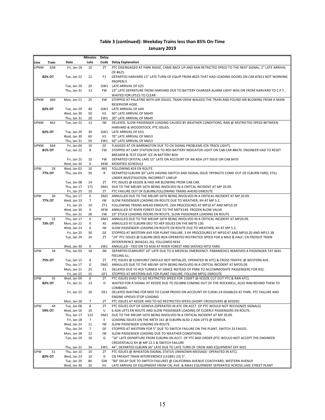|             |        |                            | <b>Minutes</b>    | Delay     |                                                                                                                                                                                     |
|-------------|--------|----------------------------|-------------------|-----------|-------------------------------------------------------------------------------------------------------------------------------------------------------------------------------------|
| Line        | Train  | Date                       | Late              | Code      | <b>Delay Explanation</b>                                                                                                                                                            |
| <b>UPNW</b> | 658    | Fri, Jan 18                | 10                | <b>ZT</b> | PTC DISENGAGED AT PARK RIDGE, CAME BACK UP AND RAN RETRICTED SPEED TO THE NEXT SIGNAL; 2" LATE ARRIVAL                                                                              |
|             |        |                            |                   |           | OF #625.                                                                                                                                                                            |
|             | 82% OT | Tue, Jan 22                | 12                | F1        | DEPARTED HARVARD 15" LATE TURN OF EQUIP FROM #625 THAT HAD LOADING DOORS ON CAR #7811 NOT WORKING                                                                                   |
|             |        | Tue, Jan 29                | 20                |           | PROPERLY.<br>GW1 LATE ARRIVAL OF 625                                                                                                                                                |
|             |        | Thu, Jan 31                | 13                | <b>FW</b> | 23" LATE DEPARTURE FROM HARVARD DUE TO BATTERY CHARGER ALARM LIGHT WAS ON FROM HARVARD TO C.P.T.                                                                                    |
|             |        |                            |                   |           | WAITED FOR LP515 TO CLEAR                                                                                                                                                           |
| <b>UPNW</b> | 660    | Mon, Jan 21                | 25                | KW        | STOPPED AT PALATINE WITH AIR ISSUES, TRAIN CREW WALKED THE TRAIN AND FOUND AIR BLOWING FROM A MAIN                                                                                  |
|             |        |                            |                   |           | RESERVOIR HOSE.                                                                                                                                                                     |
|             | 82% OT | Tue, Jan 29                | 40                |           | GW1 LATE ARRIVAL OF 649.                                                                                                                                                            |
|             |        | Wed, Jan 30                | 50                | H1        | 60" LATE ARRIVAL OF M649                                                                                                                                                            |
|             |        | Thu, Jan 31                | 20                | EW1       | 30" LATE ARRIVAL OF M649                                                                                                                                                            |
| <b>UPNW</b> | 662    | Tue, Jan 22                | 13                | IW        | DELAYED, SLOW PASSENGER LOADING CAUSED BY WEATHER CONDITIONS, RAN @ RESTRICTED SPEED BETWEEN<br>HARVARD & WOODSTOCK, PTC ISSUES.                                                    |
|             | 82% OT | Tue, Jan 29                | 30                |           | GW1 LATE ARRIVAL OF 653.                                                                                                                                                            |
|             |        | Wed, Jan 30                | 60                | H1        | 70" LATE ARRIVAL OF M653                                                                                                                                                            |
|             |        | Thu, Jan 31                | 50                | EW1       | 60" LATE ARRIVAL OF M653                                                                                                                                                            |
| <b>UPNW</b> | 664    | Fri, Jan 04                | 10                | GF        | FLAGGED AT CN BARRINGTON DUE TO CN SIGNAL PROBLEMS (CN TRACK LIGHT).                                                                                                                |
|             | 81% OT | Tue, Jan 22                | 8                 | FW        | STOPPED AT CARY STATION DUE TO RED BATTERY INDICATOR LIGHT ON CAB CAR #8470. ENGINEER HAD TO RESET                                                                                  |
|             |        |                            |                   |           | BREAKER & TEST EQUIP. ICE IN BATTERY BOX                                                                                                                                            |
|             |        | Fri, Jan 25                | 10                | <b>FW</b> | DEPARTED CRYSTAL LAKE 15" LATE ON ACCOUNT OF AN ADA LIFT ISSUE ON CAB 8470                                                                                                          |
| <b>UPW</b>  | 26     | Wed, Jan 30<br>Wed, Jan 02 | 0<br>10           | XKW       | MODIFIED SCHEDULE<br>FOLLOWING #24 EN ROUTE.                                                                                                                                        |
|             | 77% OT | Thu, Jan 03                | 50                | JM1<br>R  | DEPARTED ELBURN 30" LATE HAVING SWITCH AND SIGNAL ISSUE TRYINGTO COME OUT OF ELBURN YARD, STILL                                                                                     |
|             |        |                            |                   |           | UNDER INVESTIGATION. INCORRECT LINEUP                                                                                                                                               |
|             |        | Tue, Jan 08                | 14                | ZT        | PTC ISSUES @ KEDZIE & HAD AIR BLOWING FROM CAB CAR.                                                                                                                                 |
|             |        | Thu, Jan 17                | 171               |           | DM1 DUE TO THE MELNP-16TH BEING INVOLVED IN A CRITCAL INCIDENT AT MP 20.09.                                                                                                         |
|             |        | Fri, Jan 25                | 10                | ZT        | PTC FAILURE OUT OF ELBURN, FOLLOWING TRAINS AHEAD ENROUTE                                                                                                                           |
| <b>UPW</b>  | 30     | Thu, Jan 17                | 0                 |           | DM1 ANNULLED DUE TO THE MELNP-16TH BEING INVOLVED IN A CRITICAL INCIDENT AT MP 20.09.                                                                                               |
|             | 77% OT | Wed, Jan 23                | $\overline{7}$    | IW        | SLOW PASSENGER LOADING EN ROUTE DUE TO WEATHER, XH AT MP 5.2.                                                                                                                       |
|             |        | Fri, Jan 25                | 10                | ZT1       | FOLLOWING TRAINS AHEAD ENROUTE. 2XH PROCEDURES AT MP10.47 AND MP10.20                                                                                                               |
|             |        | Wed, Jan 30                | 0                 | XEW       | ANNULLED AT RIVER FOREST DUE TO THE METX149. FROZEN BLOW VALVE                                                                                                                      |
| <b>UPW</b>  | 32     | Thu, Jan 31<br>Thu, Jan 17 | 28<br>$\mathbf 0$ | EW<br>DM1 | 10" STUCK LOADING DOORS EN ROUTE, SLOW PASSENGER LOADING EN ROUTE<br>ANNULLED DUE TO THE MELNP-16TH BEING INVOLVED IN A CRITICAL INCIDENT AT MP20.09.                               |
|             | 73% OT | Mon, Jan 21                | $\mathbf 0$       | XE        | ANNULLED AT ELBURN DEU TO HEP ISSUES ON THE METX 130.                                                                                                                               |
|             |        | Wed, Jan 23                | 6                 | IW        | SLOW PASSENGER LOADING EN ROUTE EN ROUTE DUE TO WEATHER, XH AT MP 5.2.                                                                                                              |
|             |        | Fri, Jan 25                | 30                | GF        | STOPPED AT WESTERN AVE FOR PLANT FAILURE, 3 XH PROCEDURES AT MP10.47 AND MP10.20 AND MP11.38                                                                                        |
|             |        | Tue, Jan 29                | 24                | ZT        | "24" PTC ISSUES @ ELBURN (RED BOX-OPERATED RESTRICTED SPEED FOR A MILE & HALF; CN FREIGHT TRAIN                                                                                     |
|             |        |                            |                   |           | INTERFERENCE (M34241-26), FOLLOWED M34                                                                                                                                              |
|             |        | Wed, Jan 30                | 0                 | EW1       | ANNULLED - TIED ON TO M30 AT RIVER FOREST AND SHOVED INTO YARD                                                                                                                      |
| UPW         | 34     | Thu, Jan 03                | 18                | JM        | DEPARTED ELMHURST 20" LATE DUE TO A MEDICAL EMERGENCY. PARAMEDICS REMOVED A PASSENGER TAT WAS                                                                                       |
|             |        |                            |                   |           | FEELING ILL.                                                                                                                                                                        |
|             | 75% OT | Tue, Jan 15<br>Thu, Jan 17 | 8<br>0            | <b>ZT</b> | PTC ISSUES @ ELMHURST (WOULD NOT INITIALIZE, OPERATED IN ATC) & CROSS TRAFFIC @ WESTERN AVE.<br>DM1 ANNULLED DUE TO THE MELNP-16TH BEING INVOLVED IN A CRITCAL INCIDENT AT MP20.09. |
|             |        | Mon, Jan 21                | 25                | E1        | DELAYED DUE TO #19 TURNED AT GRACE INSTEAD OF PARK TO ACCOMMODATE PASSENGERS FOR #32.                                                                                               |
|             |        | Fri, Jan 25                | 15                | GF1       | STOPPED AT WESTERN AVE FOR PLANT FAILURE, FOLLOW MP32 ENROUTE                                                                                                                       |
| UPW         | 35     | Wed, Jan 09                | 6                 | <b>ZT</b> | PTC ISSUES (HAD TO GO RESTRICTED SPEED FOR 1500FT @ KEDZIE CUT OUT PTC & RAN ATC).                                                                                                  |
|             | 82% OT | Fri, Jan 11                | 13                | D         | WAITED FOR A SIGNAL AT KEDZIE DUE TO ZG1BRB COMING OUT OF THE ROCKWELL, ALSO RAN BEHIND THEM TO                                                                                     |
|             |        |                            |                   |           | LOMBARD.                                                                                                                                                                            |
|             |        | Fri, Jan 25                | 10                | DE1       | DELAYED WAITING FOR M50 TO CLEAR PROVO ON ACCOUNT OF CLRSKI-24 DISABLED AT PARK. PTC FAILURE AND                                                                                    |
|             |        |                            |                   |           | ENGINE UP6543 STOP LOADING                                                                                                                                                          |
| <b>UPW</b>  | 44     | Mon, Jan 28                | 7<br>8            | ZT        | PTC ISSUES AT KEDZIE HAD TO GO RESTRICTED SPEED (SHORT CROSSOVERS @ KEDZIE)                                                                                                         |
|             | 59% OT | Tue, Jan 08<br>Wed, Jan 16 | 10                | ZT<br>U   | PTC ISSUES OUT OF GENEVA (OPERATED IN ATC ON ACCT. OF PTC WOULD NOT RECOGNIZE SIGNALS).<br>6 ADA LIFTS EN ROUTE AND SLOW PASSENGER LOADING OF ELDERLY PASSENGERS EN ROUTE.          |
|             |        | Thu, Jan 17                | 123               | DM1       | DUE TO THE MELNP-16TH BEING INVOLVED IN A CRITICAL INCIDENT AT MP 20.09.                                                                                                            |
|             |        | Fri, Jan 18                | $\overline{7}$    | Ε         | LOADING ISSUES ON THE METX 161 @ ELBURN ALSO 2 ADA LIFTS @ GENEVA.                                                                                                                  |
|             |        | Wed, Jan 23                | 11                | IW        | SLOW PASSENGER LOADING EN ROUTE.                                                                                                                                                    |
|             |        | Thu, Jan 24                | $\overline{7}$    | GF        | STOPPED AT WESTERN FOR 5" DUE TO SWITCH FAILURE ON THE PLANT, SWITCH 33 FAILED.                                                                                                     |
|             |        | Mon, Jan 28                | 12                | IW        | SLOW PASSENGER LOADING DUE TO WEATHER CONDITIONS.                                                                                                                                   |
|             |        | Tue, Jan 29                | 16                | G         | "16" LATE DEPARTURE FROM ELBURN ON ACCT. OF PTC BAD ORDER (PTC WOULD NOT ACCEPT THE ENGINEER                                                                                        |
|             |        |                            |                   |           | CREDENTIALS) XH @ MP 22.5 & SWITCH FAILURE                                                                                                                                          |
| <b>UPW</b>  | 51     | Thu, Jan 31                | 34<br>10          | EW1<br>ZT | 44"; DEPARTED ELBURN 36" LATE DUE TO LATE TURN OF CREW AND EQUIPMENT OFF M25                                                                                                        |
|             | 82% OT | Thu, Jan 10<br>Wed, Jan 23 | 10                | D         | PTC ISSUES @ WHEATON (SIGNAL STATUS UNKNOWN MESSAGE- OPERATED IN ATC).<br>CN FREIGHT TRAIN INTERFERENCE (L51891-23) 5".                                                             |
|             |        | Tue, Jan 29                | 80                | GW        | "80" DELAY DUE TO SWITCH FAILURES @ CALIFORNIA AVENUE COACHYARD, WESTERN AVENUE                                                                                                     |
|             |        | Wed, Jan 30                | 10                | H1        | LATE ARRIVAL OF EQUIPMENT FROM CAL AVE. & M641 EQUIPMENT SEPERATED ACROSS LAKE STREET PLANT                                                                                         |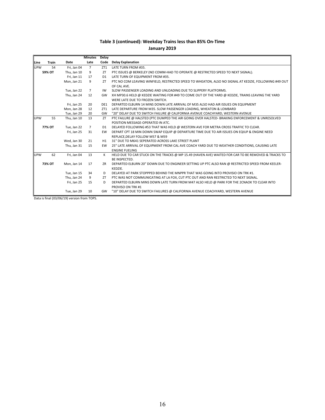#### **January 2019**

|            |              |             | <b>Minutes</b> | Delay          |                                                                                                       |
|------------|--------------|-------------|----------------|----------------|-------------------------------------------------------------------------------------------------------|
| Line       | <b>Train</b> | Date        | Late           | Code           | <b>Delay Explanation</b>                                                                              |
| UPW        | 54           | Fri, Jan 04 | $7^{\circ}$    | ZT1            | LATE TURN FROM #35.                                                                                   |
|            | 59% OT       | Thu, Jan 10 | 9              | <b>ZT</b>      | PTC ISSUES @ BERKELEY (NO COMM-HAD TO OPERATE @ RESTRICTED SPEED TO NEXT SIGNAL).                     |
|            |              | Fri, Jan 11 | 17             | D <sub>1</sub> | LATE TURN OF EQUIPMENT FROM #35.                                                                      |
|            |              | Mon, Jan 21 | 9              | <b>ZT</b>      | PTC NO COM LEAVING WINFIELD, RESTRICTED SPEED TO WHEATON, ALSO NO SIGNAL AT KEDZIE, FOLLOWING #49 OUT |
|            |              |             |                |                | OF CAL AVE.                                                                                           |
|            |              | Tue, Jan 22 | $\overline{7}$ | IW             | SLOW PASSENGER LOADING AND UNLOADING DUE TO SLIPPERY PLATFORMS.                                       |
|            |              | Thu, Jan 24 | 12             | GW             | XH MP30.6 HELD @ KEDZIE WAITING FOR #49 TO COME OUT OF THE YARD @ KEDZIE, TRAINS LEAVING THE YARD     |
|            |              |             |                |                | WERE LATE DUE TO FROZEN SWITCH.                                                                       |
|            |              | Fri, Jan 25 | 20             | DE1            | DEPARTED ELBURN 14 MINS DOWN LATE ARRIVAL OF M35 ALSO HAD AIR ISSUES ON EQUIPMENT                     |
|            |              | Mon, Jan 28 | 12             | ZT1            | LATE DEPARTURE FROM M35. SLOW PASSENGER LOADING, WHEATON & LOMBARD                                    |
|            |              | Tue, Jan 29 | 20             | GW             | "20" DELAY DUE TO SWITCH FAILURE @ CALIFORNIA AVENUE COACHYARD, WESTERN AVENUE                        |
| <b>UPW</b> | 55           | Thu. Jan 10 | 13             | <b>ZT</b>      | PTC FAILURE @ HALSTED (PTC DUMPED THE AIR GOING OVER HALSTED- BRAKING ENFORCEMENT & UNRESOLVED        |
|            |              |             |                |                | POSITION MESSAGE-OPERATED IN ATC.                                                                     |
|            | 77% OT       | Tue, Jan 22 | $\overline{7}$ | D <sub>1</sub> | DELAYED FOLLOWING #53 THAT WAS HELD @ WESTERN AVE FOR METRA CROSS TRAFFIC TO CLEAR.                   |
|            |              | Fri, Jan 25 | 31             | EW             | DEPART CPT 18 MIN DOWN SWAP EQUIP @ DEPARTURE TIME DUE TO AIR ISSUES ON EQIUP & ENGINE NEED           |
|            |              |             |                |                | REPLACE.DELAY FOLLOW M57 & M59                                                                        |
|            |              | Wed, Jan 30 | 21             | H1             | 31" DUE TO M641 SEPERATED ACROSS LAKE STREET PLANT                                                    |
|            |              | Thu, Jan 31 | 15             | EW             | 25" LATE ARRIVAL OF EQUIPMENT FROM CAL AVE COACH YARD DUE TO WEATHER CONDITIONS, CAUSING LATE         |
|            |              |             |                |                | <b>ENGINE FUELING</b>                                                                                 |
| <b>UPW</b> | 62           | Fri, Jan 04 | 13             | К              | HELD DUE TO CAR STUCK ON THE TRACKS @ MP 15.49 (HAVEN AVE) WAITED FOR CAR TO BE REMOVED & TRACKS TO   |
|            |              |             |                |                | BE INSPECTED.                                                                                         |
|            | 73% OT       | Mon. Jan 14 | 17             | ZR             | DEPARTED ELBURN 20" DOWN DUE TO ENGINEER SETTING UP PTC ALSO RAN @ RESTRICTED SPEED FROM KEELER-      |
|            |              |             |                |                | KEDZIE.                                                                                               |
|            |              | Tue, Jan 15 | 34             | D              | DELAYED AT PARK STOPPPED BEHIND THE MNPPR THAT WAS GOING INTO PROVISIO ON TRK #1.                     |
|            |              | Thu, Jan 24 | 9              | <b>ZT</b>      | PTC WAS NOT COMMUNICATING AT LA FOX, CUT PTC OUT AND RAN RESTRICTED TO NEXT SIGNAL.                   |
|            |              | Fri, Jan 25 | 15             | D              | DEPARTED ELBURN MINS DOWN LATE TURN FROM M47 ALSO HELD @ PARK FOR THE 2CNAOK TO CLEAR INTO            |
|            |              |             |                |                | PROVISO ON TRK #1                                                                                     |
|            |              | Tue, Jan 29 | 10             | GW             | "10" DELAY DUE TO SWITCH FAILURES @ CALIFORNIA AVENUE COACHYARD, WESTERN AVENUE                       |

Data is final (03/06/19) version from TOPS.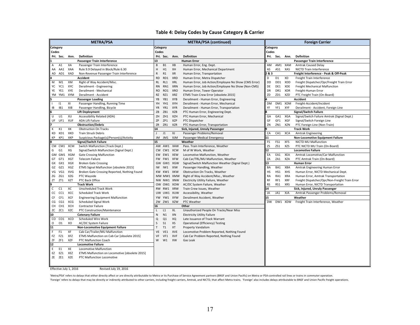#### **Table 4: Delay Codes by Cause Category & Carrier**

|                 |                |            | <b>METRA/PSA</b>                               |              |                |            | METRA/PSA (continued)                                |           |                |            | <b>Foreign Carrier</b>                         |
|-----------------|----------------|------------|------------------------------------------------|--------------|----------------|------------|------------------------------------------------------|-----------|----------------|------------|------------------------------------------------|
| <b>Category</b> |                |            |                                                | Category     |                |            |                                                      | Category  |                |            |                                                |
| Codes           |                |            |                                                | Codes        |                |            |                                                      | Codes     |                |            |                                                |
|                 | Pri. Sec.      | Ann.       | Definition                                     |              | Pri. Sec.      | Ann.       | Definition                                           |           | Pri. Sec.      | Ann.       | Definition                                     |
|                 |                |            | Passenger Train Interference                   | 13           |                |            | <b>Human Error</b>                                   |           |                |            | Passenger Train Interference                   |
| A               | A1             | XA         | Passenger Train Interference                   | B            | <b>B1</b>      | XB         | Human Error, Eng. Dept.                              | AM        |                | AM1 XAM    | <b>Amtrak Caused Delay</b>                     |
|                 | AA AA1         | XAA        | Rule 9.9 Delayed in Block/Rule 6.30            | Н            | H1             | XH         | Human Error, Mechanical Department                   | AS        | AS1            | XAS        | NICTD Train Interference                       |
| AD              | AD1            | XAD        | Non-Revenue Passenger Train Interference       | R            | R1             | XR         | Human Error, Transportation                          | 2&3       |                |            | Freight Interference - Peak & Off-Peak         |
|                 |                |            | Accident                                       | <b>RD</b>    | RD1            | <b>XRD</b> | Human Error, Metra Dispatcher                        | D         | D <sub>1</sub> | XD         | Freight Train Interference                     |
| М               | M1             | XM         | Right of Way Accident/Misc.                    | <b>RL</b>    | RL1            | <b>XRL</b> | Human Error, Job Action/Employee No Show (CMS Error) | DD        | DD1            | XDD        | Freight Dispatcher/Opr/Freight Train Error     |
| YC              | YC1            | XYC        | Derailment - Engineering                       | <b>RN</b>    | RN1            | <b>XRN</b> | Human Error, Job Action/Employee No Show (Non-CMS)   | DE        | DE1            | XDE        | Freight Mechanical Malfunction                 |
| YE              | YE1            | XYE        | Derailment - Mechanical                        | <b>RO</b>    | RO1            | <b>XRO</b> | Human Error, Tower Operator                          | <b>DR</b> | DR1            | XDR        | Freight-Human Error                            |
|                 | YM YM1         | XYM        | Derailment - Accident                          | <b>RZ</b>    | RZ1            | <b>XRZ</b> | ETMS Train Crew Error [obsolete 2015]                | ZD        | ZD1            | <b>XZD</b> | PTC Freight Train (On-Board)                   |
|                 |                |            | <b>Passenger Loading</b>                       | YB           | YB1            | <b>XYB</b> | Derailment - Human Error, Engineering                |           |                |            | Accident                                       |
|                 | 11             | XI         | Passenger Handling, Running Time               | YH           | YH1            | XYH        | Derailment - Human Error, Mechanical                 | <b>DM</b> |                | DM1 XDM    | Freight-Accident/Incident                      |
| IB              | IB1            | XIB        | Passenger Handling, Bicycle                    | YR           | YR1            | <b>XYR</b> | Derailment - Human Error, Transportation             | YF        | YF1            | XYF        | Derailment - Accident, Foreign Line            |
|                 |                |            | <b>Lift Deployment</b>                         | ZB           | ZB1            | <b>XZB</b> | PTC Human Error, Engineering Dept.                   |           |                |            | <b>Signal/Switch Failure</b>                   |
| U               | U1             | XU         | Accessibility Related (ADA)                    | ZH           | ZH1            | <b>XZH</b> | PTC Human Error, Mechanical                          | GA        | GA1            | XGA        | Signal/Switch Failure Amtrak (Signal Dept.)    |
|                 | UF UF1         | <b>XUF</b> | ADA Lift Failure                               | ZΡ           | ZP1            | <b>XZP</b> | PTC Dispatcher                                       | GF        | GF1            | XGF        | Signal/Switch Foreign Line                     |
|                 |                |            | <b>Obstruction/Debris</b>                      | ZR           | ZR1            | <b>XZR</b> | PTC Human Error, Transportation                      | ZN        | ZN1            | XZN        | PTC Foreign Line (Non-Train)                   |
| К               | K1             | XK         | <b>Obstruction On Tracks</b>                   | 14           |                |            | Sick, Injured, Unruly Passenger                      |           |                |            | <b>Track Work</b>                              |
| KD              | KD1            | XKD        | <b>Train Struck Debris</b>                     | $\perp$      | J1             | XJ         | Passenger Problems/Removal                           | CA        | CA1            | XCA        | <b>Amtrak Engineering</b>                      |
| КP              | KP1            | XKP        | Suspicious Package(s)/Person(s)/Activity       | JM           | JM1            | XJM        | Passenger Medical Emergency                          | 11        |                |            | <b>Non-Locomotive Equipment Failure</b>        |
|                 |                |            | <b>Signal/Switch Failure</b>                   | 15           |                |            | Weather                                              | FS        | FS1            | <b>XFS</b> | NICTD MU Malfunction                           |
|                 |                | CM CM1 XCM | Switch Malfunction (Track Dept.)               |              | AW AW1         | XAW        | Pass. Train Interference, Weather                    | ZS        | ZS1            | <b>XZS</b> | PTC NICTD MU Train (On-Board)                  |
| G               | G <sub>1</sub> | XG         | Signal/Switch Malfunction (Signal Dept.)       | <b>CW</b>    | CW1 XCW        |            | M of W Work, Weather                                 | 12        |                |            | <b>Locomotive Failure</b>                      |
|                 |                | GM GM1 XGM | <b>Gate Crossing Malfunction</b>               |              | EW EW1         | <b>XEW</b> | Locomotive Malfunction, Weather                      | EA        | EA1            | XEA        | Amtrak Locomotive/Car Malfunction              |
|                 | GT GT1         | <b>XGT</b> | <b>Telecom Failure</b>                         | <b>FW</b>    | FW1            | <b>XFW</b> | Cab Car/TRL/MU Malfunction, Weather                  | ZA        | ZA1            | <b>XZA</b> | PTC Amtrak Train (On-Board)                    |
|                 | GX GX1         | XGX        | <b>Broken Gate Crossing</b>                    | GW           | GW1            | <b>XGW</b> | Signal/Switch Malfunction Weather (Signal Dept.)     | 13        |                |            | <b>Human Error</b>                             |
| GZ              | GZ1            | XGZ        | ETMS Signal Malfunction [obsolete 2015]        | IW           | IW1            | XIW        | Passenger Handling, Weather                          | BA        | BA1            | XBA        | Amtrak Engineering Human Error                 |
| VG              | VG1            | XVG        | Broken Gate Crossing Reported, Nothing Found   | <b>KW</b>    | KW1            | <b>XKW</b> | Obstruction On Tracks, Weather                       | HS        | HS1            | XHS        | Human Error, NICTD Mechanical Dept.            |
|                 | ZG ZG1         | XZG        | PTC Wayside                                    |              |                | MW MW1 XMW | Right of Way Accident/Misc., Weather                 | RA        | RA1            | <b>XRA</b> | Human Error, Amtrak Transportation             |
| ZT              | ZT1            | <b>XZT</b> | PTC Back Office                                |              |                | NW NW1 XNW | Electricity Utility Failure, Weather                 | RF        | RF1            | <b>XRF</b> | Freight Dispatcher/Opr/Non-Freight Train Error |
|                 |                |            | <b>Track Work</b>                              |              |                | OW OW1 XOW | AC/DC System Failure, Weather                        | <b>RS</b> | RS1            | <b>XRS</b> | Human Error, NICTD Transportation              |
| C               | C1             | ХC         | Unscheduled Track Work                         |              | RW RW1 XRW     |            | Train Crew Issues, Weather                           | 14        |                |            | Sick, Injured, Unruly Passenger                |
| СC              | CC1            | <b>XCC</b> | <b>Scheduled Track Work</b>                    |              |                | UW UW1 XUW | Accessibility, Weather                               | JA        | JA1            | XJA        | Amtrak Passenger Problems/Removal              |
| CF              | CF1            | <b>XCF</b> | <b>Engineering Equipment Malfunction</b>       |              | YW YW1 XYW     |            | Derailment Accident, Weather                         | 15        |                |            | Weather                                        |
| CG              | CG1            | <b>XCG</b> | <b>Scheduled Signal Work</b>                   | ZW           | ZW1            | <b>XZW</b> | PTC Weather                                          | <b>DW</b> |                | DW1 XDW    | Freight Train Interference, Weather            |
|                 | CH CH1 XCH     |            | <b>Contractor Failure</b>                      | 16           |                |            | Other                                                |           |                |            |                                                |
| ZC              | ZC1            | XZC        | PTC Construction/Maintenance                   | $\mathsf{L}$ | L1             | XL         | Unauthorized People On Tracks/Near Miss              |           |                |            |                                                |
| 10              |                |            | <b>Catenary Failure</b>                        | ${\sf N}$    | N1             | XN         | <b>Electricity Utility Failure</b>                   |           |                |            |                                                |
| CO              | CO1 XCO        |            | Scheduled Wire Work                            | Q            | Q1             | XQ         | Late Issuance of Track Warrant                       |           |                |            |                                                |
| O               | 01             | XO         | AC/DC System Failure                           | S            | S <sub>1</sub> | <b>XS</b>  | Operational (Efficiency) Testing                     |           |                |            |                                                |
| 11              |                |            | Non-Locomotive Equipment Failure               | T            | T1             | XT         | Property Vandalism                                   |           |                |            |                                                |
| F.              | F <sub>1</sub> | XF         | Cab Car/Trailer/MU Malfunction                 | VE           | VE1            | XVE        | Locomotive Problem Reported, Nothing Found           |           |                |            |                                                |
| FZ              | FZ1            | <b>XFZ</b> | ETMS Malfunction on Cab Car [obsolete 2015]    | VF           | VF1            | <b>XVF</b> | Cab Car Problem Reported, Nothing Found              |           |                |            |                                                |
| ZF              | ZF1            | <b>XZF</b> | PTC Malfunction Coach                          | W            | W1             | XW         | Gas Leak                                             |           |                |            |                                                |
| 12              |                |            | <b>Locomotive Failure</b>                      |              |                |            |                                                      |           |                |            |                                                |
| E.              | E <sub>1</sub> | XE         | Locomotive Malfunction                         |              |                |            |                                                      |           |                |            |                                                |
| EZ              | EZ1            | XEZ        | ETMS Malfunction on Locomotive [obsolete 2015] |              |                |            |                                                      |           |                |            |                                                |
|                 | ZE ZE1         | XZE        | PTC Malfunction Locomotive                     |              |                |            |                                                      |           |                |            |                                                |
|                 |                |            |                                                |              |                |            |                                                      |           |                |            |                                                |

Effective July 1, 2016 Revised July 19, 2016

'Metra/PSA' refers to delays that either directly affect or are directly attributable to Metra or its Purchase of Service Agreement partners (BNSF and Union Pacific) on Metra or PSA-controlled rail lines or trains in commu 'Foreign' refers to delays that may be directly or indirectly attributed to other carriers, including freight carriers, Amtrak, and NICTD, that affect Metra trains. 'Foreign' also includes delays attributable to BNSF and U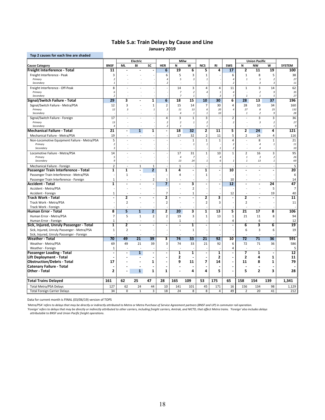#### **Table 5.a: Train Delays by Cause and Line January 2019**

| Top 2 causes for each line are shaded                                |                         |                         |                          |                                |                         |                                  |                             |                         |                   |                          |                          |                                  |                            |                 |
|----------------------------------------------------------------------|-------------------------|-------------------------|--------------------------|--------------------------------|-------------------------|----------------------------------|-----------------------------|-------------------------|-------------------|--------------------------|--------------------------|----------------------------------|----------------------------|-----------------|
|                                                                      |                         |                         | Electric                 |                                |                         | Milw                             |                             |                         |                   |                          |                          | <b>Union Pacific</b>             |                            |                 |
| <b>Cause Category</b>                                                | <b>BNSF</b>             | <b>ML</b>               | BI                       | SC                             | <b>HER</b>              | N                                | W                           | <b>NCS</b>              | <b>RI</b>         | <b>SWS</b>               | N                        | <b>NW</b>                        | W                          | <b>SYSTEM</b>   |
| Freight Interference - Total                                         | $\overline{11}$         |                         |                          |                                | 6                       | 19                               | 6                           | 5                       | 4                 | 17                       | 2                        | 11                               | 19                         | 100             |
| Freight Interference - Peak                                          | 3                       |                         |                          |                                | 6                       | 5                                | 3                           | 1                       |                   | 6                        | $\mathbf 1$              | 8                                | 5                          | 38              |
| Primary                                                              | $\sqrt{2}$              |                         |                          |                                | $\overline{4}$          | 5                                | $\sqrt{3}$                  | $\overline{1}$          |                   | 4                        | $\it 1$                  | 5                                | $\overline{2}$             | 27              |
| Secondary                                                            | $\overline{1}$          |                         |                          |                                | 2                       |                                  |                             |                         |                   | $\overline{c}$           |                          | 3                                | $\overline{\mathbf{3}}$    | 11              |
| Freight Interference - Off-Peak                                      | 8                       |                         |                          |                                |                         | 14                               | 3                           | 4                       | $\overline{4}$    | 11                       | $\mathbf 1$              | 3                                | 14                         | 62              |
| Primary<br>Secondary                                                 | 6<br>$\overline{2}$     |                         |                          |                                |                         | $\overline{z}$<br>$\overline{7}$ | $\boldsymbol{2}$<br>$\it 1$ | $\overline{4}$          | $\mathbf{1}$<br>3 | 4<br>$\overline{7}$      | $\mathbf{1}$             | $\overline{2}$<br>$\mathbf{1}$   | 9<br>5                     | 35<br>27        |
| Signal/Switch Failure - Total                                        | 29                      | 3                       | $\overline{a}$           | 1                              | $\overline{6}$          | 18                               | 15                          | 10                      | 30                | 6                        | 28                       | 13                               | 37                         | 196             |
| Signal/Switch Failure - Metra/PSA                                    | 12                      | 3                       |                          | 1                              | $\mathbf 2$             | 15                               | 14                          | 7                       | 30                | 4                        | 28                       | 10                               | 34                         | 160             |
| Primary                                                              | 12                      | $\overline{3}$          |                          | $\it 1$                        | $\overline{2}$          | 11                               | 13                          | 6                       | 20                | 4                        | 27                       | 8                                | 25                         | 132             |
| Secondary                                                            |                         |                         |                          |                                |                         | $\overline{4}$                   | $\mathbf{1}$                |                         | 10                |                          | $\mathbf{1}$             | $\boldsymbol{2}$                 | g                          | 28              |
| Signal/Switch Failure - Foreign                                      | 17                      |                         |                          |                                | 4                       | 3                                | $\mathbf 1$                 | 3                       |                   | $\overline{2}$           | ÷,                       | $\overline{3}$                   | 3                          | 36              |
| Primary                                                              | 13                      |                         |                          |                                | $\overline{2}$          | $\overline{2}$                   | $\it 1$                     | $\overline{2}$          |                   | $\overline{c}$           |                          | 3                                | $\overline{2}$             | 27              |
| Secondary                                                            | $\overline{4}$          |                         |                          |                                | 2                       | $\overline{1}$                   |                             | $\mathbf{1}$            |                   |                          |                          |                                  | $\mathbf{1}$               | $\mathsf{q}$    |
| <b>Mechanical Failure - Total</b>                                    | $\overline{21}$         | $\overline{a}$          | $\overline{1}$           | $\mathbf{1}$                   | $\overline{a}$          | 18                               | $\overline{32}$             | $\overline{2}$          | 11                | 5                        | $\overline{2}$           | 24                               | 4                          | 121             |
| Mechanical Failure - Metra/PSA                                       | 19                      | ä,                      | $\overline{\phantom{a}}$ |                                |                         | 17                               | 32                          | $\overline{2}$          | 11                | 5                        | 2                        | 24                               | 4                          | 116             |
| Non-Locomotive Equipment Failure - Metra/PSA                         | 5                       |                         |                          |                                |                         | $\sim$                           | $\mathbf 1$                 | $\mathbf 1$             | $\mathbf{1}$      | $\overline{4}$           | $\sim$                   | 8                                | $\mathbf 1$                | 21              |
| Primary                                                              | $\overline{2}$          |                         |                          |                                |                         |                                  | $\it 1$                     | $\mathbf{1}$            |                   | $\overline{c}$           |                          | $\overline{4}$                   | $\mathbf{1}$               | 11              |
| Secondary                                                            | $\sqrt{3}$              |                         |                          |                                |                         |                                  |                             |                         | $\mathbf{1}$      | $\overline{c}$           |                          | $\overline{4}$                   |                            | 10              |
| Locomotive Failure - Metra/PSA                                       | 14                      |                         |                          |                                |                         | 17                               | 31                          | $\mathbf 1$             | 10                | $\mathbf 1$              | $\overline{2}$           | 16                               | 3                          | 95              |
| Primary<br>Secondary                                                 | 5<br>9                  |                         |                          |                                |                         | $\overline{4}$<br>13             | $\overline{7}$<br>24        | $\mathbf{1}$            | $\Delta$<br>6     | $\it 1$                  | $\it 1$<br>$\mathbf{1}$  | $\boldsymbol{\mathcal{S}}$<br>13 | $\sqrt{2}$<br>$\mathbf{1}$ | 26<br>69        |
|                                                                      | $\overline{2}$          | $\overline{a}$          | $\mathbf{1}$             |                                |                         | $\mathbf{1}$                     | ÷,                          |                         | L.                |                          | $\overline{\phantom{a}}$ | $\overline{a}$                   | $\overline{\phantom{a}}$   |                 |
| Mechanical Failure - Foreign<br>Passenger Train Interference - Total | 1                       | $\overline{\mathbf{1}}$ |                          | $\mathbf{1}$<br>$\overline{2}$ | 1                       | 4                                | $\blacksquare$              | $\overline{\mathbf{1}}$ |                   | 10                       | ä,                       | $\overline{a}$                   | ÷.                         | 5<br>20         |
| Passenger Train Interference - Metra/PSA                             |                         | $\mathbf 1$             |                          |                                |                         | $\overline{4}$                   |                             | $\mathbf 1$             |                   |                          |                          | ÷,                               |                            | 6               |
| Passenger Train Interference - Foreign                               | $\mathbf{1}$            | $\ddot{\phantom{1}}$    |                          | $\overline{2}$                 | 1                       | $\overline{\phantom{a}}$         |                             |                         |                   | 10                       |                          | $\overline{\phantom{a}}$         |                            | 14              |
| Accident - Total                                                     | 1                       | $\blacksquare$          | ä,                       | ä,                             | $\overline{\mathbf{z}}$ | $\blacksquare$                   | 3                           | $\overline{a}$          |                   | 12                       | $\overline{a}$           | $\blacksquare$                   | 24                         | 47              |
| Accident - Metra/PSA                                                 |                         |                         |                          |                                |                         |                                  | $\overline{2}$              |                         |                   |                          |                          |                                  | 5                          | $\overline{7}$  |
| Accident - Foreign                                                   | $\mathbf 1$             |                         |                          |                                | $\overline{7}$          |                                  | $\mathbf 1$                 |                         |                   | 12                       |                          |                                  | 19                         | 40              |
| Track Work - Total                                                   | $\blacksquare$          | $\overline{2}$          |                          | $\blacksquare$                 | 2                       | $\ddot{\phantom{a}}$             | $\blacksquare$              | 2                       | 3                 | $\ddot{\phantom{a}}$     | 2                        | L,                               | ä,                         | 11              |
| Track Work - Metra/PSA                                               |                         | $\overline{2}$          |                          |                                | $\overline{2}$          |                                  |                             | $\overline{2}$          | $\overline{3}$    |                          | $\overline{2}$           |                                  |                            | 11              |
| Track Work - Foreign                                                 |                         |                         |                          |                                |                         |                                  |                             |                         |                   |                          |                          |                                  |                            |                 |
| -Iuman Error - Total                                                 | $\overline{\mathbf{8}}$ | $\overline{\mathbf{5}}$ | $\overline{1}$           | $\overline{2}$                 | 2                       | $\overline{20}$                  | 3                           | $\overline{\mathbf{1}}$ | $\overline{13}$   | 5                        | $\overline{21}$          | $\overline{17}$                  | $\overline{\mathbf{8}}$    | 106             |
| Human Error - Metra/PSA                                              | $\overline{7}$          | 5                       | $\mathbf{1}$             | $\overline{2}$                 | $\mathbf 2$             | 19                               | 3                           | 1                       | 13                | 1                        | 21                       | 11                               | 8                          | 94              |
| Human Error - Foreign                                                | $\mathbf 1$             |                         |                          |                                |                         | $\mathbf{1}$                     |                             |                         |                   | $\overline{4}$           |                          | 6                                |                            | 12              |
| Sick, Injured, Unruly Passenger - Total                              | 1                       | 2                       | ä,                       | $\blacksquare$                 | $\overline{a}$          | $\overline{a}$                   | 1                           | L.                      |                   | $\overline{\phantom{a}}$ | 6                        | 3                                | 6                          | 19              |
| Sick, Injured, Unruly Passenger - Metra/PSA                          | $\mathbf{1}$            | $\overline{2}$          |                          |                                |                         |                                  | $\mathbf{1}$                |                         |                   |                          | 6                        | 3                                | 6                          | 19              |
| Sick, Injured, Unruly Passenger - Foreign                            |                         |                         |                          |                                |                         |                                  |                             |                         |                   |                          |                          | L,                               |                            |                 |
| Weather - Total                                                      | 70                      | 49                      | 21                       | 39                             | 3                       | 74                               | 33                          | 21                      | 92                | 10                       | $\overline{72}$          | 71                               | 36                         | 591             |
| Weather - Metra/PSA                                                  | 69                      | 49                      | 21                       | 39                             | 3                       | 74                               | 33                          | 21                      | 92                | 6                        | 72                       | 71                               | 36                         | 586             |
| Weather - Foreign                                                    | $\mathbf{1}$            |                         |                          |                                |                         |                                  |                             |                         |                   | 4                        |                          |                                  |                            | 5               |
| Passenger Loading - Total                                            | $\blacksquare$          | $\blacksquare$          | $\mathbf{1}$             | $\blacksquare$                 | $\blacksquare$          | $\mathbf{1}$                     | $\mathbf{1}$                | $\overline{a}$          | $\mathbf{1}$      |                          | $\overline{\mathbf{z}}$  | $\mathbf{1}$                     | ÷                          | $\overline{12}$ |
| Lift Deployment - Total                                              |                         |                         |                          |                                |                         | 2                                |                             |                         | 2                 |                          | 2                        | 4                                | 1                          | 11              |
| <b>Obstruction/Debris - Total</b>                                    | 17                      |                         |                          | 1                              |                         | 9                                | 11                          | 7                       | 14                |                          | 11                       | 8                                | 1                          | 79              |
| <b>Catenary Failure - Total</b>                                      |                         |                         | ÷                        | ÷                              | $\blacksquare$          |                                  |                             |                         |                   |                          | ä,                       | ÷.                               |                            |                 |
| Other Total                                                          | $\overline{2}$          |                         | $\mathbf{1}$             | $\mathbf{1}$                   | $\mathbf{1}$            |                                  | 4                           | 4                       | 5                 |                          | 5                        | $\overline{2}$                   | $\overline{\mathbf{3}}$    | 28              |
| <b>Total Trains Delayed</b>                                          | 161                     | 62                      | 25                       | 47                             | 28                      | 165                              | 109                         | 53                      | 175               | 65                       | 158                      | 154                              | 139                        | 1,341           |
| <b>Total Metra/PSA Delays</b>                                        | 127                     | 62                      | 24                       | 44                             | 10                      | 141                              | 101                         | 45                      | 171               | 16                       | 156                      | 134                              | 98                         | 1,129           |
| <b>Total Foreign Carrier Delays</b>                                  | 34                      | $\mathbf 0$             | $\mathbf{1}$             | 3                              | 18                      | 24                               | 8                           | 8                       | $\overline{4}$    | 49                       | $\overline{2}$           | 20                               | 41                         | 212             |
|                                                                      |                         |                         |                          |                                |                         |                                  |                             |                         |                   |                          |                          |                                  |                            |                 |

Data for current month is FINAL (03/06/19) version of TOPS

'Metra/PSA' refers to delays that may be directly or indirectly attributed to Metra or Metra Purchase of Service Agreement partners (BNSF and UP) in commuter rail operation.<br>'Foreign' refers to delays that may be directly

*attributable to BNSF and Union Pacific freight operations.*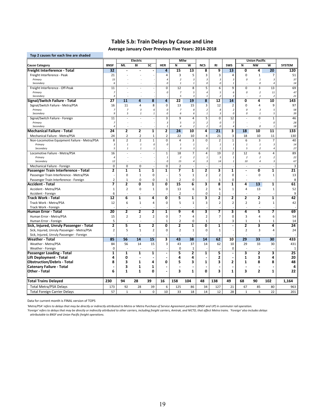# **Table 5.b: Train Delays by Cause and Line**

**Average January Over Previous Five Years: 2014‐2018**

| Top 2 causes for each line are shaded        |                                  |                     |                                         |                         |                                           |                         |                              |                                    |                          |                                  |                    |                         |                          |                 |
|----------------------------------------------|----------------------------------|---------------------|-----------------------------------------|-------------------------|-------------------------------------------|-------------------------|------------------------------|------------------------------------|--------------------------|----------------------------------|--------------------|-------------------------|--------------------------|-----------------|
|                                              |                                  |                     | Electric                                |                         |                                           | <b>Milw</b>             |                              |                                    |                          |                                  |                    | <b>Union Pacific</b>    |                          |                 |
| <b>Cause Category</b>                        | <b>BNSF</b>                      | <b>ML</b>           | вī                                      | SC                      | <b>HER</b>                                | N                       | $\overline{\mathsf{w}}$      | <b>NCS</b>                         | <b>RI</b>                | <b>SWS</b>                       | N                  | <b>NW</b>               | $\overline{\mathsf{w}}$  | <b>SYSTEM</b>   |
| Freight Interference - Total                 | 32                               |                     |                                         |                         | 4                                         | 15                      | 13                           | 8                                  | 9                        | $\overline{13}$                  | Ō                  | 4                       | 20                       | 120             |
| Freight Interference - Peak                  | 21                               |                     |                                         |                         | 4                                         | $\overline{\mathbf{3}}$ | 5                            | 3                                  | 3                        | 4                                | $\mathbf 0$        | $\mathbf 1$             | $\overline{7}$           | 51              |
| Primary                                      | 15                               |                     |                                         |                         | $\overline{4}$                            | $\boldsymbol{2}$        | $\sqrt{3}$                   | $\overline{3}$                     | $\overline{3}$           | $\overline{3}$                   | 0                  | $\mathbf{1}$            | $\overline{3}$           | 37              |
| Secondary                                    | 6                                |                     |                                         |                         | $\mathcal{O}$                             | $\mathbf{1}$            | $\it 1$                      | $\mathcal{O}$                      | $\Omega$                 | $\mathbf{1}$                     | ÷.                 | 0                       | $\overline{4}$           | 14              |
| Freight Interference - Off-Peak              | 11                               |                     |                                         |                         | $\mathbf 0$                               | 12                      | 8                            | 5                                  | 6                        | 9                                | $\mathbf 0$        | 3                       | 13                       | 69              |
| Primary                                      | $\overline{z}$                   |                     |                                         |                         | 0                                         | $\overline{z}$          | 5                            | $\overline{4}$                     | 5                        | 6                                | 0                  | $\overline{2}$          | 11                       | 47              |
| Secondary                                    | $\overline{4}$                   |                     |                                         |                         |                                           | 5                       | $\sqrt{3}$                   | $\overline{1}$                     | $\overline{\phantom{a}}$ | 3                                | $\overline{a}$     | $\mathbf{1}$            | $\overline{\phantom{a}}$ | 21              |
| Signal/Switch Failure - Total                | 27                               | 11                  | 4                                       | 8                       | $\overline{4}$                            | 22                      | 19                           | 8                                  | 12                       | 14                               | Ō                  | 4                       | 10                       | 143             |
| Signal/Switch Failure - Metra/PSA            | 16                               | 11                  | 4                                       | 8                       | 0                                         | 13                      | 15                           | 3                                  | 12                       | 2                                | $\mathbf 0$        | 4                       | 9                        | 97              |
| Primary                                      | $\overline{z}$<br>$\overline{q}$ | $\overline{7}$<br>5 | $\overline{\mathbf{3}}$<br>$\mathbf{1}$ | 6                       | 0<br>$\mathcal{O}$                        | $\overline{7}$<br>6     | 8<br>6                       | $\overline{2}$<br>$\overline{1}$   | 8<br>$\overline{3}$      | $\boldsymbol{2}$<br>0            | $\mathcal{O}$<br>0 | 3<br>$\mathbf{1}$       | 5<br>5                   | 58<br>39        |
| Secondary                                    |                                  |                     |                                         | $\it 1$                 |                                           |                         |                              |                                    |                          |                                  |                    |                         |                          |                 |
| Signal/Switch Failure - Foreign              | 11<br>$\overline{z}$             |                     |                                         |                         | 3                                         | 9                       | 4                            | $\overline{\mathbf{5}}$            | $\mathbf 0$<br>$\Omega$  | 12                               |                    | $\mathbf 0$             | $1\,$                    | 46              |
| Primary<br>Secondary                         | $\overline{4}$                   |                     |                                         |                         | $\overline{\mathbf{3}}$<br>$\overline{1}$ | 5<br>$\overline{4}$     | $\sqrt{3}$<br>$\overline{2}$ | $\boldsymbol{2}$<br>$\overline{2}$ | $\Omega$                 | $\overline{7}$<br>$\overline{4}$ |                    | 0                       | 0<br>$\mathbf{1}$        | 28<br>18        |
| <b>Mechanical Failure - Total</b>            | 24                               | 2                   | 2                                       | $\overline{\mathbf{1}}$ | $\overline{\mathbf{2}}$                   | 24                      | 10                           | 4                                  | $\overline{21}$          | 3                                | 18                 | 10                      | $\overline{11}$          | 133             |
| Mechanical Failure - Metra/PSA               | 24                               | 2                   | $\overline{2}$                          | 1                       | $\mathbf 2$                               | 22                      | 10                           | 4                                  | 21                       | 3                                | 18                 | 10                      | 11                       | 130             |
| Non-Locomotive Equipment Failure - Metra/PSA | 8                                | $\overline{2}$      | $\overline{2}$                          | $\mathbf 1$             | $\mathbf 0$                               | $\overline{4}$          | 3                            | 0                                  | $\overline{2}$           | $\mathbf{1}$                     | 6                  | 3                       | $\overline{7}$           | 40              |
| Primary                                      | $\sqrt{3}$                       | $\mathbf{1}$        | $\mathbf{1}$                            | 0                       | 0                                         | $\mathbf{1}$            | $\mathbf{1}$                 |                                    | 1                        | $\mathbf{1}$                     | $\it 1$            | $\it 1$                 | $\overline{\mathbf{3}}$  | 14              |
| Secondary                                    | 5                                | $\mathbf{1}$        | $\mathbf{1}$                            | $\mathbf{1}$            |                                           | $\overline{\mathbf{3}}$ | $\sqrt{3}$                   | $\mathcal{O}$                      | $\overline{1}$           | $\mathbf{1}$                     | 5                  | $\boldsymbol{2}$        | $\overline{4}$           | 27              |
| Locomotive Failure - Metra/PSA               | 16                               |                     |                                         |                         | $\mathbf 1$                               | 18                      | $\overline{7}$               | 4                                  | 19                       | $\overline{2}$                   | 12                 | 6                       | $\overline{4}$           | 89              |
| Primary                                      | $\overline{4}$                   |                     |                                         |                         | $\mathbf{1}$                              | $\overline{c}$          | $\overline{a}$               | $\mathbf{1}$                       | 5                        | $\overline{1}$                   | $\overline{2}$     | $\boldsymbol{2}$        | $\overline{2}$           | 22              |
| Secondary                                    | 12                               |                     |                                         |                         | $\mathcal{O}$                             | 15                      | $\overline{4}$               | $\overline{3}$                     | 14                       | $\mathbf{1}$                     | 10                 | $\overline{4}$          | $\overline{\mathbf{3}}$  | 67              |
| Mechanical Failure - Foreign                 | $\pmb{0}$                        | $\pmb{0}$           | $\pmb{0}$                               |                         | $\mathbf 0$                               | $\overline{2}$          |                              | J.                                 | J.                       |                                  | ÷,                 | $\bar{a}$               | ÷,                       | 3               |
| Passenger Train Interference - Total         | 2                                | 1                   | 1                                       | 1                       | 1                                         | 7                       | 1                            | 2                                  | 3                        | 1                                | $\sim$             | 0                       | 1                        | $\overline{21}$ |
| Passenger Train Interference - Metra/PSA     |                                  | $\mathbf 0$         | $\mathbf{1}$                            | $\mathbf 0$             |                                           | 5                       | $\mathbf{1}$                 | $\overline{2}$                     | $\overline{2}$           | $\mathbf 0$                      | ÷,                 | $\mathbf 0$             | $\mathbf{1}$             | 13              |
| Passenger Train Interference - Foreign       | $\overline{2}$                   | $\mathbf{1}$        | $\mathbf 0$                             | $\mathbf 0$             | $\mathbf 1$                               | $\overline{2}$          | 0                            |                                    | $\mathbf{1}$             | $\mathbf 0$                      | $\overline{a}$     |                         |                          | 8               |
| <b>Accident - Total</b>                      | 7                                | 2                   | 0                                       | 1                       | $\overline{\mathfrak{o}}$                 | $\overline{15}$         | $\overline{6}$               | 3                                  | $\overline{\mathbf{8}}$  | 1                                | 4                  | $\overline{13}$         | 1                        | 61              |
| Accident - Metra/PSA                         | $\mathbf{1}$                     | $\overline{2}$      | $\mathbf 0$                             | $\mathbf 1$             | $\mathbf 0$                               | 13                      | 6                            | $\overline{2}$                     | 6                        | $\mathbf{1}$                     | $\overline{4}$     | 13                      | $\mathbf{1}$             | 52              |
| Accident - Foreign                           | 6                                |                     |                                         |                         |                                           | $\overline{2}$          |                              | 0                                  | $\mathbf 1$              |                                  | L.                 |                         |                          | 9               |
| Track Work - Total                           | $\overline{12}$                  | $6\overline{6}$     | 1                                       | 4                       | $\overline{\mathfrak{o}}$                 | 5                       | $\overline{\mathbf{1}}$      | 3                                  | 2                        | 2                                | 2                  | $\overline{\mathbf{2}}$ | $\overline{\mathbf{1}}$  | 42              |
| Track Work - Metra/PSA                       | 12                               | 6                   | $\mathbf{1}$                            | $\overline{4}$          | 0                                         | 5                       | 1                            | 3                                  | $\overline{2}$           | $\overline{2}$                   | $\overline{2}$     | $\overline{2}$          | $\mathbf{1}$             | 42              |
| Track Work - Foreign                         |                                  |                     |                                         |                         |                                           | ÷,                      |                              |                                    |                          |                                  | $\overline{a}$     | ÷,                      |                          |                 |
| <b>Human Error - Total</b>                   | 20                               | 2                   | 2                                       | 2                       | 1                                         | 9                       | 4                            | 3                                  | 7                        | 3                                | 4                  | $\overline{\mathbf{5}}$ | 7                        | 69              |
| Human Error - Metra/PSA                      | 15                               | $\overline{2}$      | $\overline{2}$                          | $\overline{2}$          | $\mathbf 0$                               | $\overline{7}$          | 4                            | $\overline{2}$                     | $\overline{7}$           | $\mathbf 0$                      | 3                  | 4                       | 6                        | 54              |
| Human Error - Foreign                        | 5                                |                     |                                         |                         | $\mathbf 1$                               | $\overline{2}$          | 0                            | $\mathbf{1}$                       |                          | 3                                | $\mathbf{1}$       | 1                       | $\mathbf{1}$             | 14              |
| Sick, Injured, Unruly Passenger - Total      | $\overline{\mathbf{2}}$          | 5                   | 1                                       | 2                       | Ō                                         | 2                       | $\overline{\mathbf{1}}$      | 0                                  | 1                        |                                  | 2                  | 3                       | 4                        | 24              |
| Sick, Injured, Unruly Passenger - Metra/PSA  | $\overline{2}$                   | 5                   | $1\,$                                   | $\overline{2}$          | $\pmb{0}$                                 | $\mathbf 2$             | $\mathbf{1}$                 | $\pmb{0}$                          | $\mathbf 1$              |                                  | $\mathbf 2$        | 3                       | $\overline{4}$           | 24              |
| Sick, Injured, Unruly Passenger - Foreign    |                                  |                     |                                         |                         |                                           |                         |                              |                                    |                          |                                  |                    |                         |                          |                 |
| <b>Weather - Total</b>                       | 85                               | 56                  | 14                                      | 15                      | 3                                         | 43                      | 38                           | 14                                 | 62                       | 10                               | 29                 | $\overline{33}$         | 30                       | 433             |
| Weather - Metra/PSA                          | 84                               | 56                  | 14                                      | 15                      | 3                                         | 43                      | 37                           | 14                                 | 62                       | 10                               | 29                 | 33                      | 30                       | 431             |
| Weather - Foreign                            | $\mathbf 0$                      |                     |                                         |                         |                                           | $\mathbf 0$             | 1                            |                                    |                          | 0                                |                    |                         |                          | 1               |
| Passenger Loading - Total                    | 1                                | 1                   | 1                                       | $\mathbf{1}$            | $\blacksquare$                            | 5                       | $\overline{2}$               | 1                                  | 5                        | ÷.                               | 3                  | $\overline{2}$          | 3                        | 25              |
| Lift Deployment - Total                      | 4                                | 0                   |                                         |                         |                                           | 4                       | 4                            |                                    | 2                        |                                  | 1                  | 3                       | 4                        | 20              |
| <b>Obstruction/Debris - Total</b>            | 8                                | 3                   | $\mathbf{1}$                            | 4                       | 0                                         | 5                       | 3                            | 1                                  | 3                        | 2                                | $\mathbf{1}$       | 8                       | 8                        | 48              |
| <b>Catenary Failure - Total</b>              |                                  | 3                   | 1                                       | 1                       | $\blacksquare$                            |                         |                              |                                    |                          |                                  |                    | $\blacksquare$          |                          | 4               |
| <b>Other</b> - Total                         | 6                                | $\mathbf{1}$        | 1                                       | 0                       | L,                                        | 3                       | 1                            | O                                  | 3                        | 1                                | 3                  | $\overline{2}$          | 1                        | 22              |
| <b>Total Trains Delayed</b>                  | 230                              | 94                  | 28                                      | 39                      | 16                                        | 158                     | 104                          | 48                                 | 138                      | 49                               | 68                 | 90                      | 102                      | 1,164           |
| <b>Total Metra/PSA Delays</b>                | 173                              | 92                  | 28                                      | 39                      | 6                                         | 125                     | 86                           | 34                                 | 127                      | 21                               | 67                 | 85                      | 80                       | 963             |
| <b>Total Foreign Carrier Delays</b>          | 57                               | $\mathbf{1}$        | $\mathbf{1}$                            | $\mathbf 0$             | 10                                        | 33                      | 18                           | 14                                 | 12                       | 28                               | $\mathbf{1}$       | 5                       | 22                       | 201             |
|                                              |                                  |                     |                                         |                         |                                           |                         |                              |                                    |                          |                                  |                    |                         |                          |                 |

Data for current month is FINAL version of TOPS

'Metro/PSA' refers to delays that may be directly or indirectly attributed to Metra or Metra Purchase of Service Agreement partners (BNSF and UP) in commuter rail operation.

'Foreign' refers to delays that may be directly or indirectly attributed to other carriers, including freight carriers, Amtrak, and NICTD, that affect Metra trains. 'Foreign' also includes delays *attributable to BNSF and Union Pacific freight operations.*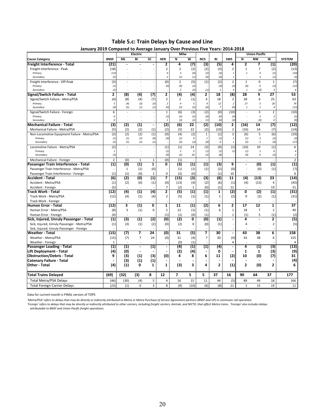| Table 5.c: Train Delays by Cause and Line |  |  |  |  |  |
|-------------------------------------------|--|--|--|--|--|
|-------------------------------------------|--|--|--|--|--|

| January 2019 Compared to Average January Over Previous Five Years: 2014-2018 |                   |                   | Electric                 |                           |                         | Milw                    |                   |                |                |                         |                         | <b>Union Pacific</b>                      |                         |                |
|------------------------------------------------------------------------------|-------------------|-------------------|--------------------------|---------------------------|-------------------------|-------------------------|-------------------|----------------|----------------|-------------------------|-------------------------|-------------------------------------------|-------------------------|----------------|
| <b>Cause Category</b>                                                        | <b>BNSF</b>       | MI.               | BI                       | SC                        | <b>HER</b>              | N                       | W                 | <b>NCS</b>     | RI             | <b>SWS</b>              | N                       | <b>NW</b>                                 | W                       | <b>SYSTEM</b>  |
| Freight Interference - Total                                                 | (21)              |                   |                          |                           | 2                       | 4                       | (7)               | $\overline{3}$ | $\overline{5}$ | 4                       | $\overline{2}$          | 7                                         | (1)                     | (20)           |
| Freight Interference - Peak                                                  | (18)              |                   |                          |                           | $\overline{2}$          | $\overline{2}$          | (2)               | (2)            | (3)            | $\overline{2}$          | $\mathbf{1}$            | 7                                         | (2)                     | (13)           |
| Primary                                                                      | (13)              |                   |                          |                           | $\mathcal{O}$           | $\overline{\mathbf{3}}$ | (0)               | (2)            | (3)            | $\mathbf{1}$            | $\mathbf{1}$            | $\overline{4}$                            | (1)                     | (10)           |
| Secondary                                                                    | (5)               |                   |                          |                           | $\overline{2}$          | (1)                     | (1)               | (0)            | (0)            | 1                       |                         | 3                                         | (1)                     | (3)            |
| Freight Interference - Off-Peak                                              | (3)               |                   |                          |                           | (0)                     | $\overline{2}$          | (5)               | (1)            | (2)            | $\overline{2}$          | $\mathbf{1}$            | $\mathbf 0$                               | $\mathbf{1}$            | (7)            |
| Primary                                                                      | (1)               |                   |                          |                           | (0)                     | (0)                     | (3)               |                | (4)            | (2)                     | (0)                     | 0                                         | (2)                     | (12)           |
| Secondary                                                                    | (2)               |                   |                          |                           |                         | 2                       | (2)               | (1)            |                | $\overline{4}$          | $\mathbf{1}$            | (0)                                       | 3                       |                |
| Signal/Switch Failure - Total                                                | 2                 | (8)               | (4)                      | (7)                       | 2                       | (4)                     | $\overline{a}$    | 2              | 18             | (8)                     | 28                      | 9                                         | 27                      | 53             |
| Signal/Switch Failure - Metra/PSA                                            | (4)               | (8)               | (4)                      | (7)                       | $\overline{2}$          | $\overline{2}$          | (1)               | $\overline{4}$ | 18             | $\overline{2}$          | 28                      | 6                                         | 25                      | 63             |
| Primary                                                                      | 5                 | (4)               | (3)                      | (5)                       | $\boldsymbol{2}$        | $\overline{4}$          | 5                 | $\overline{4}$ | 12             | 2                       | 27                      | 5                                         | 20                      | 74             |
| Secondary                                                                    | (9)               | (5)               | (1)                      | (1)                       | (0)                     | (2)                     | (5)               | (0)            | $\overline{z}$ | (0)                     | $\mathbf{1}$            | $\it 1$                                   | $\overline{4}$          | (11)           |
| Signal/Switch Failure - Foreign                                              | 6                 |                   |                          |                           | $\mathbf{1}$            | (6)                     | (3)               | (2)            | (0)            | (10)                    |                         | $\overline{3}$                            | $\overline{2}$          | (10)           |
| Primary                                                                      | 6                 |                   |                          |                           | (1)                     | (3)                     | (2)               | (0)            | (0)            | (5)                     |                         | $\overline{3}$                            | $\overline{2}$          | (1)            |
| Secondary                                                                    | 0                 |                   |                          |                           | $\mathbf{1}$            | (3)                     | (2)               | (1)            | (0)            | (4)                     |                         | (0)                                       | 0                       | (9)            |
| <b>Mechanical Failure - Total</b>                                            | (3)               | (2)               | (1)                      | $\blacksquare$            | (2)                     | (6)                     | 22                | (2)            | (10)           | 2                       | (16)                    | 14                                        | (7)                     | (12)           |
| Mechanical Failure - Metra/PSA                                               | (5)               | (2)               | (2)                      | (1)                       | (2)                     | (5)                     | 22                | (2)            | (10)           | $\mathbf 2$             | (16)                    | 14                                        | (7)                     | (14)           |
| Non-Locomotive Equipment Failure - Metra/PSA                                 | (3)               | (2)               | (2)                      | (1)                       | (0)                     | (4)                     | (2)               | $\mathbf{1}$   | (1)            | $\overline{3}$          | (6)                     | 5                                         | (6)                     | (19)           |
| Primary<br>Secondary                                                         | (1)<br>(2)        | (1)<br>(1)        | (1)<br>(1)               | (0)<br>(1)                | (0)                     | (1)<br>(3)              | 0<br>(3)          | $\it 1$<br>(0) | (1)<br>0       | 1<br>1                  | (1)<br>(5)              | $\overline{\mathbf{3}}$<br>$\overline{2}$ | (2)<br>(4)              | (3)<br>(17)    |
| Locomotive Failure - Metra/PSA                                               | (2)               |                   |                          |                           | (1)                     | (1)                     | 24                | (3)            | (9)            | (1)                     | (10)                    | 10                                        | (1)                     | 6              |
| Primary                                                                      | 1                 |                   |                          |                           | (1)                     | $\overline{2}$          | 5                 | (1)            | (1)            | (1)                     | (1)                     | $\it 1$                                   | 0                       | $\overline{4}$ |
| Secondary                                                                    | (3)               |                   |                          |                           | (0)                     | (2)                     | 20                | (2)            | (8)            |                         | (9)                     | 9                                         | (2)                     | $\overline{2}$ |
| Mechanical Failure - Foreign                                                 | $\overline{2}$    | (0)               | $\mathbf{1}$             | $1\,$                     | (0)                     | (1)                     |                   |                | $\overline{a}$ |                         | $\bar{\phantom{a}}$     | $\overline{a}$                            |                         | $\overline{2}$ |
| Passenger Train Interference - Total                                         | $\left( 1\right)$ | (0)               | (1)                      | $\mathbf{1}$              | 0                       | (3)                     | (1)               | (1)            | (3)            | 9                       | $\overline{a}$          | (0)                                       | (1)                     | (1)            |
| Passenger Train Interference - Metra/PSA                                     |                   | $\mathbf{1}$      | (1)                      | (0)                       |                         | (1)                     | (1)               | (1)            | (2)            | (0)                     | $\sim$                  | (0)                                       | (1)                     | (7)            |
| Passenger Train Interference - Foreign                                       | (1)               | (1)               | (0)                      | $\overline{2}$            | $\mathbf 0$             | (2)                     | (0)               |                | (1)            | 10                      |                         |                                           |                         | 6              |
| <b>Accident - Total</b>                                                      | (6)               | (2)               | (0)                      | (1)                       | 7                       | (15)                    | (3)               | (3)            | (8)            | 11                      | (4)                     | (13)                                      | 23                      | (14)           |
| Accident - Metra/PSA                                                         | (1)               | (2)               | (0)                      | (1)                       | (0)                     | (13)                    | (4)               | (2)            | (6)            | (1)                     | (4)                     | (13)                                      | 4                       | (45)           |
| Accident - Foreign                                                           | (5)               |                   |                          |                           | $\overline{7}$          | (2)                     | 1                 | (0)            | (1)            | 12                      |                         |                                           | 19                      | 31             |
| <b>Track Work - Total</b>                                                    | (12)              | (4)               | (1)                      | $\overline{a}$            | $\overline{2}$          | (5)                     | (1)               | (1)            | $\mathbf{1}$   | (2)                     | $\overline{\mathbf{0}}$ | (2)                                       | (1)                     | (31)           |
| Track Work - Metra/PSA                                                       | (12)              | (4)               | (1)                      | (4)                       | $\overline{2}$          | (5)                     | (1)               | (1)            | $\mathbf 1$    | (2)                     | 0                       | (2)                                       | (1)                     | (31)           |
| Track Work - Foreign                                                         |                   |                   |                          |                           |                         |                         |                   |                |                |                         |                         |                                           |                         |                |
| <b>Human Error - Total</b>                                                   | (12)              | 3                 | (1)                      | $\overline{\mathfrak{o}}$ | $\overline{\mathbf{1}}$ | $\overline{11}$         | (1)               | (2)            | 6              | $\overline{\mathbf{2}}$ | 17                      | $\overline{12}$                           | $\overline{\mathbf{1}}$ | 37             |
| Human Error - Metra/PSA                                                      | (8)               | 3                 | (1)                      | 0                         | $\mathbf 2$             | 12                      | (1)               | (1)            | 6              | $\mathbf{1}$            | 18                      | $\overline{7}$                            | $\overline{2}$          | 40             |
| Human Error - Foreign                                                        | (4)               |                   | $\overline{\phantom{a}}$ |                           | (1)                     | (1)                     | (0)               | (1)            |                | 1                       | (1)                     | 5                                         | (1)                     | (2)            |
| Sick, Injured, Unruly Passenger - Total                                      | (1)               | (3)               | (1)                      | (2)                       | (0)                     | (2)                     | 0                 | (0)            | (1)            | ÷,                      | 4                       | $\blacksquare$                            | $\overline{2}$          | (5)            |
| Sick, Injured, Unruly Passenger - Metra/PSA                                  | (1)               | (3)               | (1)                      | (2)                       | (0)                     | (2)                     | 0                 | (0)            | (1)            |                         | 4                       |                                           | $\overline{2}$          | (5)            |
| Sick, Injured, Unruly Passenger - Foreign                                    |                   |                   |                          |                           |                         |                         |                   |                |                |                         |                         |                                           |                         |                |
| Weather - Total                                                              | (15)              | (7)               | 7                        | 24                        | (0)                     | 31                      | (5)               | 7              | 30             | $\blacksquare$          | 43                      | 38                                        | 6                       | 158            |
| Weather - Metra/PSA                                                          | (15)              | (7)               | 7                        | 24                        | (0)                     | 31                      | (4)               | $\overline{7}$ | 30             | (4)                     | 43                      | 38                                        | 6                       | 155            |
| Weather - Foreign                                                            | 1                 |                   |                          |                           |                         | (0)                     | (1)               |                |                | 4                       |                         |                                           |                         | 4              |
| Passenger Loading - Total                                                    | $\left( 1\right)$ | $\left( 1\right)$ | $\blacksquare$           | $\overline{1}$            | $\blacksquare$          | (4)                     | $\left( 1\right)$ | $\overline{1}$ | $\overline{a}$ | $\overline{a}$          | 4                       | (1)                                       | (3)                     | (13)           |
| Lift Deployment - Total                                                      | (4)               | (0)               |                          |                           |                         | (2)                     | (4)               |                | 0              |                         | $\mathbf{1}$            | 1                                         | (3)                     | (9)            |
| <b>Obstruction/Debris - Total</b>                                            | 9                 | (3)               | (1)                      | (3)                       | (0)                     | 4                       | 8                 | 6              | 11             | (2)                     | 10                      | (0)                                       | (7)                     | 31             |
| <b>Catenary Failure - Total</b>                                              |                   | (3)               | (1)                      | (1)                       | $\blacksquare$          |                         |                   |                |                |                         |                         |                                           |                         | (4)            |
| Other Total                                                                  | (4)               | (1)               | 0                        | $\mathbf{1}$              | $\mathbf{1}$            | (3)                     | 3                 | 4              | $\overline{2}$ | (1)                     | $\overline{2}$          | (0)                                       | $\overline{2}$          | 6              |
|                                                                              |                   |                   |                          |                           |                         |                         |                   |                |                |                         |                         |                                           |                         |                |
| <b>Total Trains Delayed</b>                                                  | (69)              | (32)              | (3)                      | 8                         | 12                      | $\overline{ }$          | 5                 | 5              | 37             | 16                      | 90                      | 64                                        | 37                      | 177            |
| <b>Total Metra/PSA Delays</b>                                                | (46)              | (30)              | (4)                      | 5                         | 4                       | 16                      | 15                | 11             | 44             | (5)                     | 89                      | 49                                        | 18                      | 166            |
| <b>Total Foreign Carrier Delays</b>                                          | (23)              | (1)               | $\Omega$                 | $\overline{3}$            | 8                       | (9)                     | (10)              | (6)            | (8)            | 21                      | $\mathbf{1}$            | 15                                        | 19                      | 11             |

| January 2019 Compared to Average January Over Previous Five Years: 2014-2018 |  |  |
|------------------------------------------------------------------------------|--|--|

Data for current month is FINAL version of TOPS

'Metra/PSA' refers to delays that may be directly or indirectly attributed to Metra or Metra Purchase of Service Agreement partners (BNSF and UP) in commuter rail operation.<br>'Foreign' refers to delays that may be directly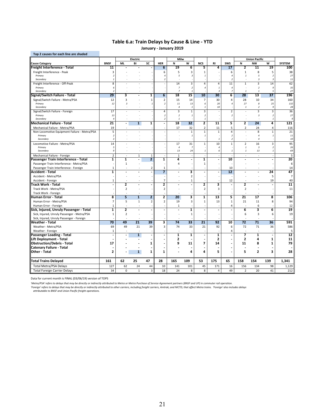### **Table 6.a: Train Delays by Cause & Line ‐ YTD**

**January ‐ January 2019**

|                                              |                          |                | Electric                |                              |                          | Milw                             |                                |                          |                                         |                                    |                         | <b>Union Pacific</b>           |                                  |                 |
|----------------------------------------------|--------------------------|----------------|-------------------------|------------------------------|--------------------------|----------------------------------|--------------------------------|--------------------------|-----------------------------------------|------------------------------------|-------------------------|--------------------------------|----------------------------------|-----------------|
| <b>Cause Category</b>                        | <b>BNSF</b>              | <b>ML</b>      | BI                      | SC                           | <b>HER</b>               | N                                | W                              | <b>NCS</b>               | RI                                      | <b>SWS</b>                         | N                       | <b>NW</b>                      | W                                | <b>SYSTEM</b>   |
| Freight Interference - Total                 | 11                       |                |                         |                              | $6\overline{6}$          | 19                               | 6                              | 5                        | 4                                       | $\overline{17}$                    | 2                       | 11                             | 19                               | 100             |
| Freight Interference - Peak                  | $\overline{3}$           |                |                         |                              | 6                        | 5                                | 3                              | $\mathbf{1}$             |                                         | 6                                  | $\mathbf{1}$            | 8                              | 5                                | 38              |
| Primary                                      | $\overline{\phantom{a}}$ |                |                         |                              | $\overline{4}$           | 5                                | 3                              | $\mathbf{1}$             |                                         | $\overline{4}$                     | $\mathbf{1}$            | 5                              | $\overline{2}$                   | 27              |
| Secondary                                    | -1                       |                |                         |                              | $\overline{2}$           | ٠                                |                                |                          |                                         | $\overline{2}$                     |                         | $\overline{\mathbf{3}}$        | $\overline{\mathbf{3}}$          | 11              |
| Freight Interference - Off-Peak              | 8                        |                |                         |                              |                          | 14                               | 3                              | $\overline{4}$           | $\overline{4}$                          | 11                                 | $\mathbf{1}$            | 3                              | 14                               | 62              |
| Primary<br>Secondary                         | 6<br>$\overline{2}$      |                |                         |                              |                          | $\overline{7}$<br>$\overline{z}$ | $\overline{2}$<br>$\mathbf{1}$ | $\overline{4}$           | $\mathbf{1}$<br>$\overline{\mathbf{3}}$ | $\boldsymbol{4}$<br>$\overline{z}$ | $\mathbf{1}$            | $\overline{2}$<br>$\mathbf{1}$ | 9<br>5                           | 35<br>27        |
| Signal/Switch Failure - Total                | 29                       | 3              |                         | $\overline{\mathbf{1}}$      | $6\overline{6}$          | 18                               | 15                             | 10                       | 30                                      | 6                                  | 28                      | 13                             | $\overline{37}$                  | 196             |
| Signal/Switch Failure - Metra/PSA            | 12                       | 3              |                         | $\mathbf 1$                  | $\overline{2}$           | 15                               | 14                             | $\overline{7}$           | 30                                      | 4                                  | 28                      | 10                             | 34                               | 160             |
| Primary                                      | 12                       | $\overline{3}$ |                         | $\overline{1}$               | $\overline{2}$           | 11                               | 13                             | 6                        | 20                                      | $\it 4$                            | 27                      | 8                              | 25                               | 132             |
| Secondary                                    |                          |                |                         |                              |                          | $\sqrt{4}$                       | $\mathbf{1}$                   | $\mathbf{1}$             | 10                                      |                                    | 1                       | $\overline{2}$                 | 9                                | ${\bf 28}$      |
| Signal/Switch Failure - Foreign              | 17                       |                |                         |                              | $\overline{4}$           | 3                                | $\mathbf{1}$                   | 3                        |                                         | $\overline{2}$                     | L.                      | 3                              | 3                                | 36              |
| Primary                                      | 13                       |                |                         |                              | $\overline{2}$           | $\overline{2}$                   | $\mathbf{1}$                   | $\overline{2}$           |                                         | $\overline{2}$                     |                         | $\overline{\mathbf{3}}$        | $\overline{2}$                   | 27              |
| Secondary                                    | $\overline{4}$           |                |                         |                              | $\overline{2}$           | $\mathbf{1}$                     |                                | $\mathbf{1}$             |                                         |                                    |                         |                                | $\mathbf{1}$                     | 9               |
| <b>Mechanical Failure - Total</b>            | 21                       |                | $\mathbf{1}$            | 1                            | $\ddot{\phantom{a}}$     | 18                               | 32                             | 2                        | 11                                      | 5                                  | $\overline{2}$          | 24                             | 4                                | 121             |
| Mechanical Failure - Metra/PSA               | 19                       |                |                         |                              |                          | 17                               | 32                             | $\overline{2}$           | 11                                      | 5                                  | $\overline{2}$          | 24                             | $\overline{4}$                   | 116             |
| Non-Locomotive Equipment Failure - Metra/PSA | 5                        |                |                         |                              |                          | ×                                | $\overline{1}$                 | $\mathbf{1}$             | $\mathbf{1}$                            | $\overline{4}$                     |                         | 8                              | $\,1\,$                          | 21              |
| Primary                                      | $\overline{2}$           |                |                         |                              |                          |                                  | 1                              | $\mathbf{1}% _{T}$       |                                         | $\overline{2}$                     |                         | $\overline{a}$                 | 1                                | $11\,$          |
| Secondary                                    | $\overline{3}$           |                |                         |                              |                          | $\overline{\phantom{a}}$         |                                |                          | $\mathbf{1}$                            | $\overline{2}$                     |                         | $\overline{4}$                 |                                  | 10              |
| Locomotive Failure - Metra/PSA               | 14                       |                |                         |                              |                          | 17                               | 31                             | $\mathbf{1}$             | 10                                      | $\mathbf{1}$                       | $\overline{2}$          | 16                             | 3                                | 95              |
| Primary<br>Secondary                         | 5<br>9                   |                |                         |                              |                          | $\overline{4}$<br>13             | $\overline{7}$<br>24           | $\overline{1}$           | $\boldsymbol{4}$<br>6                   | $\mathbf{1}$                       | $\it 1$<br>$\it 1$      | $\overline{\mathbf{3}}$<br>13  | $\overline{2}$<br>$\overline{1}$ | 26<br>69        |
| Mechanical Failure - Foreign                 | $\overline{2}$           |                | $\mathbf{1}$            | $\mathbf{1}$                 |                          | $\mathbf{1}$                     |                                |                          |                                         |                                    |                         | $\overline{\phantom{a}}$       |                                  | 5               |
| Passenger Train Interference - Total         | 1                        | 1              | $\ddot{\phantom{a}}$    | $\overline{2}$               | $\overline{\mathbf{1}}$  | 4                                | Ĭ.                             | 1                        |                                         | 10                                 |                         | $\overline{a}$                 | $\overline{a}$                   | 20              |
| Passenger Train Interference - Metra/PSA     |                          | $\mathbf{1}$   |                         |                              |                          | 4                                |                                | $\mathbf{1}$             |                                         |                                    |                         |                                |                                  | 6               |
| Passenger Train Interference - Foreign       | 1                        |                |                         | $\overline{2}$               | 1                        | ÷                                |                                |                          |                                         | 10                                 |                         |                                |                                  | 14              |
| Accident - Total                             | 1                        |                |                         | $\qquad \qquad \blacksquare$ | 7                        |                                  | 3                              | $\overline{\phantom{a}}$ |                                         | 12                                 |                         |                                | 24                               | 47              |
| Accident - Metra/PSA                         |                          |                |                         |                              |                          |                                  | $\overline{2}$                 |                          |                                         |                                    |                         |                                | 5                                | $\overline{7}$  |
| Accident - Foreign                           | 1                        |                |                         |                              | $\overline{7}$           |                                  | 1                              |                          |                                         | 12                                 |                         |                                | 19                               | 40              |
| Track Work - Total                           |                          | $\overline{2}$ |                         | $\overline{a}$               | 2                        |                                  |                                | 2                        | 3                                       |                                    | 2                       | $\overline{\phantom{a}}$       | Ĭ.                               | $\overline{11}$ |
| Track Work - Metra/PSA                       |                          | $\overline{2}$ |                         |                              | $\overline{2}$           | ×                                |                                | $\overline{2}$           | 3                                       |                                    | $\overline{2}$          |                                |                                  | 11              |
| Track Work - Foreign                         |                          |                |                         |                              |                          |                                  |                                |                          |                                         |                                    |                         |                                |                                  |                 |
| Human Error - Total                          | 8                        | 5              | $\overline{\mathbf{1}}$ | $\overline{2}$               | 2                        | 20                               | 3                              | 1                        | 13                                      | 5                                  | 21                      | $\overline{17}$                | 8                                | 106             |
| Human Error - Metra/PSA                      | $\overline{7}$           | 5              | $\mathbf{1}$            | $\overline{2}$               | $\overline{2}$           | 19                               | 3                              | $\mathbf{1}$             | 13                                      | $\,1\,$                            | 21                      | 11                             | 8                                | 94              |
| Human Error - Foreign                        | $\mathbf{1}$             |                |                         |                              |                          | $\mathbf{1}$                     |                                |                          |                                         | 4                                  |                         | 6                              |                                  | 12              |
| Sick, Injured, Unruly Passenger - Total      | 1                        | $\overline{2}$ |                         | $\overline{a}$               |                          | $\blacksquare$                   | 1                              |                          |                                         |                                    | 6                       | 3                              | 6                                | 19              |
| Sick, Injured, Unruly Passenger - Metra/PSA  | $\mathbf 1$              | $\overline{2}$ |                         |                              |                          |                                  | $\mathbf{1}$                   |                          |                                         |                                    | 6                       | 3                              | 6                                | 19              |
| Sick, Injured, Unruly Passenger - Foreign    |                          |                |                         |                              |                          |                                  |                                |                          |                                         |                                    |                         |                                |                                  |                 |
| Weather - Total                              | 70                       | 49             | 21                      | 39                           | 3                        | 74                               | 33                             | 21                       | 92                                      | 10                                 | 72                      | $\overline{71}$                | 36                               | 591             |
| Weather - Metra/PSA                          | 69                       | 49             | 21                      | 39                           | $\overline{3}$           | 74                               | 33                             | 21                       | 92                                      | 6                                  | 72                      | 71                             | 36                               | 586             |
| Weather - Foreign                            | 1                        |                | ż.                      |                              |                          |                                  |                                |                          |                                         | 4                                  |                         |                                |                                  | 5               |
| Passenger Loading - Total                    |                          |                | $\mathbf{1}$            | $\overline{\phantom{a}}$     | $\overline{\phantom{a}}$ | ${\bf 1}$                        | 1                              | $\overline{\phantom{a}}$ | $\mathbf{1}$                            | ٠                                  | 7                       | 1                              | $\overline{\phantom{a}}$         | 12              |
| Lift Deployment - Total                      |                          |                |                         |                              | $\overline{\phantom{a}}$ | 2                                |                                |                          | $\mathbf{2}$                            | ٠                                  | $\overline{\mathbf{z}}$ | 4                              | $\mathbf{1}$                     | 11              |
| <b>Obstruction/Debris - Total</b>            | 17                       |                |                         | 1                            | $\overline{\phantom{a}}$ | 9                                | 11                             | 7                        | 14                                      |                                    | 11                      | 8                              | 1                                | 79              |
| Catenary Failure - Total                     |                          |                |                         |                              | $\overline{\phantom{a}}$ |                                  |                                |                          |                                         |                                    |                         |                                |                                  |                 |
| Other - Total                                | $\overline{2}$           |                | $\mathbf{1}$            | $\mathbf{1}$                 | $\mathbf{1}$             |                                  | 4                              | 4                        | 5                                       |                                    | 5                       | $\overline{2}$                 | 3                                | 28              |
| <b>Total Trains Delayed</b>                  | 161                      | 62             | 25                      | 47                           | 28                       | 165                              | 109                            | 53                       | 175                                     | 65                                 | 158                     | 154                            | 139                              | 1,341           |
| <b>Total Metra/PSA Delays</b>                | 127                      | 62             | 24                      | 44                           | 10                       | 141                              | 101                            | 45                       | 171                                     | 16                                 | 156                     | 134                            | 98                               | 1,129           |
| <b>Total Foreign Carrier Delays</b>          | 34                       | $\mathbf 0$    | $\mathbf{1}$            | 3                            | 18                       | 24                               | 8                              | 8                        | $\overline{4}$                          | 49                                 | $\overline{2}$          | 20                             | 41                               | 212             |

Data for current month is FINAL (03/06/19) version of TOPS

'Metra/PSA' refers to delays that may be directly or indirectly attributed to Metra or Metra Purchase of Service Agreement partners (BNSF and UP) in commuter rail operation.<br>'Foreign' refers to delays that may be direction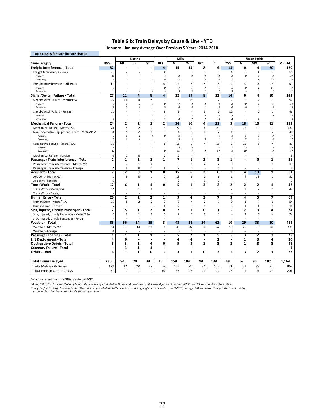#### **Table 6.b: Train Delays by Cause & Line ‐ YTD**

**January ‐ January Average Over Previous 5 Years: 2014‐2018**

| Top 2 causes for each line are shaded                        |                         |                      |                                    |                         |                            |                         |                          |                                         |                         |                                  |                         |                              |                               |                         |
|--------------------------------------------------------------|-------------------------|----------------------|------------------------------------|-------------------------|----------------------------|-------------------------|--------------------------|-----------------------------------------|-------------------------|----------------------------------|-------------------------|------------------------------|-------------------------------|-------------------------|
|                                                              |                         |                      | Electric                           |                         |                            | Milw                    |                          |                                         |                         |                                  |                         | <b>Union Pacific</b>         |                               |                         |
| <b>Cause Category</b>                                        | <b>BNSF</b>             | <b>ML</b>            | BI                                 | SC                      | <b>HER</b>                 | N                       | $\overline{\mathsf{w}}$  | <b>NCS</b>                              | <b>RI</b>               | <b>SWS</b>                       | Ñ                       | <b>NW</b>                    | $\overline{\mathsf{w}}$       | <b>SYSTEM</b>           |
| Freight Interference - Total                                 | 32                      |                      |                                    |                         | 4                          | 15                      | 13                       | 8                                       | 9                       | 13                               | $\overline{\mathbf{0}}$ | 4                            | 20                            | 120                     |
| Freight Interference - Peak                                  | 21                      |                      |                                    |                         | 4                          | 3                       | 5                        | 3                                       | 3                       | 4                                | 0                       | $\mathbf{1}$                 | 7                             | 51                      |
| Primary                                                      | 15                      |                      |                                    |                         | $\overline{a}$             | $\overline{2}$          | $\overline{3}$           | 3                                       | $\overline{\mathbf{3}}$ | $\overline{3}$                   | 0                       | $\mathbf{1}$                 | $\overline{3}$                | 37                      |
| Secondary                                                    | 6                       |                      |                                    |                         | $\mathcal{O}$              | $\mathbf{1}$            | $\mathbf{1}$             | 0                                       | 0                       | $\mathbf{1}$                     |                         | $\mathcal{O}$                | $\overline{a}$                | 14                      |
| Freight Interference - Off-Peak                              | 11                      |                      |                                    | L,                      | $\mathbf 0$                | 12                      | 8                        | 5                                       | 6                       | 9                                | 0                       | 3                            | 13                            | 69                      |
| Primary                                                      | $\overline{7}$          |                      |                                    |                         | 0                          | $\overline{z}$          | 5<br>$\overline{3}$      | $\boldsymbol{4}$                        | 5                       | 6<br>$\overline{3}$              | 0                       | $\overline{z}$               | 11                            | 47                      |
| Secondary                                                    | $\overline{4}$          | 11                   | $\overline{4}$                     | $\overline{\mathbf{8}}$ |                            | 5<br>22                 | 19                       | $\mathbf{1}$<br>$\overline{\mathbf{8}}$ | $\overline{2}$          |                                  | $\overline{0}$          | $\mathbf{1}$<br>4            | $\overline{\mathbf{z}}$<br>10 | 21                      |
| Signal/Switch Failure - Total                                | $\overline{27}$         |                      |                                    |                         | 4                          |                         |                          |                                         | $\overline{12}$         | 14                               |                         |                              |                               | 143                     |
| Signal/Switch Failure - Metra/PSA                            | 16                      | 11<br>$\overline{z}$ | 4                                  | 8                       | $\pmb{0}$<br>$\mathcal{O}$ | 13<br>$\overline{z}$    | 15<br>$\boldsymbol{s}$   | 3<br>$\overline{2}$                     | 12                      | $\overline{2}$<br>$\overline{a}$ | 0<br>$\Omega$           | 4<br>$\overline{\mathbf{3}}$ | 9                             | 97                      |
| Primary<br>Secondary                                         | $\overline{z}$<br>9     | 5                    | $\overline{\mathbf{3}}$<br>$\it 1$ | 6<br>$\mathbf{1}$       | $\mathcal{O}$              | 6                       | 6                        | $\mathbf{1}$                            | 8<br>$\overline{3}$     | $\theta$                         | 0                       | $\mathbf{1}$                 | 5<br>5                        | 58<br>39                |
| Signal/Switch Failure - Foreign                              | 11                      |                      |                                    |                         | 3                          | 9                       | 4                        | 5                                       | $\mathbf 0$             | 12                               |                         | 0                            | $\mathbf 1$                   | 46                      |
| Primary                                                      | $\overline{z}$          |                      |                                    |                         | $\overline{3}$             | 5                       | $\overline{3}$           | $\overline{2}$                          | $\mathcal{O}$           | $\overline{z}$                   |                         |                              | $\mathcal{O}$                 | 28                      |
| Secondary                                                    | $\overline{a}$          |                      |                                    |                         | $\it 1$                    | $\overline{4}$          | $\overline{\phantom{a}}$ | $\overline{2}$                          | $\Omega$                | $\overline{4}$                   |                         | $\pmb{\mathit{o}}$           | 1                             | 18                      |
| <b>Mechanical Failure - Total</b>                            | 24                      | 2                    | $\overline{2}$                     | 1                       | $\overline{\mathbf{z}}$    | 24                      | 10                       | 4                                       | $\overline{21}$         | 3                                | 18                      | 10                           | $\overline{11}$               | 133                     |
| Mechanical Failure - Metra/PSA                               | 24                      | $\overline{2}$       | $\overline{2}$                     | $\mathbf{1}$            | $\overline{2}$             | 22                      | 10                       | 4                                       | 21                      | 3                                | 18                      | 10                           | 11                            | 130                     |
| Non-Locomotive Equipment Failure - Metra/PSA                 | 8                       | $\overline{2}$       | $\overline{2}$                     | $\mathbf 1$             | $\mathbf 0$                | 4                       | $\overline{3}$           | $\Omega$                                | $\overline{2}$          | $\mathbf{1}$                     | 6                       | $\overline{3}$               | $\overline{7}$                | 40                      |
| Primary                                                      | $\overline{\mathbf{3}}$ | $\mathbf{1}$         | $\mathbf{1}$                       | 0                       | 0                          | $\it 1$                 | $\mathbf{1}$             |                                         | $\mathbf{1}$            | $\mathbf{1}$                     | $\overline{1}$          | $\it 1$                      | $\overline{\mathbf{3}}$       | 14                      |
| Secondary                                                    | 5                       | $\mathbf{1}$         | $\it 1$                            | $\mathbf{1}$            |                            | $\overline{\mathbf{3}}$ | 3                        | 0                                       | $\mathbf{1}$            | $\mathbf{1}$                     | 5                       | $\overline{2}$               | $\overline{4}$                | 27                      |
| Locomotive Failure - Metra/PSA                               | 16                      |                      |                                    |                         | $\mathbf 1$                | 18                      | $\overline{7}$           | $\overline{4}$                          | 19                      | $\overline{2}$                   | 12                      | 6                            | 4                             | 89                      |
| Primary                                                      | $\overline{4}$          |                      |                                    |                         | $\mathbf{1}$               | $\overline{2}$          | $\overline{\phantom{a}}$ | $\it 1$                                 | 5                       | $\mathbf{1}$                     | $\overline{2}$          | $\overline{2}$               | $\overline{2}$                | 22                      |
| Secondary                                                    | 12                      |                      |                                    |                         | $\mathcal{O}$              | 15                      |                          | $\overline{\mathbf{3}}$                 | 14                      | $\mathbf{1}$                     | 10                      | $\overline{4}$               | $\overline{3}$                | 67                      |
| Mechanical Failure - Foreign                                 | $\mathbf 0$             | 0                    | 0                                  |                         | 0                          | $\overline{2}$          |                          |                                         |                         |                                  | ä,                      | $\overline{\phantom{a}}$     |                               | $\overline{\mathbf{3}}$ |
| Passenger Train Interference - Total                         | $\overline{2}$          | 1                    | 1                                  | 1                       | 1                          | 7                       | 1                        | 2                                       | 3                       | 1                                |                         | Ō                            | 1                             | 21                      |
| Passenger Train Interference - Metra/PSA                     |                         | $\mathbf 0$          | $\mathbf 1$                        | 0                       |                            | 5                       | 1                        | $\overline{2}$                          | 2                       | $\pmb{0}$                        |                         | 0                            | $\mathbf{1}$                  | 13                      |
| Passenger Train Interference - Foreign                       | $\overline{2}$          | $\mathbf{1}$         | $\mathbf 0$                        | $\mathbf 0$             | $\mathbf{1}$               | $\overline{2}$          | $\mathbf 0$              |                                         | 1                       | 0                                |                         |                              |                               | 8                       |
| Accident - Total                                             | 7                       | 2                    | 0                                  | 1                       | $\overline{\mathbf{0}}$    | 15                      | 6                        | 3                                       | 8                       | 1                                | 4                       | 13                           | $\overline{\mathbf{1}}$       | 61                      |
| Accident - Metra/PSA                                         | $\mathbf{1}$            | $\overline{2}$       | 0                                  | $\mathbf{1}$            | 0                          | 13                      | 6                        | $\overline{2}$                          | 6                       | $\mathbf{1}$                     | 4                       | 13                           | $\mathbf 1$                   | 52                      |
| Accident - Foreign                                           | 6                       |                      |                                    |                         |                            | $\overline{2}$          |                          | 0                                       | 1                       |                                  |                         |                              |                               | 9                       |
| Track Work - Total                                           | 12                      | 6                    | $\mathbf{1}$                       | $\overline{4}$          | 0                          | 5                       | $\mathbf{1}$             | 3                                       | $\mathbf{2}$            | $\overline{2}$                   | $\overline{2}$          | $\mathbf{2}$                 | $\mathbf{1}$                  | 42                      |
| Track Work - Metra/PSA                                       | 12                      | 6                    | $\mathbf{1}$                       | 4                       | 0                          | 5                       | 1                        | 3                                       | 2                       | $\overline{2}$                   | $\overline{2}$          | $\overline{2}$               | $\mathbf{1}$                  | 42                      |
| Track Work - Foreign                                         |                         |                      |                                    |                         |                            |                         |                          |                                         |                         |                                  |                         |                              |                               |                         |
| Human Error - Total                                          | 20                      | 2                    | $\overline{2}$                     | 2                       | 1                          | 9                       | 4                        | 3                                       | 7                       | 3                                | 4                       | 5                            | 7                             | 69                      |
| Human Error - Metra/PSA                                      | 15                      | $\overline{2}$       | $\overline{2}$                     | $\overline{2}$          | 0                          | 7                       | $\overline{4}$           | $\overline{2}$                          | $\overline{7}$          | 0                                | 3                       | 4                            | 6                             | 54                      |
| Human Error - Foreign                                        | 5                       |                      |                                    |                         | $\mathbf{1}$               | $\overline{2}$          | $\mathbf 0$              | $\mathbf 1$                             |                         | 3                                | $\mathbf{1}$            | $\mathbf{1}$                 | $\mathbf 1$                   | 14                      |
| Sick, Injured, Unruly Passenger - Total                      | $\overline{2}$          | 5                    | $\overline{\mathbf{1}}$            | $\overline{2}$          | $\overline{\mathfrak{o}}$  | 2                       | 1                        | $\overline{\mathbf{0}}$                 | 1                       |                                  | 2                       | 3                            | 4                             | 24                      |
| Sick, Injured, Unruly Passenger - Metra/PSA                  | $\overline{2}$          | 5                    | $\mathbf{1}$                       | $\overline{2}$          | $\mathbf 0$                | $\overline{2}$          | $\mathbf{1}$             | 0                                       | 1                       |                                  | $\overline{2}$          | 3                            | 4                             | 24                      |
| Sick, Injured, Unruly Passenger - Foreign                    |                         |                      |                                    | 15                      |                            |                         |                          |                                         |                         |                                  |                         | - 2                          |                               |                         |
| Weather - Total                                              | 85                      | 56                   | 14                                 |                         | 3                          | 43                      | 38                       | 14                                      | 62                      | 10                               | 29                      | 33                           | 30                            | 433                     |
| Weather - Metra/PSA                                          | 84                      | 56                   | 14                                 | 15                      | 3                          | 43                      | 37                       | 14                                      | 62                      | 10                               | 29                      | 33                           | 30                            | 431                     |
| Weather - Foreign                                            | 0<br>1                  | 1                    | $\overline{\mathbf{1}}$            | 1                       | $\overline{\phantom{a}}$   | 0<br>5                  | $\mathbf{1}$<br>2        | $\overline{\mathbf{1}}$                 | 5                       | 0                                | 3                       | $\overline{2}$               | 3                             | 1<br>25                 |
| Passenger Loading - Total                                    | 4                       | 0                    |                                    |                         |                            | 4                       | 4                        |                                         | $\overline{2}$          |                                  | 1                       | 3                            | 4                             | 20                      |
| Lift Deployment - Total<br><b>Obstruction/Debris - Total</b> | 8                       | 3                    | 1                                  | 4                       | 0                          | 5                       | 3                        | 1                                       | 3                       | $\overline{2}$                   | 1                       | 8                            | 8                             | 48                      |
|                                                              | ٠                       | 3                    | $\mathbf{1}$                       | 1                       |                            |                         |                          |                                         |                         |                                  |                         |                              |                               | 4                       |
| Catenary Failure - Total<br>Other - Total                    | 6                       | $\mathbf{1}$         | $\mathbf{1}$                       | 0                       | ٠<br>$\overline{a}$        | 3                       | $\mathbf{1}$             | 0                                       | $\overline{\mathbf{3}}$ | 1                                | 3                       | $\mathbf{2}$                 | $\mathbf{1}$                  | 22                      |
|                                                              |                         |                      |                                    |                         |                            |                         |                          |                                         |                         |                                  |                         |                              |                               |                         |
| <b>Total Trains Delayed</b>                                  | 230                     | 94                   | 28                                 | 39                      | 16                         | 158                     | 104                      | 48                                      | 138                     | 49                               | 68                      | 90                           | 102                           | 1,164                   |
| Total Metra/PSA Delays                                       | 173                     | 92                   | 28                                 | 39                      | 6                          | 125                     | 86                       | 34                                      | 127                     | 21                               | 67                      | 85                           | 80                            | 963                     |
| <b>Total Foreign Carrier Delays</b>                          | 57                      | $\mathbf{1}$         | $\mathbf{1}$                       | $\mathbf 0$             | 10                         | 33                      | 18                       | 14                                      | 12                      | 28                               | $\mathbf{1}$            | 5                            | 22                            | 201                     |

Data for current month is FINAL version of TOPS

'Metra/PSA' refers to delays that may be directly or indirectly attributed to Metra or Metra Purchase of Service Agreement partners (BNSF and UP) in commuter rail operation.

'Foreign' refers to delays that may be directly or indirectly attributed to other carriers, including freight carriers, Amtrak, and NICTD, that affect Metra trains. 'Foreign' also includes delays<br>attributable to BNSF and U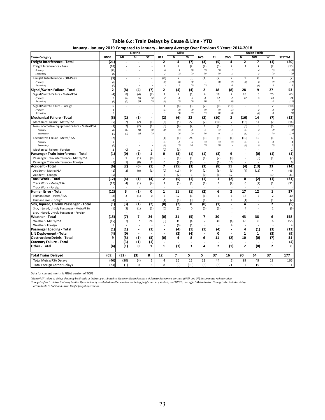**January ‐ January 2019 Compared to January ‐ January Average Over Previous 5 Years: 2014‐2018 Electric Milw Union Pacific Cause Category BNSF ML BI SC HER N W NCS RI SWS N NW W SYSTEM Freight Interference ‐ Total (21) ‐ ‐ ‐ 2 4 (7) (3) (5) 4 2 7 (1) (20) Freight Interference - Peak** (18) - - - - - - 2 (2) (2) (3) 2 1 7 (2)<br>Primary (18) - - - - 0 3 (0) (2) (3) 1 1 4 (1) *Primary (13) ‐ ‐ ‐ 0 3 (0) (2) (3) 1 1 4 (1) (10) Secondary (5) ‐ ‐ ‐ 2 (1) (1) (0) (0) 1 ‐ 3 (1) (3)* Freight Interference ‐ Off‐Peak (3) ‐ ‐ ‐ (0) 2 (5) (1) (2) 2 1 0 1 (7) *Primary (1) ‐ ‐ ‐ (0) (0) (3) ‐ (4) (2) (0) 0 (2) (12) Secondary (2) ‐ ‐ ‐ ‐ 2 (2) (1) 1 4 1 (0) 3 6* **Signal/Switch Failure ‐ Total 2 (8) (4) (7) 2 (4) (4) 2 18 (8) 28 9 27 53** Signal/Switch Failure - Metra/PSA (4) (4) (8) (4) (7) 2 2 (1) 4 18 2 28 6 25 63<br>Primary - Primary - Primary - 2 2 11 4 12 2 27 5 20 74 *Primary 5 (4) (3) (5) 2 4 5 4 12 2 27 5 20 74 Secondary (9) (5) (1) (1) (0) (2) (5) (0) 7 (0) 1 1 4 (11)*  $P_{\text{H}\text{H}\text{G}}$  Signal/Switch Failure - Foreign  $P_{\text{H}\text{H}\text{G}}$  (10)<br>  $P_{\text{H}\text{H}\text{G}}$   $P_{\text{H}\text{H}\text{G}}$  (10)<br>  $P_{\text{H}\text{H}\text{G}}$  (3) (3) (3) (3) (2) (0) (10) - 3 2 (10)<br>  $P_{\text{H}\text{H}\text{G}}$  (3) (2) (2) (1) (4) (4) - (0 *Primary 6 ‐ ‐ ‐ (1) (3) (2) (0) (0) (5) ‐ 3 2 (1) Secondary 0 ‐ ‐ ‐ 1 (3) (2) (1) (0) (4) ‐ (0) 0 (9)* **Mechanical Failure - Total 12**<br>
Mechanical Failure - Metra/PSA (5) (3) (2) (1) - (2) (6) 22 (2) (10) 2 (16) 14 (7) (12)<br>
Mechanical Failure - Metra/PSA (5) (2) (2) (2) (1) (2) (5) 22 (2) (10) 2 (16) 14 (7) (14) Mechanical Failure - Metra/PSA (5) (2) (2) (1) (2) (5) 22<br>Non-Locomotive Equipment Failure - Metra/PSA (3) (2) (2) (2) (1) (0) (4) (2) Non‐Locomotive Equipment Failure ‐ Metra/PSA (3) (2) (2) (1) (0) (4) (2) 1 (1) 3 (6) 5 (6) (19) *Primary (1) (1) (1) (0) (0) (1) 0 1 (1) 1 (1) 3 (2) (3) Secondary (2) (1) (1) (1) ‐ (3) (3) (0) 0 1 (5) 2 (4) (17)* Locomotive Failure - Metra/PSA (2) - - - - (1) (1) 24 (3) (9) (1) (10) 10 (1) 6 Primary (1) 2 5 (1) (1) (1) (1) (1) 1 0 4 *Secondary (3) ‐ ‐ ‐ (0) (2) 20 (2) (8) ‐ (9) 9 (2) 2* Mechanical Failure - Foreign 2 (0) 1 1 (0) (1) 1 (1) 3 (3) (1) 1 (3) 9 - (0) (1) (1) 1 (3) Passenger Train Interference - Total (1) (0) (1) 1 0 (3) (1) (1) (3) 9 - (0) (1) (1) (1)<br>Passenger Train Interference - Metra/PSA (1) (1) (1) (1) (1) (1) (1) (1) (1) (2) (0) - (0) (1) (7) Passenger Train Interference - Metra/PSA  $\begin{vmatrix} 1 & 1 & 1 & 0 \\ 0 & 1 & 1 & 0 \\ 0 & 0 & 2 & 0 \\ 0 & 0 & 0 & 0 \end{vmatrix}$  (1)  $\begin{pmatrix} 1 & 1 & 1 & 0 \\ 1 & 1 & 1 & 0 \\ 0 & 0 & 2 & 0 \\ 0 & 0 & 0 & 0 \end{pmatrix}$  (1) (2) (0) (0) (0) (1) (1) (1) (1) (1) (2) (1) (1) ( Passenger Train Interference - Foreign (1) (1) (1) (0) 2 0 (2) (0) - (1) 10 - - - 6<br>Accident - Total (13) 23 (14) (6) (2) (0) (1) 7 (15) (3) (3) (8) 11 (4) (13) 23 (14) **Accident ‐ Total (6) (2) (0) (1) 7 (15) (3) (3) (8) 11 (4) (13) 23 (14)** Accident ‐ Metra/PSA (1) (2) (0) (1) (0) (13) (4) (2) (6) (1) (4) (13) 4 (45) Accident ‐ Foreign ‐ ‐ ‐ (5) 7 (2) 1 (0) (1) ‐ ‐ 12 19 31 Track Work - Total | (12)| (4) (1) (4)| 2 | (5) (1)| (1)| 1 | (2)| 0 (2) (1)| (31) Track Work ‐ Metra/PSA (12) (4) (1) (4) 2 (5) (1) (1) 1 (2) 0 (2) (1) (31) Track Work ‐ Foreign ‐ ‐ ‐ ‐ ‐ ‐ ‐ ‐ ‐ ‐ ‐ ‐ ‐ ‐ **Human Error - Total 1998** (19) (19) 1 (19) 1 (19) 1 (19) 1 (19) 1 (19) 1 (19) 1 (19) 1 (19) 1 (19) 1 (19) 1 (19) 1 (19) 1 (19) 1 (19) 1 (19) 1 (19) 1 (19) 1 (19) 1 (19) 1 (19) 1 (19) 1 (19) 1 (19) 1 (19) 1 (19) 1 (19) 1 ( Human Error ‐ Metra/PSA (8) 3 (1) 0 2 12 (1) (1) 6 1 18 7 2 40 Human Error ‐ Foreign ‐ ‐ ‐ (4) (1) (1) (0) ‐ (1) 1 (1) 5 (1) (2) Sick, Injured, Unruly Passenger - Total (1) (3) (1) (2) (0) (2) 0 (0) (1) - 4 - 2 (5)<br>Sick, Injured, Unruly Passenger - Metra/PSA (1) (3) (1) (2) (0) (2) 0 (0) (1) - 4 - 2 (5) Sick, Injured, Unruly Passenger - Metra/PSA Sick, Injured, Unruly Passenger ‐ Foreign ‐ ‐ ‐ ‐ ‐ ‐ ‐ ‐ ‐ ‐ ‐ ‐ ‐ ‐ Weather - Total | (15)| (7) 7 24 | (0)| 31 (5)| 7 | 30 | - | 43 38 6 | 158 Weather ‐ Metra/PSA (15) (7) 7 24 (0) 31 (4) 7 30 (4) 43 38 6 155 Weather ‐ Foreign ‐ ‐ ‐ ‐ 1 (0) ‐ ‐ (1) ‐ ‐ ‐ 4 4 Passenger Loading - Total (1) (1) (1) - (1) - (4) (1) (1) (4) - (4) (1) (3) (13)<br>ift Deployment - Total (4) (0) - - - (2) (4) - 0 - 1 1 (3) (9)<br>Dbstruction/Debris - Total 9 (3) (1) (3) (0) 4 8 6 11 (2) 10 (0) (7) 31 **Lift Deployment ‐ Total (4) ‐ ‐ ‐ (0) (2) ‐ (4) ‐ 0 1 1 (3) (9) Obstruction/Debris ‐ Total 9 (3) (1) (3) (0) 4 8 6 11 (2) 10 (0) (7) 31 Catenary Failure ‐ Total ‐ (3) (1) ‐ ‐ ‐ ‐ (1) ‐ ‐ ‐ ‐ ‐ (4)** Other - Total | (4)| (1) 0 1 | 1 | (3) 3 | 4 | 2 | (1)| 2 (0) 2 | 6 **Total Trains Delayed (69) (32) (3) 8 12 7 5 5 37 16 90 64 37 177** Total Metra/PSA Delays (46) (30) (4) 5 4 16 15 11 44 (5) 89 49 18 166 Total Foreign Carrier Delays

**Table 6.c: Train Delays by Cause & Line ‐ YTD**

Data for current month is FINAL version of TOPS

'Metra/PSA' refers to delays that may be directly or indirectly attributed to Metra or Metra Purchase of Service Agreement partners (BNSF and UP) in commuter rail operation.

'Foreign' refers to delays that may be directly or indirectly attributed to other carriers, including freight carriers, Amtrak, and NICTD, that affect Metra trains. 'Foreign' also includes delays

*attributable to BNSF and Union Pacific freight operations.*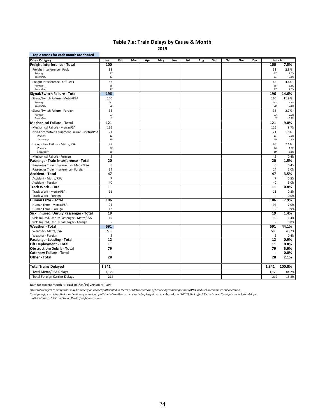# **Table 7.a: Train Delays by Cause & Month**

**2019**

| Top 2 causes for each month are shaded           |                        |     |     |     |     |     |     |     |     |     |     |     |                          |              |
|--------------------------------------------------|------------------------|-----|-----|-----|-----|-----|-----|-----|-----|-----|-----|-----|--------------------------|--------------|
| <b>Cause Category</b>                            | Jan                    | Feb | Mar | Apr | May | Jun | Jul | Aug | Sep | Oct | Nov | Dec | Jan - Jan                |              |
| Freight Interference - Total                     | 100                    |     |     |     |     |     |     |     |     |     |     |     | 100                      | 7.5%         |
| Freight Interference - Peak                      | 38                     |     |     |     |     |     |     |     |     |     |     |     | 38                       | 2.8%         |
| Primary                                          | 27                     |     |     |     |     |     |     |     |     |     |     |     | 27                       | 2.0%         |
| Secondary                                        | 11                     |     |     |     |     |     |     |     |     |     |     |     | 11                       | 0.8%         |
| Freight Interference - Off-Peak                  | 62                     |     |     |     |     |     |     |     |     |     |     |     | 62                       | 4.6%         |
| Primary                                          | 35                     |     |     |     |     |     |     |     |     |     |     |     | 35                       | 2.6%         |
| Secondary                                        | 27                     |     |     |     |     |     |     |     |     |     |     |     | 27                       | 2.0%         |
| Signal/Switch Failure - Total                    | 196                    |     |     |     |     |     |     |     |     |     |     |     | 196                      | 14.6%        |
| Signal/Switch Failure - Metra/PSA                | 160                    |     |     |     |     |     |     |     |     |     |     |     | 160                      | 11.9%        |
| Primary                                          | 132                    |     |     |     |     |     |     |     |     |     |     |     | 132                      | 9.8%         |
| Secondary                                        | 28                     |     |     |     |     |     |     |     |     |     |     |     | 28                       | 2.1%         |
| Signal/Switch Failure - Foreign                  | 36                     |     |     |     |     |     |     |     |     |     |     |     | 36                       | 2.7%         |
| Primary<br>Secondary                             | 27<br>$\boldsymbol{g}$ |     |     |     |     |     |     |     |     |     |     |     | 27<br>9                  | 2.0%<br>0.7% |
| Mechanical Failure - Total                       | 121                    |     |     |     |     |     |     |     |     |     |     |     | 121                      | 9.0%         |
| Mechanical Failure - Metra/PSA                   | 116                    |     |     |     |     |     |     |     |     |     |     |     | 116                      | 8.7%         |
| Non-Locomotive Equipment Failure - Metra/PSA     | 21                     |     |     |     |     |     |     |     |     |     |     |     | 21                       | 1.6%         |
| Primary                                          | 11                     |     |     |     |     |     |     |     |     |     |     |     | 11                       | 0.8%         |
| Secondary                                        | 10                     |     |     |     |     |     |     |     |     |     |     |     | 10                       | 0.7%         |
| Locomotive Failure - Metra/PSA                   | 95                     |     |     |     |     |     |     |     |     |     |     |     | 95                       | 7.1%         |
| Primary                                          | 26                     |     |     |     |     |     |     |     |     |     |     |     | 26                       | 1.9%         |
| Secondary                                        | 69                     |     |     |     |     |     |     |     |     |     |     |     | 69                       | 5.1%         |
| Mechanical Failure - Foreign                     | 5                      |     |     |     |     |     |     |     |     |     |     |     | 5                        | 0.4%         |
| Passenger Train Interference - Total             | 20                     |     |     |     |     |     |     |     |     |     |     |     | 20                       | 1.5%         |
| Passenger Train Interference - Metra/PSA         | 6                      |     |     |     |     |     |     |     |     |     |     |     | 6                        | 0.4%         |
| Passenger Train Interference - Foreign           | 14                     |     |     |     |     |     |     |     |     |     |     |     | 14                       | 1.0%         |
| <b>Accident - Total</b>                          | 47                     |     |     |     |     |     |     |     |     |     |     |     | 47                       | 3.5%         |
| Accident - Metra/PSA                             | 7                      |     |     |     |     |     |     |     |     |     |     |     | 7                        | 0.5%         |
| Accident - Foreign                               | 40                     |     |     |     |     |     |     |     |     |     |     |     | 40                       | 3.0%         |
| Track Work - Total                               | 11                     |     |     |     |     |     |     |     |     |     |     |     | 11                       | 0.8%         |
| Track Work - Metra/PSA                           | 11                     |     |     |     |     |     |     |     |     |     |     |     | 11                       | 0.8%         |
| Track Work - Foreign                             |                        |     |     |     |     |     |     |     |     |     |     |     |                          | 0.0%         |
| Human Error - Total                              | 106                    |     |     |     |     |     |     |     |     |     |     |     | 106                      | 7.9%         |
| Human Error - Metra/PSA                          | 94                     |     |     |     |     |     |     |     |     |     |     |     | 94                       | 7.0%         |
| Human Error - Foreign                            | 12                     |     |     |     |     |     |     |     |     |     |     |     | 12                       | 0.9%         |
| Sick, Injured, Unruly Passenger - Total          | 19                     |     |     |     |     |     |     |     |     |     |     |     | 19                       | 1.4%         |
| Sick, Injured, Unruly Passenger - Metra/PSA      | 19                     |     |     |     |     |     |     |     |     |     |     |     | 19                       | 1.4%         |
| Sick, Injured, Unruly Passenger - Foreign        |                        |     |     |     |     |     |     |     |     |     |     |     |                          | 0.0%         |
| Weather - Total                                  | 591                    |     |     |     |     |     |     |     |     |     |     |     | 591                      | 44.1%        |
| Weather - Metra/PSA                              | 586                    |     |     |     |     |     |     |     |     |     |     |     | 586                      | 43.7%        |
| Weather - Foreign                                | 5                      |     |     |     |     |     |     |     |     |     |     |     | 5                        | 0.4%         |
| Passenger Loading - Total                        | $\overline{12}$        |     |     |     |     |     |     |     |     |     |     |     | $\overline{12}$          | 0.9%         |
| <b>Lift Deployment - Total</b>                   | 11                     |     |     |     |     |     |     |     |     |     |     |     | 11                       | 0.8%         |
| <b>Obstruction/Debris - Total</b>                | 79                     |     |     |     |     |     |     |     |     |     |     |     | 79                       | 5.9%         |
|                                                  |                        |     |     |     |     |     |     |     |     |     |     |     | $\overline{\phantom{a}}$ | 0.0%         |
| <b>Catenary Failure - Total</b><br>Other - Total | 28                     |     |     |     |     |     |     |     |     |     |     |     | 28                       | 2.1%         |
|                                                  |                        |     |     |     |     |     |     |     |     |     |     |     |                          |              |
| <b>Total Trains Delayed</b>                      | 1,341                  |     |     |     |     |     |     |     |     |     |     |     | 1,341                    | 100.0%       |
| <b>Total Metra/PSA Delays</b>                    | 1,129                  |     |     |     |     |     |     |     |     |     |     |     | 1,129                    | 84.2%        |
| <b>Total Foreign Carrier Delays</b>              | 212                    |     |     |     |     |     |     |     |     |     |     |     | 212                      | 15.8%        |

Data for current month is FINAL (03/06/19) version of TOPS

'Metra/PSA' refers to delays that may be directly or indirectly attributed to Metra or Metra Purchase of Service Agreement partners (BNSF and UP) in commuter rail operation.

'Foreign' refers to delays that may be directly or indirectly attributed to other carriers, including freight carriers, Amtrak, and NICTD, that affect Metra trains. 'Foreign' also includes delays<br> attributable to BNSF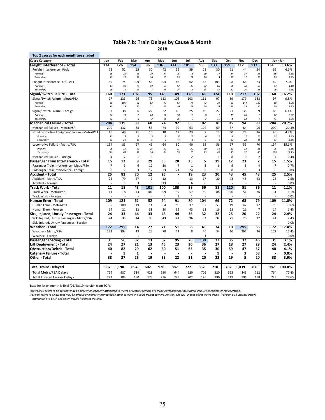#### **Table 7.b: Train Delays by Cause & Month 2018**

| Top 2 causes for each month are shaded       |                |                 |                 |                      |                 |                          |                 |                |                |          |                 |                |                 |               |
|----------------------------------------------|----------------|-----------------|-----------------|----------------------|-----------------|--------------------------|-----------------|----------------|----------------|----------|-----------------|----------------|-----------------|---------------|
| <b>Cause Category</b>                        | Jan            | Feb             | Mar             | Apr                  | May             | Jun                      | Jul             | Aug            | Sep            | Oct      | Nov             | <b>Dec</b>     |                 | Jan - Jan     |
| Freight Interference - Total                 | 134            | 126             | 154             | 86                   | 136             | 141                      | 101             | 95             | 133            | 159      | 112             | 137            | 134             | 13.6%         |
| Freight Interference - Peak                  | 65             | 52              | 55              | 30                   | 42              | 55                       | 39              | 29             | 30             | 61       | 44              | 54             | 65              | 6.6%          |
| Primary                                      | 36             | 25              | 26              | 20                   | 27              | 26                       | 16              | 19             | 17             | 34       | 27              | 26             | 36              | 3.6%          |
| Secondary                                    | 29             | 27              | 29              | 10                   | 15              | 29                       | 23              | 10             | 13             | 27       | 17              | 28             | 29              | 2.9%          |
| Freight Interference - Off-Peak              | 69             | 74              | 99              | 56                   | 94              | 86                       | 62              | 66             | 103            | 98       | 68              | 83             | 69              | 7.0%          |
| Primary<br>Secondary                         | 43<br>26       | 58<br>16        | 76<br>23        | 49<br>$\overline{z}$ | 69<br>25        | 62<br>24                 | 48<br>14        | 52<br>14       | 68<br>35       | 66<br>32 | 48<br>20        | 57             | 43              | 4.4%          |
|                                              | 160            | 171             | 102             | 95                   | 145             | 149                      | 128             | 141            | 124            | 110      | 217             | 26<br>197      | 26<br>160       | 2.6%<br>16.2% |
| Signal/Switch Failure - Total                | 97             |                 |                 | 73                   |                 |                          |                 |                |                | 89       |                 |                |                 |               |
| Signal/Switch Failure - Metra/PSA<br>Primary | 68             | 133<br>105      | 96<br>51        | 52                   | 113<br>92       | 103<br>63                | 103<br>74       | 131<br>72      | 97<br>73       | 61       | 179<br>144      | 188<br>132     | 97<br>68        | 9.8%          |
| Secondary                                    | 29             | 28              | 45              | 21                   | 21              | 40                       | 29              | 59             | 24             | 28       | 35              | 56             | 29              | 6.9%<br>2.9%  |
| Signal/Switch Failure - Foreign              | 63             | 38              | 6               | 22                   | 32              | 46                       | 25              | 10             | 27             | 21       | 38              | 9              | 63              | 6.4%          |
| Primary                                      | 22             | 33              | 5               | 20                   | 17              | 30                       | 16              | 8              | 17             | 15       | 26              | 5              | 22              | 2.2%          |
| Secondary                                    | 41             | 5               | $\mathbf{1}$    | $\overline{2}$       | 15              | 16                       | $\overline{9}$  | $\overline{2}$ | 10             | 6        | 12              | $\overline{A}$ | 41              | 4.2%          |
| Mechanical Failure - Total                   | 204            | 139             | 89              | 60                   | 74              | 92                       | 65              | 102            | 70             | 95       | 94              | 98             | 204             | 20.7%         |
| Mechanical Failure - Metra/PSA               | 200            | 132             | 88              | 55                   | 74              | 92                       | 63              | 102            | 69             | 87       | 84              | 96             | 200             | 20.3%         |
| Non-Locomotive Equipment Failure - Metra/PSA | 46             | 49              | 21              | 10                   | 10              | 12                       | 23              | $\overline{7}$ | 13             | 30       | 29              | 26             | 46              | 4.7%          |
| Primary                                      | 13             | 13              | 8               | 5                    | 8               | 8                        | 15              | 6              | $\overline{z}$ | 8        | $\overline{z}$  | 10             | 13              | 1.3%          |
| Secondary                                    | 33             | 36              | 13              | 5                    | $\overline{2}$  | $\overline{4}$           | 8               | $\it 1$        | 6              | 22       | 22              | 16             | 33              | 3.3%          |
| Locomotive Failure - Metra/PSA               | 154            | 83              | 67              | 45                   | 64              | 80                       | 40              | 95             | 56             | 57       | 55              | 70             | 154             | 15.6%         |
| Primary                                      | 25             | 19              | 20              | 15                   | 20              | 21                       | 20              | 20             | 16             | 22       | 18              | 25             | 25              | 2.5%          |
| Secondary                                    | 129            | 64              | 47              | 30                   | 44              | 59                       | 20              | 75             | 40             | 35       | 37              | 45             | 129             | 13.1%         |
| Mechanical Failure - Foreign                 | 4              | $\overline{7}$  | $1\,$           | 5                    | ÷.              |                          | $\overline{2}$  | $\sim$         | $\mathbf{1}$   | 8        | 10              | $\overline{2}$ | $\overline{4}$  | 0.4%          |
| Passenger Train Interference - Total         | 15             | $\overline{12}$ | 9               | 29                   | 33              | 28                       | 25              | 5              | 19             | 17       | 23              | 7              | 15              | 1.5%          |
| Passenger Train Interference - Metra/PSA     | $\overline{7}$ | 5               | 6               | 12                   | 10              | $\overline{7}$           | $\mathbf{1}$    | 3              | 6              | 9        | 8               | 4              | $\overline{7}$  | 0.7%          |
| Passenger Train Interference - Foreign       | 8              | $\overline{7}$  | 3               | 17                   | 23              | 21                       | 24              | $\overline{2}$ | 13             | 8        | 15              | 3              | 8               | 0.8%          |
| Accident - Total                             | 25             | 82              | 70              | 12                   | $\overline{25}$ | $\overline{a}$           | $\overline{19}$ | 23             | 20             | 43       | 45              | 43             | 25              | 2.5%          |
| Accident - Metra/PSA                         | 25             | 79              | 67              | $\overline{7}$       | 12              | $\overline{\phantom{a}}$ | 13              | 17             | 20             | 43       | 45              | 43             | 25              | 2.5%          |
| Accident - Foreign                           |                | 3               | 3               | 5                    | 13              |                          | 6               | 6              |                |          |                 |                |                 | 0.0%          |
| Track Work - Total                           | 11             | 18              | 43              | 101                  | 100             | 100                      | 58              | 59             | 88             | 120      | 51              | 36             | 11              | 1.1%          |
| Track Work - Metra/PSA                       | 11             | 18              | 43              | 101                  | 99              | 97                       | 57              | 59             | 88             | 120      | 51              | 36             | 11              | 1.1%          |
| Track Work - Foreign                         |                |                 |                 | ÷.                   | $\mathbf{1}$    | $\overline{3}$           | $\mathbf{1}$    |                |                |          |                 |                |                 | 0.0%          |
| Human Error - Total                          | 109            | 121             | 61              | 52                   | 94              | 91                       | 80              | 104            | 69             | 72       | 63              | 79             | 109             | 11.0%         |
| Human Error - Metra/PSA                      | 95             | 100             | 49              | 14                   | 64              | 59                       | 37              | 92             | 53             | 49       | 42              | 72             | 95              | 9.6%          |
| Human Error - Foreign                        | 14             | 21              | 12              | 38                   | 30              | 32                       | 43              | 12             | 16             | 23       | 21              | $\overline{7}$ | 14              | 1.4%          |
| Sick, Injured, Unruly Passenger - Total      | 24             | 33              | 44              | 33                   | 43              | 44                       | 36              | 32             | 32             | 25       | 20              | 22             | 24              | 2.4%          |
| Sick, Injured, Unruly Passenger - Metra/PSA  | 24             | 33              | 44              | 33                   | 43              | 44                       | 36              | 32             | 32             | 25       | 20              | 22             | 24              | 2.4%          |
| Sick, Injured, Unruly Passenger - Foreign    |                |                 |                 |                      |                 |                          |                 |                |                |          |                 |                |                 | 0.0%          |
| Weather - Total                              | 172            | 295             | 14              | $\overline{27}$      | 71              | 51                       | 8               | 41             | 34             | 10       | 295             | 36             | 172             | 17.4%         |
| Weather - Metra/PSA                          | 172            | 294             | 13              | 27                   | 70              | 51                       | 8               | 40             | 34             | 10       | 295             | 36             | 172             | 17.4%         |
| Weather - Foreign                            |                | $\mathbf{1}$    | $\mathbf{1}$    | ÷,                   | $\mathbf{1}$    |                          |                 | $\mathbf{1}$   |                |          |                 |                |                 | 0.0%          |
| Passenger Loading - Total                    | 31             | 56              | $\overline{32}$ | 13                   | 67              | 95                       | 78              | 139            | 33             | 35       | $\overline{37}$ | 46             | $\overline{31}$ | 3.1%          |
| <b>Lift Deployment - Total</b>               | 24             | 27              | 21              | 13                   | 45              | 23                       | 30              | 36             | 27             | 18       | 27              | 29             | 24              | 2.4%          |
| <b>Obstruction/Debris - Total</b>            | 40             | 82              | 29              | 62                   | 60              | 51                       | 63              | 35             | 30             | 59       | 47              | 57             | 40              | 4.1%          |
| <b>Catenary Failure - Total</b>              |                | $\mathbf{1}$    | $\mathbf 1$     |                      |                 |                          |                 |                | 9              |          | 3               | 63             |                 | 0.0%          |
| <b>Other - Total</b>                         | 38             | 27              | 25              | 19                   | 33              | 22                       | 31              | 20             | 22             | 19       | 5               | 20             | 38              | 3.9%          |
| Total Trains Delayed                         | 987            | 1,190           | 694             | 602                  | 926             | 887                      | 722             | 832            | 710            | 782      | 1,039           | 870            | 987             | 100.0%        |
| <b>Total Metra/PSA Delays</b>                | 764            | 987             | 514             | 429                  | 690             | 644                      | 520             | 706            | 520            | 563      | 843             | 712            | 764             | 77.4%         |
| <b>Total Foreign Carrier Delays</b>          | 223            | 203             | 180             | 173                  | 236             | 243                      | 202             | 126            | 190            | 219      | 196             | 158            | 223             | 22.6%         |
|                                              |                |                 |                 |                      |                 |                          |                 |                |                |          |                 |                |                 |               |

Data for latest month is final (01/28/19) version from TOPS.

'Metra/PSA' refers to delays that may be directly or indirectly attributed to Metra or Metra Purchase of Service Agreement partners (BNSF and UP) in commuter rail operation.

'Foreign' refers to delays that may be directly or indirectly attributed to other carriers, including freight carriers, Amtrak, and NICTD, that affect Metra trains. 'Foreign' also includes delays<br> attributable to BNSF